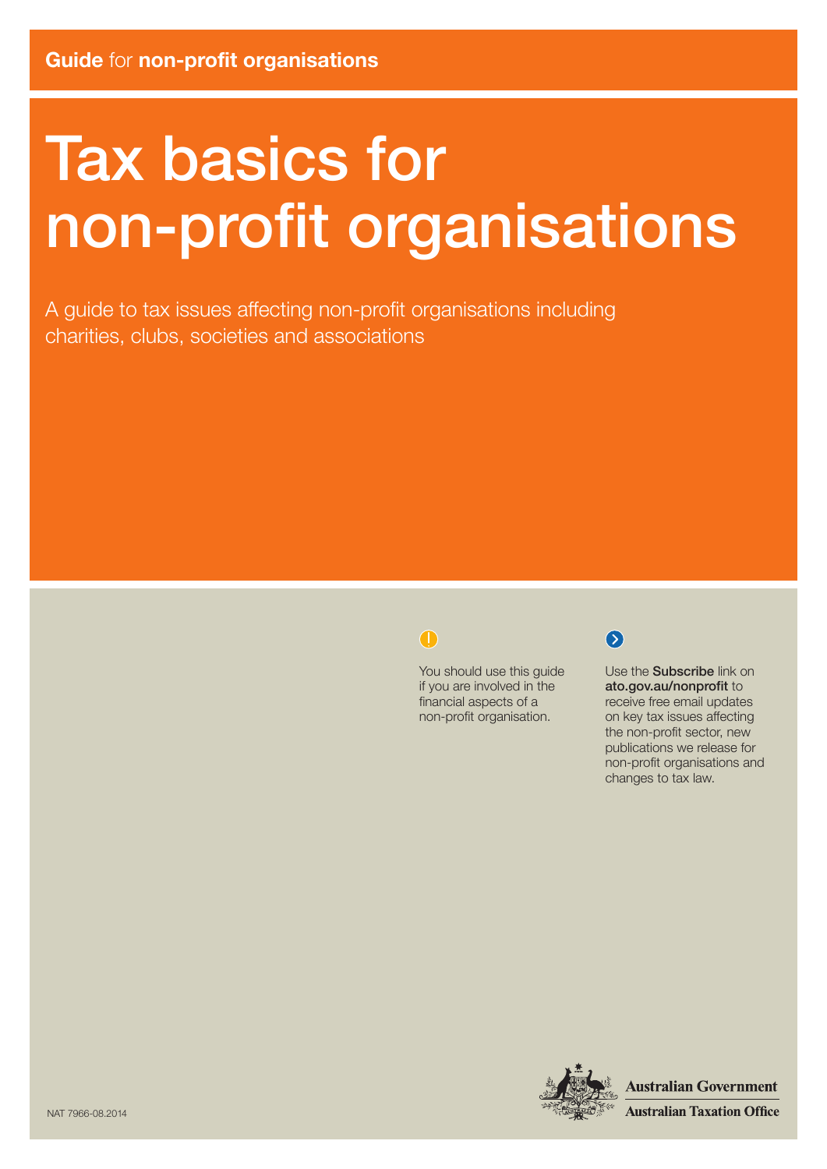# Tax basics for non‑profit organisations

A guide to tax issues affecting non-profit organisations including charities, clubs, societies and associations

#### $\bigodot$

You should use this guide if you are involved in the financial aspects of a non-profit organisation.



Use the Subscribe link on ato.gov.au/nonprofit to receive free email updates on key tax issues affecting the non-profit sector, new publications we release for non-profit organisations and changes to tax law.



**Australian Government Australian Taxation Office**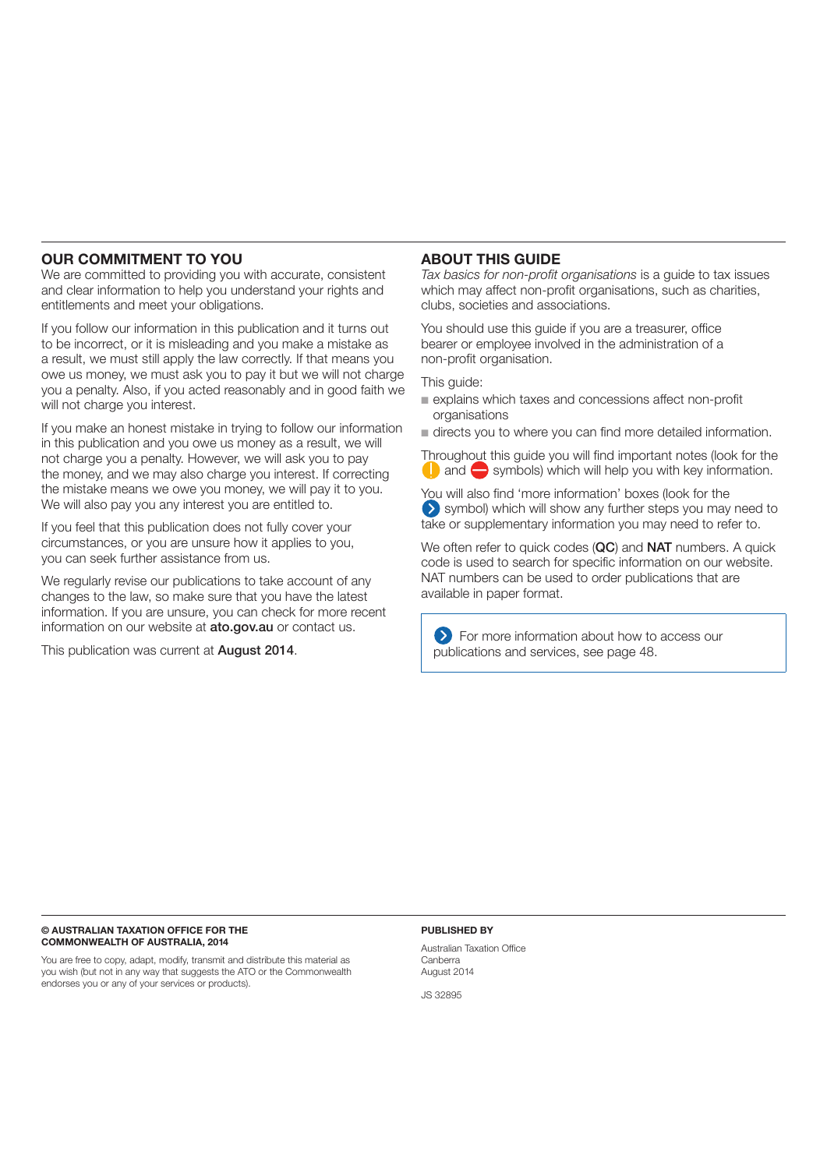#### OUR COMMITMENT TO YOU

We are committed to providing you with accurate, consistent and clear information to help you understand your rights and entitlements and meet your obligations.

If you follow our information in this publication and it turns out to be incorrect, or it is misleading and you make a mistake as a result, we must still apply the law correctly. If that means you owe us money, we must ask you to pay it but we will not charge you a penalty. Also, if you acted reasonably and in good faith we will not charge you interest.

If you make an honest mistake in trying to follow our information in this publication and you owe us money as a result, we will not charge you a penalty. However, we will ask you to pay the money, and we may also charge you interest. If correcting the mistake means we owe you money, we will pay it to you. We will also pay you any interest you are entitled to.

If you feel that this publication does not fully cover your circumstances, or you are unsure how it applies to you, you can seek further assistance from us.

We regularly revise our publications to take account of any changes to the law, so make sure that you have the latest information. If you are unsure, you can check for more recent information on our website at ato.gov.au or contact us.

This publication was current at **August 2014**.

#### ABOUT THIS GUIDE

*Tax basics for non-profit organisations* is a guide to tax issues which may affect non-profit organisations, such as charities, clubs, societies and associations.

You should use this guide if you are a treasurer, office bearer or employee involved in the administration of a non‑profit organisation.

This guide:

n explains which taxes and concessions affect non-profit organisations

 $\blacksquare$  directs you to where you can find more detailed information.

Throughout this guide you will find important notes (look for the  $\Box$  and  $\Box$  symbols) which will help you with key information.

You will also find 'more information' boxes (look for the symbol) which will show any further steps you may need to take or supplementary information you may need to refer to.

We often refer to quick codes (QC) and NAT numbers. A quick code is used to search for specific information on our website. NAT numbers can be used to order publications that are available in paper format.

**Example 2** For more information about how to access our publications and services, see page 48.

#### © AUSTRALIAN TAXATION OFFICE FOR THE COMMONWEALTH OF AUSTRALIA, 2014

You are free to copy, adapt, modify, transmit and distribute this material as you wish (but not in any way that suggests the ATO or the Commonwealth endorses you or any of your services or products).

#### PUBLISHED BY

Australian Taxation Office Canberra August 2014

JS 32895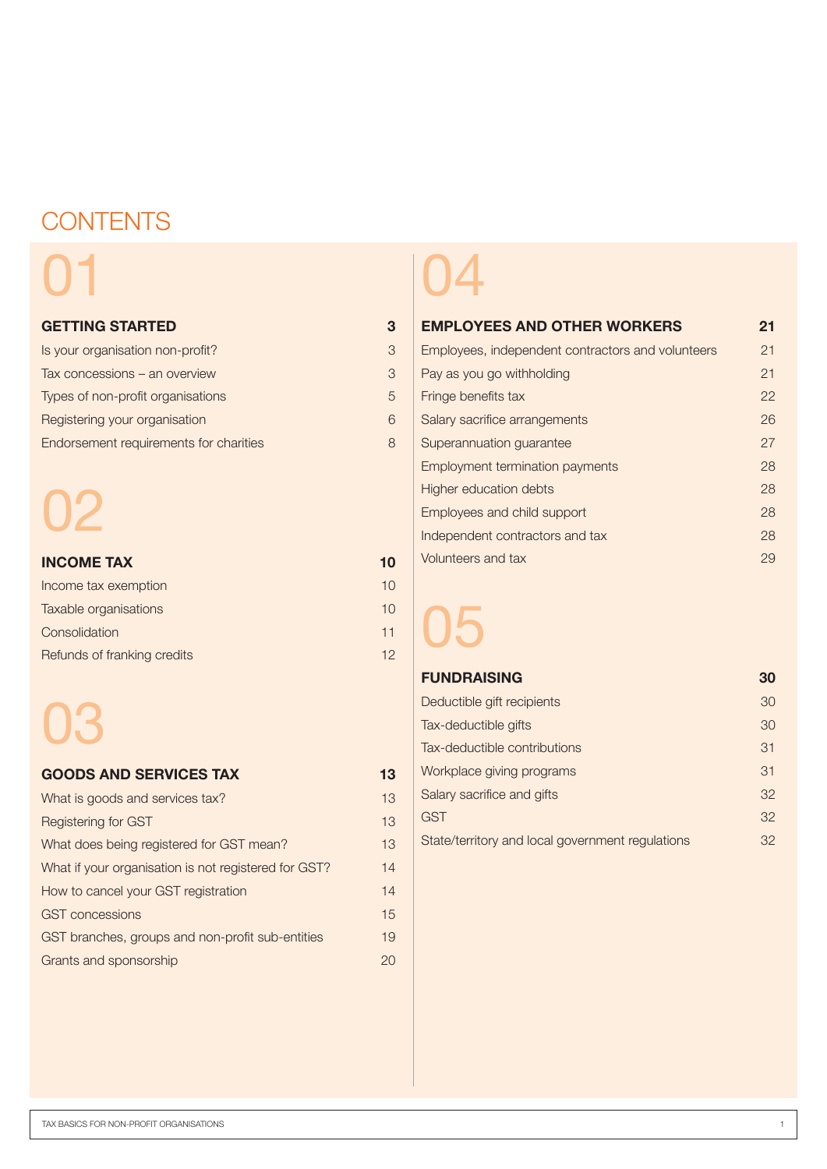### **CONTENTS**

# 01

#### GETTING STARTED 3

| Is your organisation non-profit?       | 3 |
|----------------------------------------|---|
| Tax concessions – an overview          | 3 |
| Types of non-profit organisations      | 5 |
| Registering your organisation          | 6 |
| Endorsement requirements for charities | 8 |

# 02

| <b>INCOME TAX</b>           | 10 |
|-----------------------------|----|
| Income tax exemption        | 10 |
| Taxable organisations       | 10 |
| Consolidation               | 11 |
| Refunds of franking credits | 12 |

# 03

| <b>GOODS AND SERVICES TAX</b>                        | 13 |
|------------------------------------------------------|----|
| What is goods and services tax?                      | 13 |
| Registering for GST                                  | 13 |
| What does being registered for GST mean?             | 13 |
| What if your organisation is not registered for GST? | 14 |
| How to cancel your GST registration                  | 14 |
| <b>GST</b> concessions                               | 15 |
| GST branches, groups and non-profit sub-entities     | 19 |
| Grants and sponsorship                               | 20 |

## 04

| <b>EMPLOYEES AND OTHER WORKERS</b>                | 21 |
|---------------------------------------------------|----|
| Employees, independent contractors and volunteers | 21 |
| Pay as you go withholding                         | 21 |
| Fringe benefits tax                               | 22 |
| Salary sacrifice arrangements                     | 26 |
| Superannuation guarantee                          | 27 |
| <b>Employment termination payments</b>            | 28 |
| Higher education debts                            | 28 |
| Employees and child support                       | 28 |
| Independent contractors and tax                   | 28 |
| Volunteers and tax                                | 29 |

05

#### **FUNDRAISING 30**

| Deductible gift recipients                       | 30 |
|--------------------------------------------------|----|
| Tax-deductible gifts                             | 30 |
| Tax-deductible contributions                     | 31 |
| Workplace giving programs                        | 31 |
| Salary sacrifice and gifts                       | 32 |
| <b>GST</b>                                       | 32 |
| State/territory and local government regulations | 32 |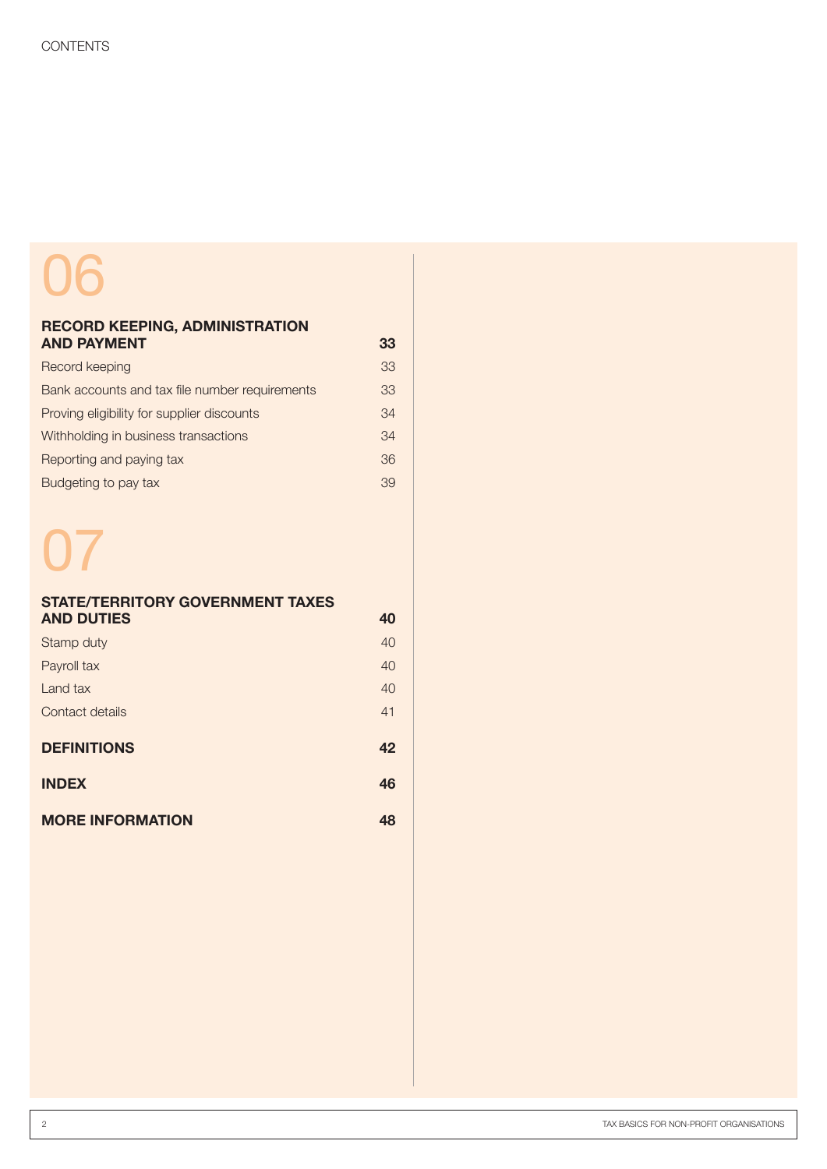# 06

#### RECORD KEEPING, ADMINISTRATION AND PAYMENT 33

| Record keeping                                 | 33 |
|------------------------------------------------|----|
| Bank accounts and tax file number requirements | 33 |
| Proving eligibility for supplier discounts     | 34 |
| Withholding in business transactions           | 34 |
| Reporting and paying tax                       | 36 |
| Budgeting to pay tax                           | 39 |

# 07

| <b>STATE/TERRITORY GOVERNMENT TAXES</b> |    |
|-----------------------------------------|----|
| <b>AND DUTIES</b>                       | 40 |
| Stamp duty                              | 40 |
| Payroll tax                             | 40 |
| Land tax                                | 40 |
| Contact details                         | 41 |
| <b>DEFINITIONS</b>                      | 42 |
| <b>INDEX</b>                            | 46 |
| <b>MORE INFORMATION</b>                 | 48 |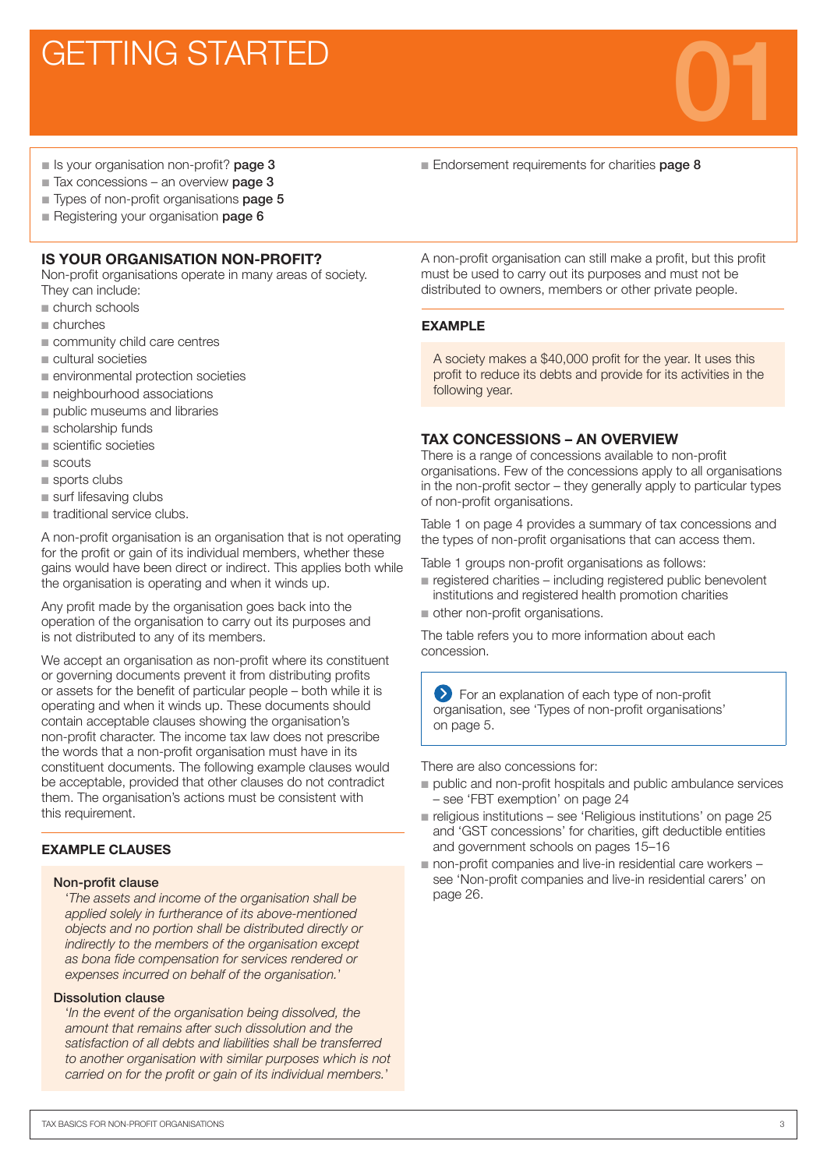### **GETTING STARTED**

■ Endorsement requirements for charities page 8

- Is your organisation non-profit? **page 3**
- Tax concessions an overview **page 3** ■ Types of non-profit organisations **page 5**
- **Registering your organisation page 6**
- 

#### IS YOUR ORGANISATION NON-PROFIT?

Non-profit organisations operate in many areas of society. They can include:

- $n$  church schools
- n churches
- community child care centres
- cultural societies
- $n$  environmental protection societies
- neighbourhood associations
- public museums and libraries
- $\blacksquare$  scholarship funds
- $n$  scientific societies
- $\blacksquare$  scouts
- $\blacksquare$  sports clubs
- $\blacksquare$  surf lifesaving clubs
- $\blacksquare$  traditional service clubs.

A non-profit organisation is an organisation that is not operating for the profit or gain of its individual members, whether these gains would have been direct or indirect. This applies both while the organisation is operating and when it winds up.

Any profit made by the organisation goes back into the operation of the organisation to carry out its purposes and is not distributed to any of its members.

We accept an organisation as non-profit where its constituent or governing documents prevent it from distributing profits or assets for the benefit of particular people – both while it is operating and when it winds up. These documents should contain acceptable clauses showing the organisation's non-profit character. The income tax law does not prescribe the words that a non-profit organisation must have in its constituent documents. The following example clauses would be acceptable, provided that other clauses do not contradict them. The organisation's actions must be consistent with this requirement.

#### EXAMPLE CLAUSES

#### Non-profit clause

'*The assets and income of the organisation shall be applied solely in furtherance of its above-mentioned objects and no portion shall be distributed directly or indirectly to the members of the organisation except as bona fide compensation for services rendered or expenses incurred on behalf of the organisation.*'

#### Dissolution clause

'*In the event of the organisation being dissolved, the amount that remains after such dissolution and the satisfaction of all debts and liabilities shall be transferred to another organisation with similar purposes which is not carried on for the profit or gain of its individual members.*'

A non-profit organisation can still make a profit, but this profit must be used to carry out its purposes and must not be distributed to owners, members or other private people.

#### EXAMPLE

A society makes a \$40,000 profit for the year. It uses this profit to reduce its debts and provide for its activities in the following year.

#### TAX CONCESSIONS – AN OVERVIEW

There is a range of concessions available to non-profit organisations. Few of the concessions apply to all organisations in the non-profit sector – they generally apply to particular types of non-profit organisations.

Table 1 on page 4 provides a summary of tax concessions and the types of non-profit organisations that can access them.

Table 1 groups non-profit organisations as follows:

- $\blacksquare$  registered charities including registered public benevolent institutions and registered health promotion charities
- other non-profit organisations.

The table refers you to more information about each concession.

For an explanation of each type of non-profit organisation, see 'Types of non-profit organisations' on page 5.

There are also concessions for:

- n public and non-profit hospitals and public ambulance services – see 'FBT exemption' on page 24
- $\blacksquare$  religious institutions see 'Religious institutions' on page 25 and 'GST concessions' for charities, gift deductible entities and government schools on pages 15–16
- $\blacksquare$  non-profit companies and live-in residential care workers  $$ see 'Non-profit companies and live-in residential carers' on page 26.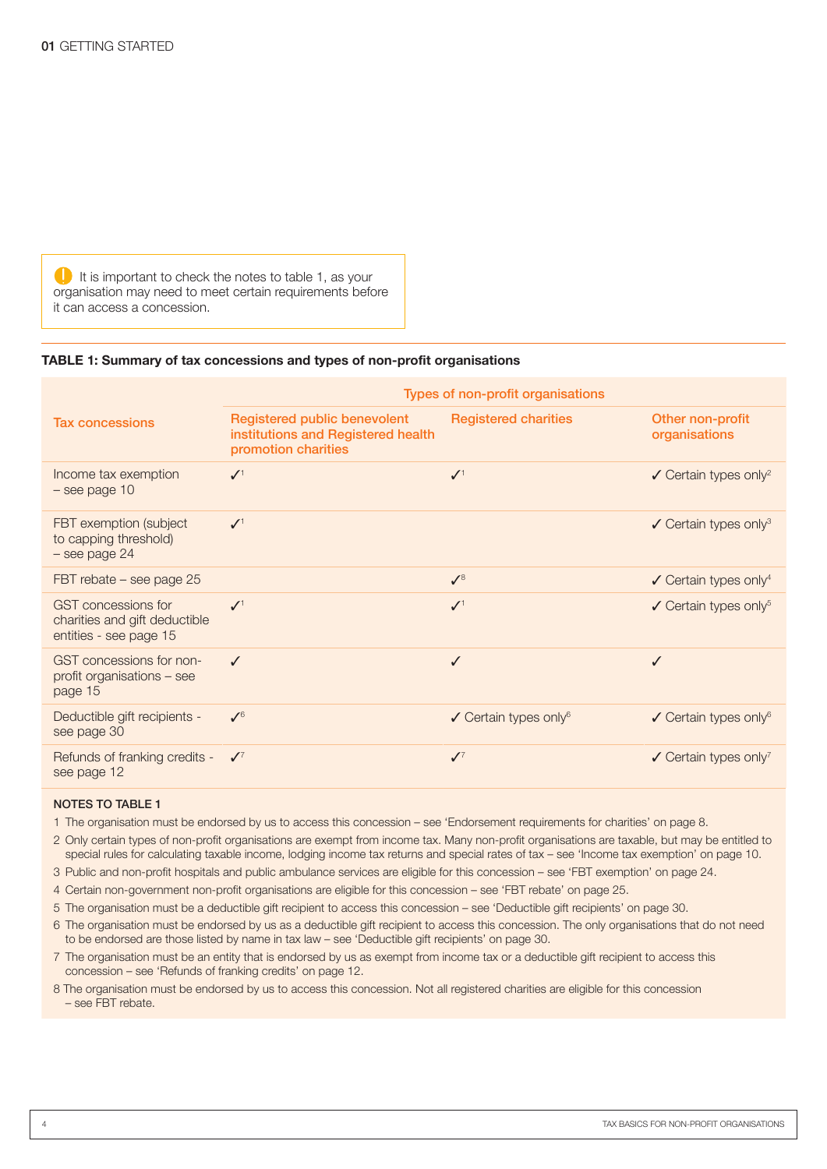$\Box$  It is important to check the notes to table 1, as your organisation may need to meet certain requirements before it can access a concession.

#### TABLE 1: Summary of tax concessions and types of non-profit organisations

|                                                                                       | Types of non-profit organisations                                                         |                                              |                                              |
|---------------------------------------------------------------------------------------|-------------------------------------------------------------------------------------------|----------------------------------------------|----------------------------------------------|
| <b>Tax concessions</b>                                                                | Registered public benevolent<br>institutions and Registered health<br>promotion charities | <b>Registered charities</b>                  | Other non-profit<br>organisations            |
| Income tax exemption<br>$-$ see page 10                                               | $\mathcal{N}^1$                                                                           | $\mathcal{N}^1$                              | $\checkmark$ Certain types only <sup>2</sup> |
| FBT exemption (subject<br>to capping threshold)<br>- see page 24                      | $\mathcal{N}^1$                                                                           |                                              | $\checkmark$ Certain types only <sup>3</sup> |
| FBT rebate - see page 25                                                              |                                                                                           | $\mathcal{N}^8$                              | $\checkmark$ Certain types only <sup>4</sup> |
| <b>GST</b> concessions for<br>charities and gift deductible<br>entities - see page 15 | $\mathcal{I}^1$                                                                           | $\mathcal{N}^1$                              | $\checkmark$ Certain types only <sup>5</sup> |
| GST concessions for non-<br>profit organisations - see<br>page 15                     | $\checkmark$                                                                              | ✓                                            | ✓                                            |
| Deductible gift recipients -<br>see page 30                                           | $\mathcal{N}^6$                                                                           | $\checkmark$ Certain types only <sup>6</sup> | $\checkmark$ Certain types only <sup>6</sup> |
| Refunds of franking credits -<br>see page 12                                          | $\mathcal{J}^7$                                                                           | $\mathcal{J}^7$                              | $\checkmark$ Certain types only <sup>7</sup> |

#### NOTES TO TABLE 1

1 The organisation must be endorsed by us to access this concession – see 'Endorsement requirements for charities' on page 8.

2 Only certain types of non-profit organisations are exempt from income tax. Many non-profit organisations are taxable, but may be entitled to special rules for calculating taxable income, lodging income tax returns and special rates of tax – see 'Income tax exemption' on page 10.

- 3 Public and non-profit hospitals and public ambulance services are eligible for this concession see 'FBT exemption' on page 24.
- 4 Certain non-government non-profit organisations are eligible for this concession see 'FBT rebate' on page 25.
- 5 The organisation must be a deductible gift recipient to access this concession see 'Deductible gift recipients' on page 30.
- 6 The organisation must be endorsed by us as a deductible gift recipient to access this concession. The only organisations that do not need to be endorsed are those listed by name in tax law – see 'Deductible gift recipients' on page 30.
- 7 The organisation must be an entity that is endorsed by us as exempt from income tax or a deductible gift recipient to access this concession – see 'Refunds of franking credits' on page 12.
- 8 The organisation must be endorsed by us to access this concession. Not all registered charities are eligible for this concession – see FBT rebate.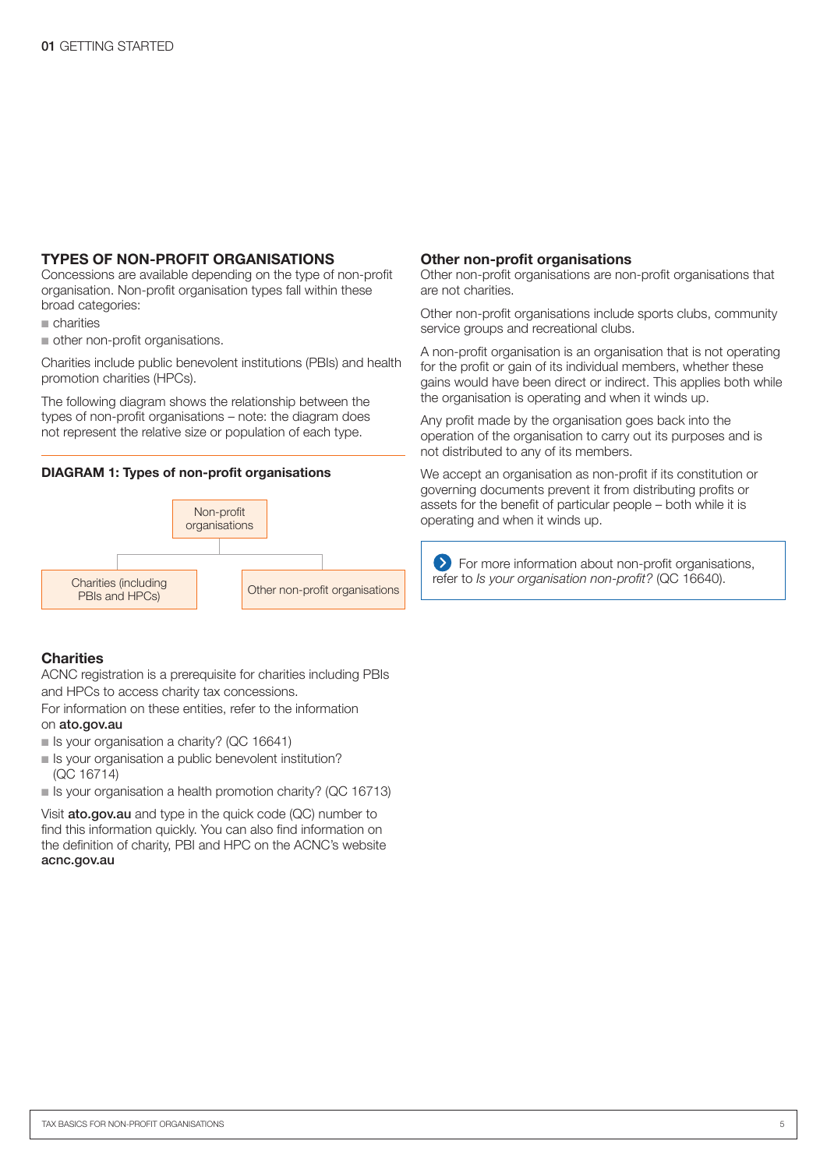#### TYPES OF NON-PROFIT ORGANISATIONS

Concessions are available depending on the type of non-profit organisation. Non-profit organisation types fall within these broad categories:

 $n$  charities

other non-profit organisations.

Charities include public benevolent institutions (PBIs) and health promotion charities (HPCs).

The following diagram shows the relationship between the types of non-profit organisations – note: the diagram does not represent the relative size or population of each type.

#### DIAGRAM 1: Types of non-profit organisations



#### **Charities**

ACNC registration is a prerequisite for charities including PBIs and HPCs to access charity tax concessions.

For information on these entities, refer to the information on ato.gov.au

- $\blacksquare$  Is your organisation a charity? (QC 16641)
- Is your organisation a public benevolent institution? (QC 16714)
- Is your organisation a health promotion charity? (QC 16713)

Visit **ato.gov.au** and type in the quick code (QC) number to find this information quickly. You can also find information on the definition of charity, PBI and HPC on the ACNC's website acnc.gov.au

#### Other non-profit organisations

Other non-profit organisations are non-profit organisations that are not charities.

Other non-profit organisations include sports clubs, community service groups and recreational clubs.

A non-profit organisation is an organisation that is not operating for the profit or gain of its individual members, whether these gains would have been direct or indirect. This applies both while the organisation is operating and when it winds up.

Any profit made by the organisation goes back into the operation of the organisation to carry out its purposes and is not distributed to any of its members.

We accept an organisation as non-profit if its constitution or governing documents prevent it from distributing profits or assets for the benefit of particular people – both while it is operating and when it winds up.

For more information about non-profit organisations, refer to *Is your organisation non-profit?* (QC 16640).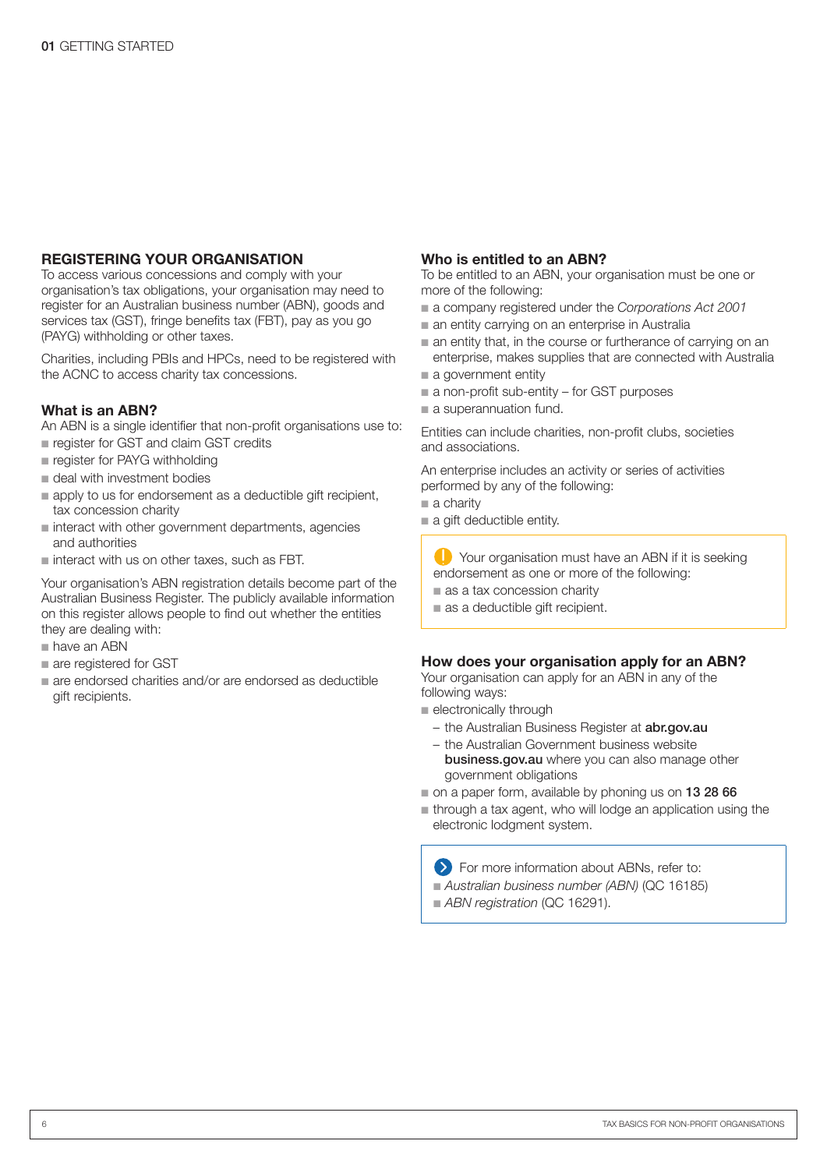#### REGISTERING YOUR ORGANISATION

To access various concessions and comply with your organisation's tax obligations, your organisation may need to register for an Australian business number (ABN), goods and services tax (GST), fringe benefits tax (FBT), pay as you go (PAYG) withholding or other taxes.

Charities, including PBIs and HPCs, need to be registered with the ACNC to access charity tax concessions.

#### What is an ABN?

An ABN is a single identifier that non-profit organisations use to:

- n register for GST and claim GST credits
- n register for PAYG withholding
- n deal with investment bodies
- n apply to us for endorsement as a deductible gift recipient, tax concession charity
- $\blacksquare$  interact with other government departments, agencies and authorities
- $\blacksquare$  interact with us on other taxes, such as FBT.

Your organisation's ABN registration details become part of the Australian Business Register. The publicly available information on this register allows people to find out whether the entities they are dealing with:

- $n$  have an ABN
- n are registered for GST
- n are endorsed charities and/or are endorsed as deductible gift recipients.

#### Who is entitled to an ABN?

To be entitled to an ABN, your organisation must be one or more of the following:

- $\blacksquare$  a company registered under the *Corporations Act 2001*
- $\blacksquare$  an entity carrying on an enterprise in Australia
- $\blacksquare$  an entity that, in the course or furtherance of carrying on an enterprise, makes supplies that are connected with Australia
- a government entity
- $\blacksquare$  a non-profit sub-entity for GST purposes
- a superannuation fund.

Entities can include charities, non-profit clubs, societies and associations.

An enterprise includes an activity or series of activities performed by any of the following:

- $a$  charity
- a gift deductible entity.

**T** Your organisation must have an ABN if it is seeking endorsement as one or more of the following:

- $a$  as a tax concession charity
- $a$  as a deductible gift recipient.

#### How does your organisation apply for an ABN?

Your organisation can apply for an ABN in any of the following ways:

- electronically through
	- the Australian Business Register at **abr.gov.au**
	- the Australian Government business website business.gov.au where you can also manage other government obligations
- on a paper form, available by phoning us on 13 28 66
- n through a tax agent, who will lodge an application using the electronic lodgment system.

**EXECUTE:** For more information about ABNs, refer to:

- *Australian business number (ABN)* (QC 16185)
- **ABN registration (QC 16291).**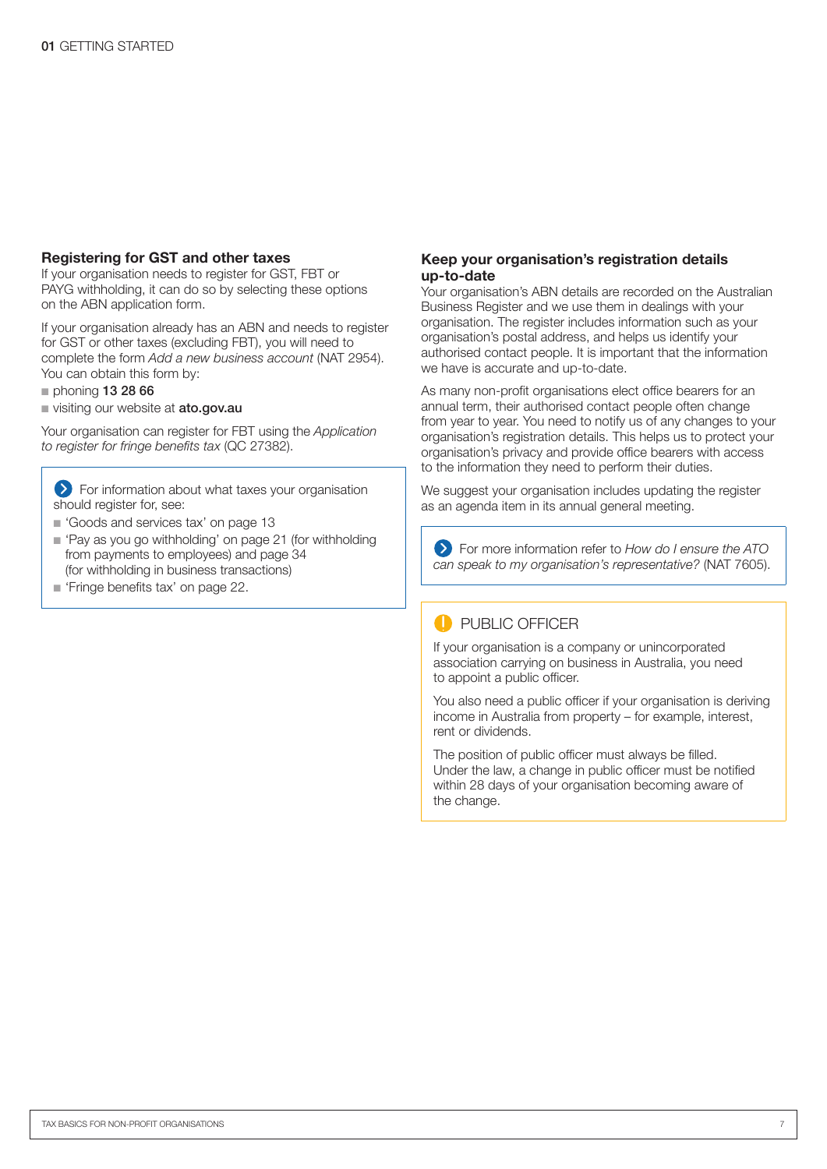#### Registering for GST and other taxes

If your organisation needs to register for GST, FBT or PAYG withholding, it can do so by selecting these options on the ABN application form.

If your organisation already has an ABN and needs to register for GST or other taxes (excluding FBT), you will need to complete the form *Add a new business account* (NAT 2954). You can obtain this form by:

- $p$  phoning 13 28 66
- visiting our website at ato.gov.au

Your organisation can register for FBT using the *Application*  to register for fringe benefits tax (QC 27382).

For information about what taxes your organisation should register for, see:

- Goods and services tax' on page 13
- 'Pay as you go withholding' on page 21 (for withholding from payments to employees) and page 34 (for withholding in business transactions)
- Finge benefits tax' on page 22.

#### Keep your organisation's registration details up-to-date

Your organisation's ABN details are recorded on the Australian Business Register and we use them in dealings with your organisation. The register includes information such as your organisation's postal address, and helps us identify your authorised contact people. It is important that the information we have is accurate and up-to-date.

As many non-profit organisations elect office bearers for an annual term, their authorised contact people often change from year to year. You need to notify us of any changes to your organisation's registration details. This helps us to protect your organisation's privacy and provide office bearers with access to the information they need to perform their duties.

We suggest your organisation includes updating the register as an agenda item in its annual general meeting.

For more information refer to *How do I ensure the ATO can speak to my organisation's representative?* (NAT 7605).

#### **PUBLIC OFFICER**

If your organisation is a company or unincorporated association carrying on business in Australia, you need to appoint a public officer.

You also need a public officer if your organisation is deriving income in Australia from property – for example, interest, rent or dividends.

The position of public officer must always be filled. Under the law, a change in public officer must be notified within 28 days of your organisation becoming aware of the change.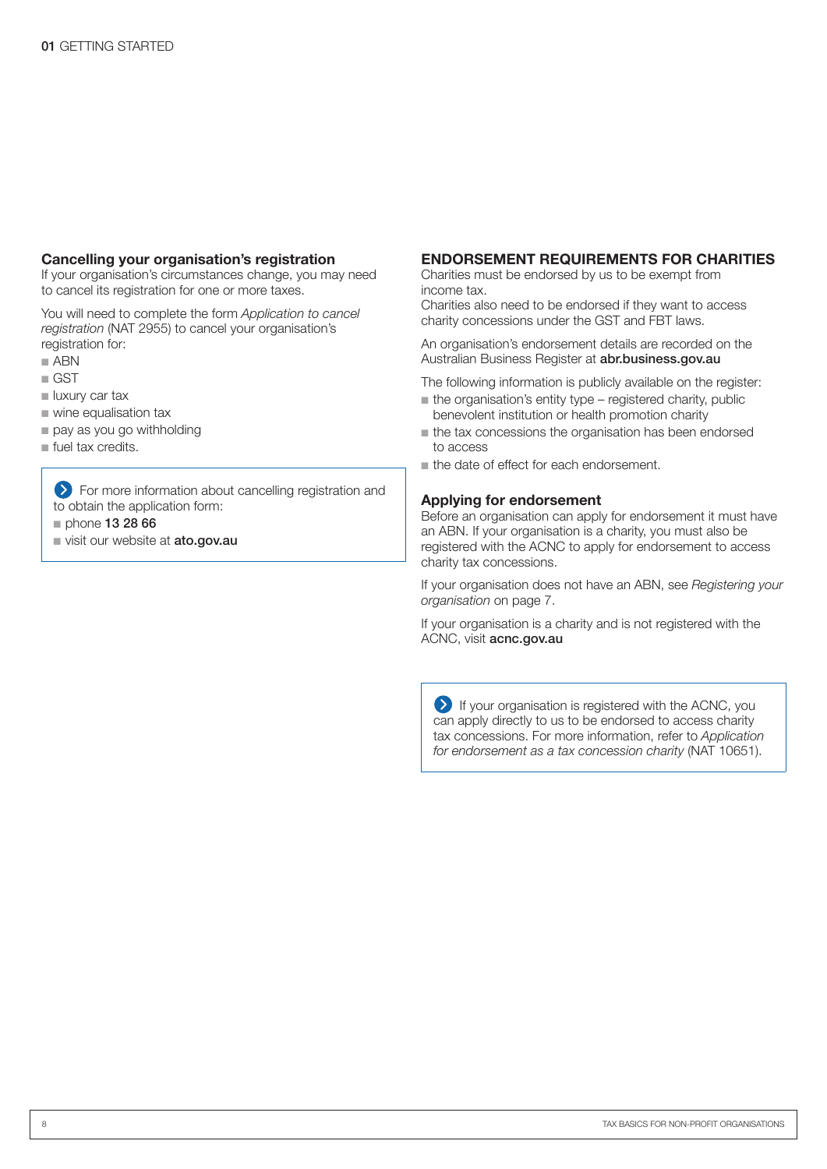#### Cancelling your organisation's registration

If your organisation's circumstances change, you may need to cancel its registration for one or more taxes.

You will need to complete the form *Application to cancel registration* (NAT 2955) to cancel your organisation's registration for:

- $A$ BN
- $\Box$  GST
- uxury car tax
- $\blacksquare$  wine equalisation tax
- pay as you go withholding
- un fuel tax credits.

**EXT** For more information about cancelling registration and to obtain the application form:

- $p$  phone 13 28 66
- visit our website at ato.gov.au

#### ENDORSEMENT REQUIREMENTS FOR CHARITIES

Charities must be endorsed by us to be exempt from income tax.

Charities also need to be endorsed if they want to access charity concessions under the GST and FBT laws.

An organisation's endorsement details are recorded on the Australian Business Register at **abr.business.gov.au** 

The following information is publicly available on the register:

- $n$  the organisation's entity type registered charity, public benevolent institution or health promotion charity
- $\blacksquare$  the tax concessions the organisation has been endorsed to access
- the date of effect for each endorsement.

#### Applying for endorsement

Before an organisation can apply for endorsement it must have an ABN. If your organisation is a charity, you must also be registered with the ACNC to apply for endorsement to access charity tax concessions.

If your organisation does not have an ABN, see *Registering your organisation* on page 7.

If your organisation is a charity and is not registered with the ACNC, visit acnc.gov.au

If your organisation is registered with the ACNC, you can apply directly to us to be endorsed to access charity tax concessions. For more information, refer to *Application for endorsement as a tax concession charity* (NAT 10651).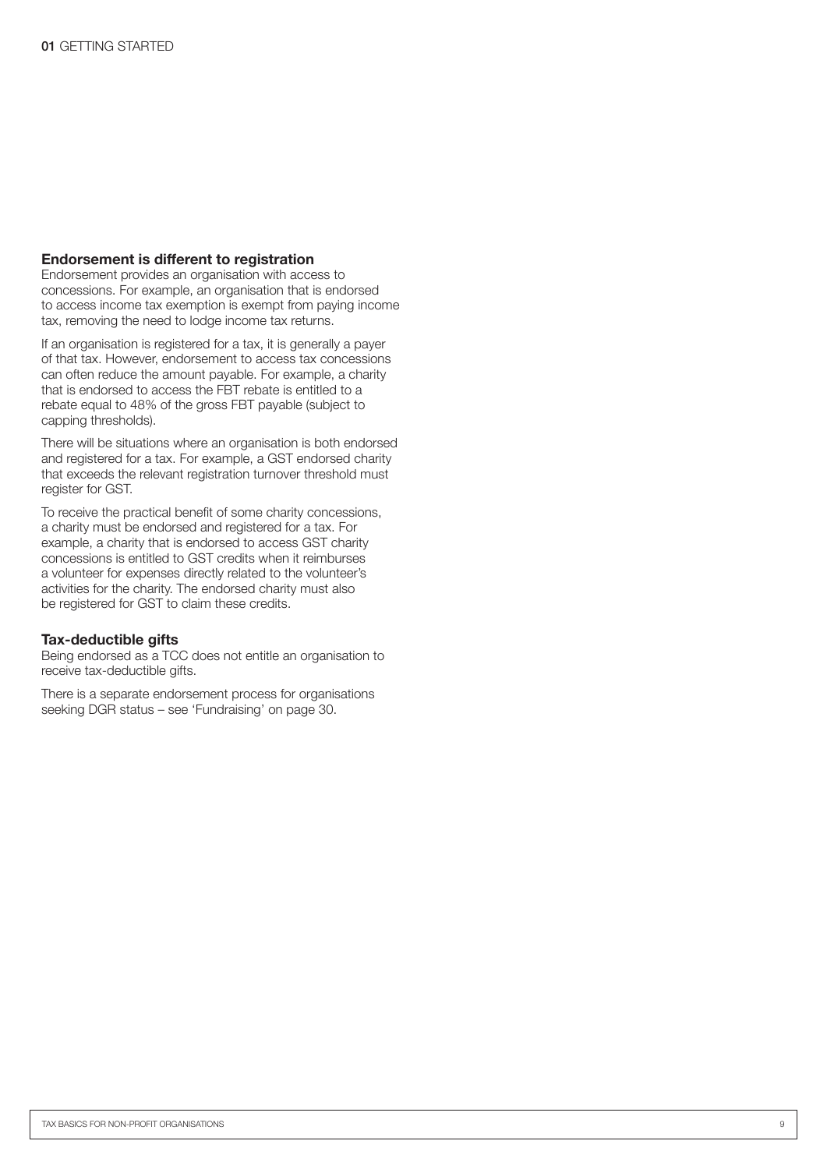#### Endorsement is different to registration

Endorsement provides an organisation with access to concessions. For example, an organisation that is endorsed to access income tax exemption is exempt from paying income tax, removing the need to lodge income tax returns.

If an organisation is registered for a tax, it is generally a payer of that tax. However, endorsement to access tax concessions can often reduce the amount payable. For example, a charity that is endorsed to access the FBT rebate is entitled to a rebate equal to 48% of the gross FBT payable (subject to capping thresholds).

There will be situations where an organisation is both endorsed and registered for a tax. For example, a GST endorsed charity that exceeds the relevant registration turnover threshold must register for GST.

To receive the practical benefit of some charity concessions, a charity must be endorsed and registered for a tax. For example, a charity that is endorsed to access GST charity concessions is entitled to GST credits when it reimburses a volunteer for expenses directly related to the volunteer's activities for the charity. The endorsed charity must also be registered for GST to claim these credits.

#### Tax-deductible gifts

Being endorsed as a TCC does not entitle an organisation to receive tax-deductible gifts.

There is a separate endorsement process for organisations seeking DGR status – see 'Fundraising' on page 30.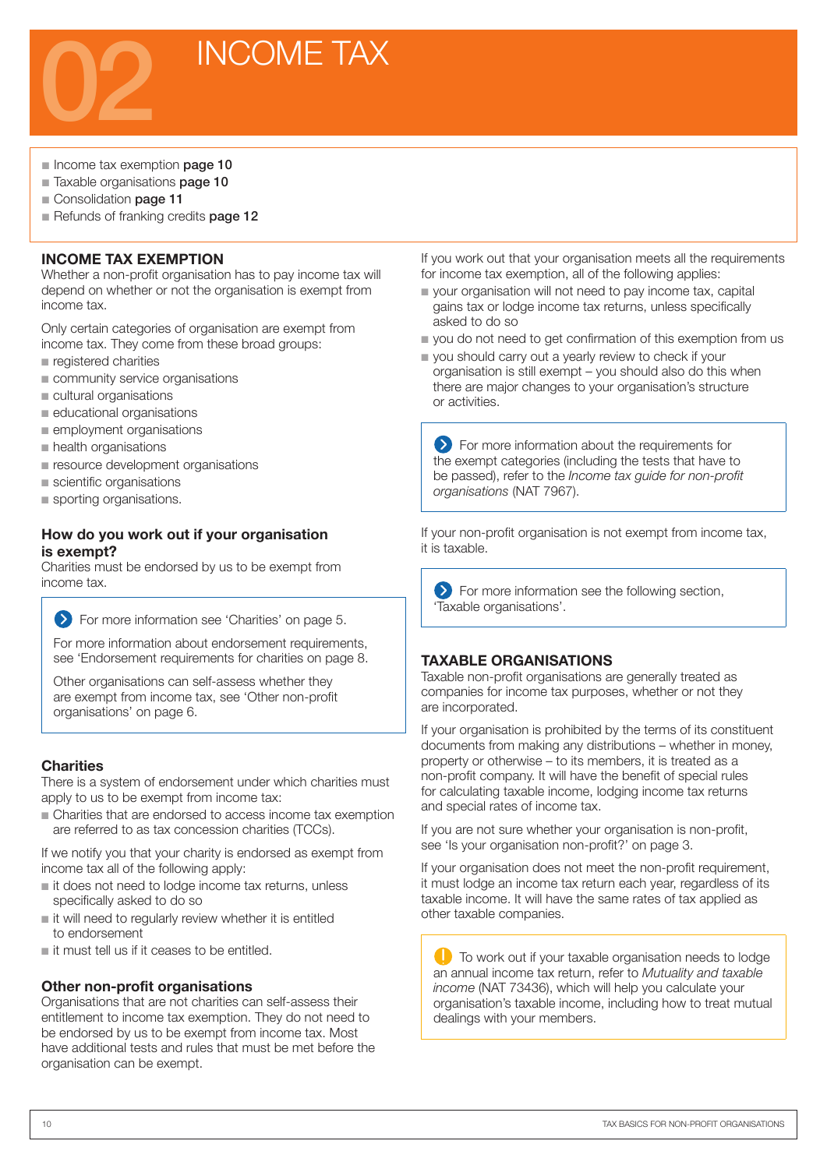

- Income tax exemption **page 10**
- Taxable organisations **page 10**
- Consolidation page 11
- Refunds of franking credits page 12

#### INCOME TAX EXEMPTION

Whether a non-profit organisation has to pay income tax will depend on whether or not the organisation is exempt from income tax.

Only certain categories of organisation are exempt from income tax. They come from these broad groups:

- n registered charities
- community service organisations
- cultural organisations
- $\blacksquare$  educational organisations
- **n** employment organisations
- **n** health organisations
- **n** resource development organisations
- scientific organisations
- sporting organisations.

#### How do you work out if your organisation is exempt?

Charities must be endorsed by us to be exempt from income tax.

For more information see 'Charities' on page 5.

For more information about endorsement requirements, see 'Endorsement requirements for charities on page 8.

Other organisations can self-assess whether they are exempt from income tax, see 'Other non-profit organisations' on page 6.

#### **Charities**

There is a system of endorsement under which charities must apply to us to be exempt from income tax:

n Charities that are endorsed to access income tax exemption are referred to as tax concession charities (TCCs).

If we notify you that your charity is endorsed as exempt from income tax all of the following apply:

- $\blacksquare$  it does not need to lodge income tax returns, unless specifically asked to do so
- n it will need to regularly review whether it is entitled to endorsement
- $\blacksquare$  it must tell us if it ceases to be entitled.

#### Other non-profit organisations

Organisations that are not charities can self-assess their entitlement to income tax exemption. They do not need to be endorsed by us to be exempt from income tax. Most have additional tests and rules that must be met before the organisation can be exempt.

If you work out that your organisation meets all the requirements for income tax exemption, all of the following applies:

- $\blacksquare$  your organisation will not need to pay income tax, capital gains tax or lodge income tax returns, unless specifically asked to do so
- vou do not need to get confirmation of this exemption from us
- **p** you should carry out a yearly review to check if your organisation is still exempt – you should also do this when there are major changes to your organisation's structure or activities.

**EX** For more information about the requirements for the exempt categories (including the tests that have to be passed), refer to the *Income tax guide for non-profit organisations* (NAT 7967).

If your non-profit organisation is not exempt from income tax, it is taxable.

**EXECUTE:** For more information see the following section, 'Taxable organisations'.

#### TAXABLE ORGANISATIONS

Taxable non-profit organisations are generally treated as companies for income tax purposes, whether or not they are incorporated.

If your organisation is prohibited by the terms of its constituent documents from making any distributions – whether in money, property or otherwise – to its members, it is treated as a non-profit company. It will have the benefit of special rules for calculating taxable income, lodging income tax returns and special rates of income tax.

If you are not sure whether your organisation is non-profit, see 'Is your organisation non-profit?' on page 3.

If your organisation does not meet the non-profit requirement, it must lodge an income tax return each year, regardless of its taxable income. It will have the same rates of tax applied as other taxable companies.

**C** To work out if your taxable organisation needs to lodge an annual income tax return, refer to *Mutuality and taxable income* (NAT 73436), which will help you calculate your organisation's taxable income, including how to treat mutual dealings with your members.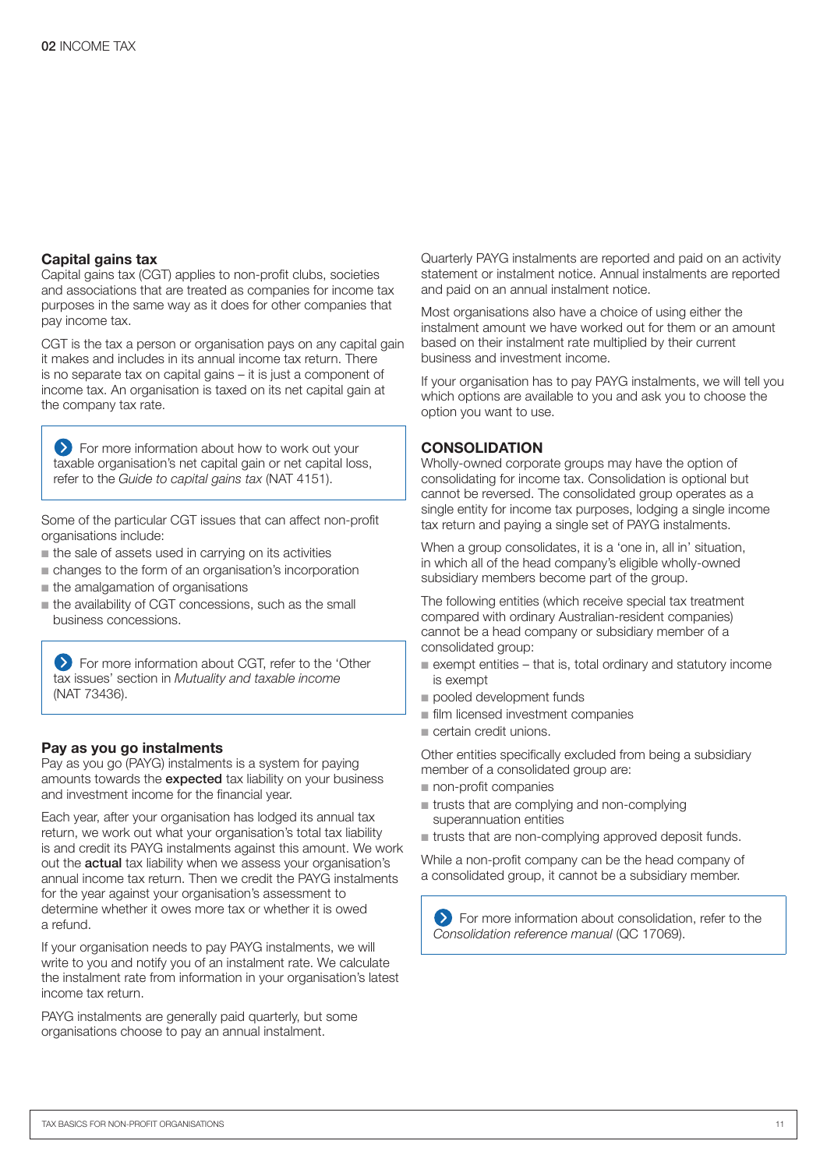#### Capital gains tax

Capital gains tax (CGT) applies to non-profit clubs, societies and associations that are treated as companies for income tax purposes in the same way as it does for other companies that pay income tax.

CGT is the tax a person or organisation pays on any capital gain it makes and includes in its annual income tax return. There is no separate tax on capital gains – it is just a component of income tax. An organisation is taxed on its net capital gain at the company tax rate.

For more information about how to work out your taxable organisation's net capital gain or net capital loss, refer to the *Guide to capital gains tax* (NAT 4151).

Some of the particular CGT issues that can affect non-profit organisations include:

- $\blacksquare$  the sale of assets used in carrying on its activities
- n changes to the form of an organisation's incorporation
- $n$  the amalgamation of organisations
- n the availability of CGT concessions, such as the small business concessions.

 For more information about CGT, refer to the 'Other tax issues' section in *Mutuality and taxable income* (NAT 73436).

#### Pay as you go instalments

Pay as you go (PAYG) instalments is a system for paying amounts towards the expected tax liability on your business and investment income for the financial year.

Each year, after your organisation has lodged its annual tax return, we work out what your organisation's total tax liability is and credit its PAYG instalments against this amount. We work out the **actual** tax liability when we assess your organisation's annual income tax return. Then we credit the PAYG instalments for the year against your organisation's assessment to determine whether it owes more tax or whether it is owed a refund.

If your organisation needs to pay PAYG instalments, we will write to you and notify you of an instalment rate. We calculate the instalment rate from information in your organisation's latest income tax return.

PAYG instalments are generally paid quarterly, but some organisations choose to pay an annual instalment.

Quarterly PAYG instalments are reported and paid on an activity statement or instalment notice. Annual instalments are reported and paid on an annual instalment notice.

Most organisations also have a choice of using either the instalment amount we have worked out for them or an amount based on their instalment rate multiplied by their current business and investment income.

If your organisation has to pay PAYG instalments, we will tell you which options are available to you and ask you to choose the option you want to use.

#### **CONSOLIDATION**

Wholly-owned corporate groups may have the option of consolidating for income tax. Consolidation is optional but cannot be reversed. The consolidated group operates as a single entity for income tax purposes, lodging a single income tax return and paying a single set of PAYG instalments.

When a group consolidates, it is a 'one in, all in' situation, in which all of the head company's eligible wholly-owned subsidiary members become part of the group.

The following entities (which receive special tax treatment compared with ordinary Australian-resident companies) cannot be a head company or subsidiary member of a consolidated group:

- $\blacksquare$  exempt entities that is, total ordinary and statutory income is exempt
- pooled development funds
- $\blacksquare$  film licensed investment companies
- $\blacksquare$  certain credit unions.

Other entities specifically excluded from being a subsidiary member of a consolidated group are:

- non-profit companies
- $r$  trusts that are complying and non-complying superannuation entities
- $\blacksquare$  trusts that are non-complying approved deposit funds.

While a non-profit company can be the head company of a consolidated group, it cannot be a subsidiary member.

For more information about consolidation, refer to the *Consolidation reference manual* (QC 17069).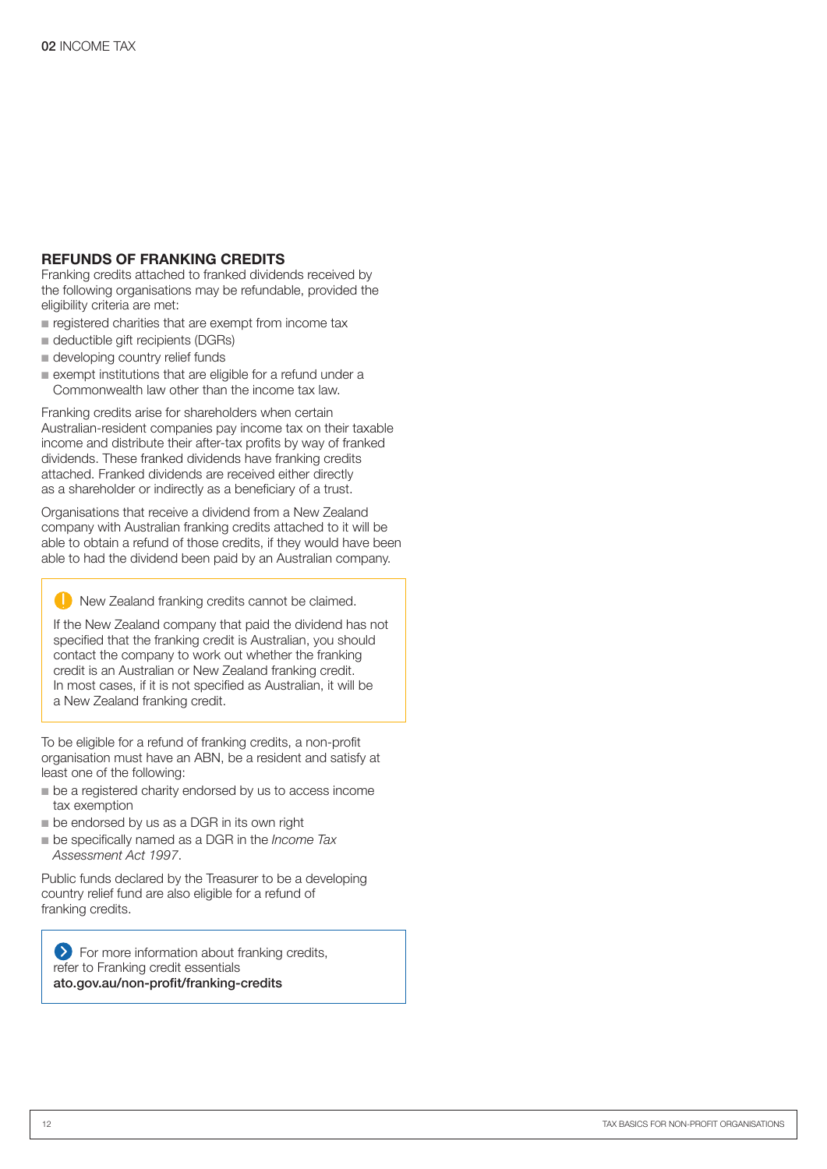#### REFUNDS OF FRANKING CREDITS

Franking credits attached to franked dividends received by the following organisations may be refundable, provided the eligibility criteria are met:

- $\blacksquare$  registered charities that are exempt from income tax
- deductible gift recipients (DGRs)
- $\blacksquare$  developing country relief funds
- n exempt institutions that are eligible for a refund under a Commonwealth law other than the income tax law.

Franking credits arise for shareholders when certain Australian-resident companies pay income tax on their taxable income and distribute their after-tax profits by way of franked dividends. These franked dividends have franking credits attached. Franked dividends are received either directly as a shareholder or indirectly as a beneficiary of a trust.

Organisations that receive a dividend from a New Zealand company with Australian franking credits attached to it will be able to obtain a refund of those credits, if they would have been able to had the dividend been paid by an Australian company.

New Zealand franking credits cannot be claimed.

If the New Zealand company that paid the dividend has not specified that the franking credit is Australian, you should contact the company to work out whether the franking credit is an Australian or New Zealand franking credit. In most cases, if it is not specified as Australian, it will be a New Zealand franking credit.

To be eligible for a refund of franking credits, a non-profit organisation must have an ABN, be a resident and satisfy at least one of the following:

- $\blacksquare$  be a registered charity endorsed by us to access income tax exemption
- $\blacksquare$  be endorsed by us as a DGR in its own right
- n be specifically named as a DGR in the *Income Tax Assessment Act 1997*.

Public funds declared by the Treasurer to be a developing country relief fund are also eligible for a refund of franking credits.

**S** For more information about franking credits, refer to Franking credit essentials ato.gov.au/non-profit/franking-credits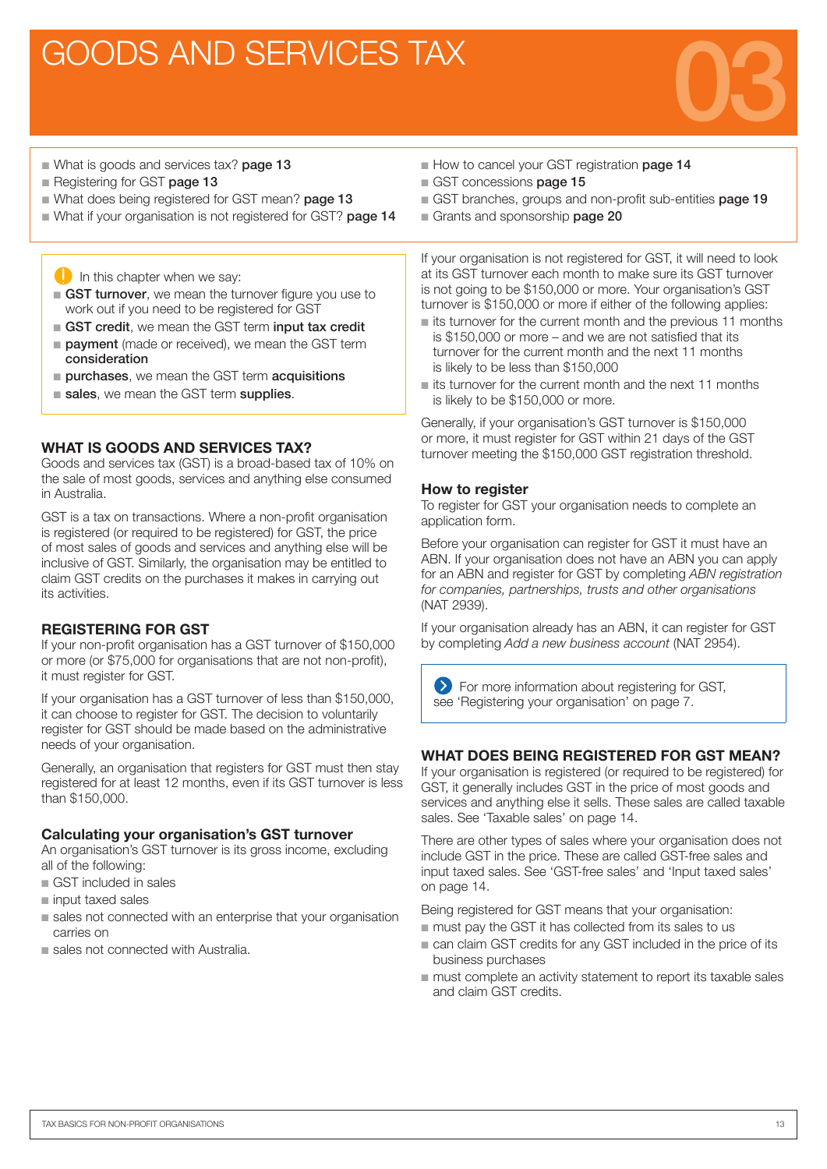### GOODS AND SERVICES TAX



- What is goods and services tax? **page 13**
- Registering for GST page 13
- What does being registered for GST mean? page 13
- What if your organisation is not registered for GST? page 14
	- $\Box$  In this chapter when we say:
	- GST turnover, we mean the turnover figure you use to work out if you need to be registered for GST
	- GST credit, we mean the GST term input tax credit
	- **n payment** (made or received), we mean the GST term consideration
	- $\blacksquare$  purchases, we mean the GST term acquisitions
	- sales, we mean the GST term supplies.

#### WHAT IS GOODS AND SERVICES TAX?

Goods and services tax (GST) is a broad-based tax of 10% on the sale of most goods, services and anything else consumed in Australia.

GST is a tax on transactions. Where a non-profit organisation is registered (or required to be registered) for GST, the price of most sales of goods and services and anything else will be inclusive of GST. Similarly, the organisation may be entitled to claim GST credits on the purchases it makes in carrying out its activities.

#### REGISTERING FOR GST

If your non-profit organisation has a GST turnover of \$150,000 or more (or \$75,000 for organisations that are not non-profit), it must register for GST.

If your organisation has a GST turnover of less than \$150,000, it can choose to register for GST. The decision to voluntarily register for GST should be made based on the administrative needs of your organisation.

Generally, an organisation that registers for GST must then stay registered for at least 12 months, even if its GST turnover is less than \$150,000.

#### Calculating your organisation's GST turnover

An organisation's GST turnover is its gross income, excluding all of the following:

- GST included in sales
- n input taxed sales
- sales not connected with an enterprise that your organisation carries on
- sales not connected with Australia.
- How to cancel your GST registration page 14
- GST concessions **page 15**
- GST branches, groups and non-profit sub-entities page 19
- Grants and sponsorship page 20

If your organisation is not registered for GST, it will need to look at its GST turnover each month to make sure its GST turnover is not going to be \$150,000 or more. Your organisation's GST turnover is \$150,000 or more if either of the following applies:

- $\blacksquare$  its turnover for the current month and the previous 11 months is \$150,000 or more – and we are not satisfied that its turnover for the current month and the next 11 months is likely to be less than \$150,000
- $\blacksquare$  its turnover for the current month and the next 11 months is likely to be \$150,000 or more.

Generally, if your organisation's GST turnover is \$150,000 or more, it must register for GST within 21 days of the GST turnover meeting the \$150,000 GST registration threshold.

#### How to register

To register for GST your organisation needs to complete an application form.

Before your organisation can register for GST it must have an ABN. If your organisation does not have an ABN you can apply for an ABN and register for GST by completing *ABN registration for companies, partnerships, trusts and other organisations* (NAT 2939).

If your organisation already has an ABN, it can register for GST by completing *Add a new business account* (NAT 2954).

**EXECUTE:** For more information about registering for GST, see 'Registering your organisation' on page 7.

#### WHAT DOES BEING REGISTERED FOR GST MEAN?

If your organisation is registered (or required to be registered) for GST, it generally includes GST in the price of most goods and services and anything else it sells. These sales are called taxable sales. See 'Taxable sales' on page 14.

There are other types of sales where your organisation does not include GST in the price. These are called GST-free sales and input taxed sales. See 'GST-free sales' and 'Input taxed sales' on page 14.

Being registered for GST means that your organisation:

- $\blacksquare$  must pay the GST it has collected from its sales to us
- $\blacksquare$  can claim GST credits for any GST included in the price of its business purchases
- $\blacksquare$  must complete an activity statement to report its taxable sales and claim GST credits.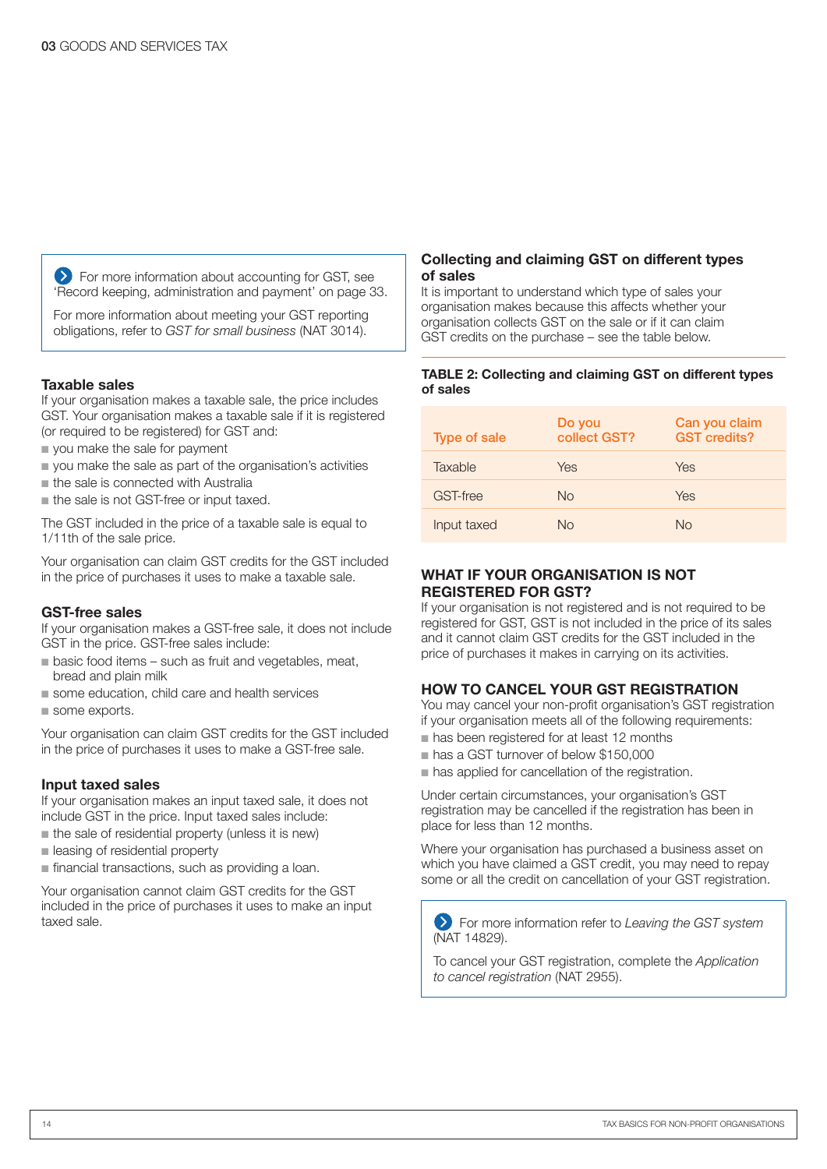**EXT** For more information about accounting for GST, see 'Record keeping, administration and payment' on page 33.

For more information about meeting your GST reporting obligations, refer to *GST for small business* (NAT 3014).

#### Taxable sales

If your organisation makes a taxable sale, the price includes GST. Your organisation makes a taxable sale if it is registered (or required to be registered) for GST and:

- vou make the sale for payment
- vou make the sale as part of the organisation's activities
- $n$  the sale is connected with Australia
- the sale is not GST-free or input taxed.

The GST included in the price of a taxable sale is equal to 1/11th of the sale price.

Your organisation can claim GST credits for the GST included in the price of purchases it uses to make a taxable sale.

#### GST-free sales

If your organisation makes a GST-free sale, it does not include GST in the price. GST-free sales include:

- n basic food items such as fruit and vegetables, meat, bread and plain milk
- some education, child care and health services
- some exports.

Your organisation can claim GST credits for the GST included in the price of purchases it uses to make a GST-free sale.

#### Input taxed sales

If your organisation makes an input taxed sale, it does not include GST in the price. Input taxed sales include:

- $\blacksquare$  the sale of residential property (unless it is new)
- **n** leasing of residential property
- $\blacksquare$  financial transactions, such as providing a loan.

Your organisation cannot claim GST credits for the GST included in the price of purchases it uses to make an input taxed sale.

#### Collecting and claiming GST on different types of sales

It is important to understand which type of sales your organisation makes because this affects whether your organisation collects GST on the sale or if it can claim GST credits on the purchase – see the table below.

#### TABLE 2: Collecting and claiming GST on different types of sales

| <b>Type of sale</b> | Do you<br>collect GST? | Can you claim<br><b>GST</b> credits? |
|---------------------|------------------------|--------------------------------------|
| Taxable             | Yes                    | Yes                                  |
| GST-free            | No.                    | Yes                                  |
| Input taxed         | No                     | No.                                  |

#### WHAT IF YOUR ORGANISATION IS NOT REGISTERED FOR GST?

If your organisation is not registered and is not required to be registered for GST, GST is not included in the price of its sales and it cannot claim GST credits for the GST included in the price of purchases it makes in carrying on its activities.

#### HOW TO CANCEL YOUR GST REGISTRATION

You may cancel your non-profit organisation's GST registration if your organisation meets all of the following requirements:

- n has been registered for at least 12 months
- n has a GST turnover of below \$150,000
- $n$  has applied for cancellation of the registration.

Under certain circumstances, your organisation's GST registration may be cancelled if the registration has been in place for less than 12 months.

Where your organisation has purchased a business asset on which you have claimed a GST credit, you may need to repay some or all the credit on cancellation of your GST registration.

For more information refer to *Leaving the GST system* (NAT 14829).

To cancel your GST registration, complete the *Application*  to cancel registration (NAT 2955).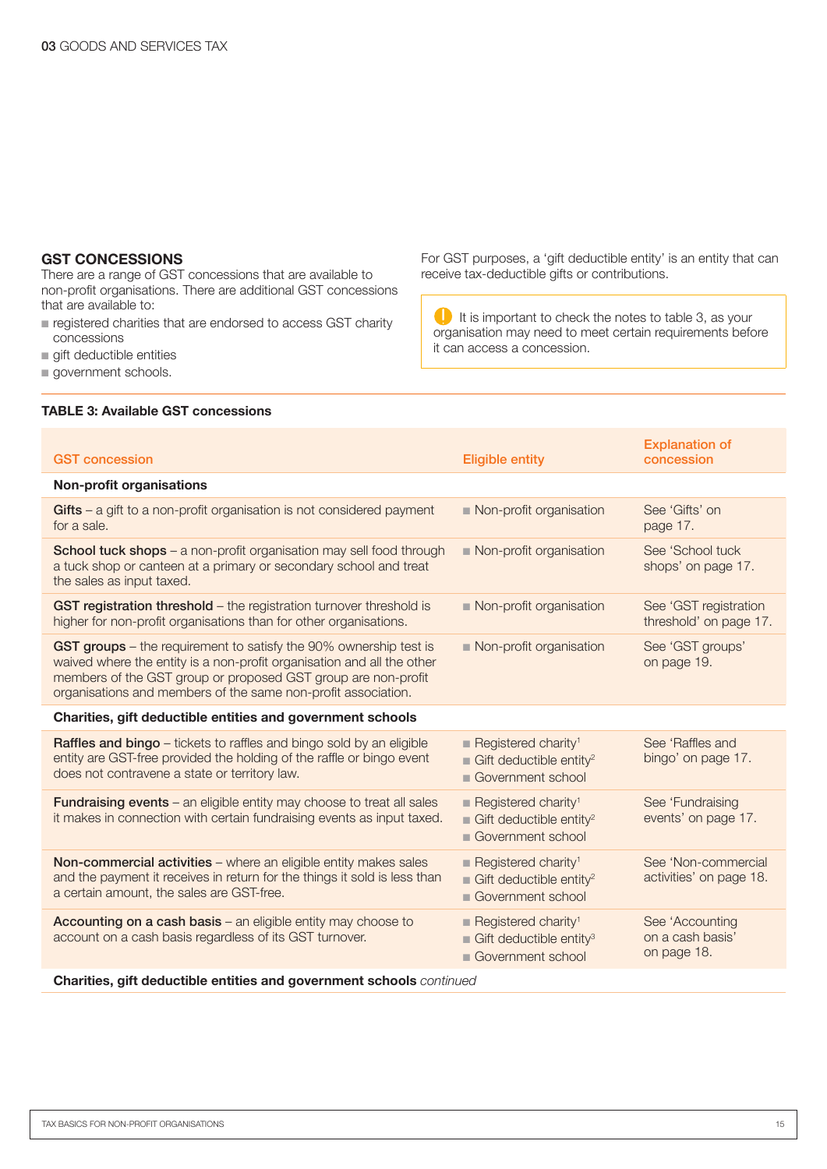#### GST CONCESSIONS

There are a range of GST concessions that are available to non‑profit organisations. There are additional GST concessions that are available to:

- registered charities that are endorsed to access GST charity concessions
- $\blacksquare$  gift deductible entities
- **government schools.**

#### TABLE 3: Available GST concessions

For GST purposes, a 'gift deductible entity' is an entity that can receive tax-deductible gifts or contributions.

It is important to check the notes to table 3, as your organisation may need to meet certain requirements before it can access a concession.

| <b>GST</b> concession                                                                                                                                                                                                                                                         | <b>Eligible entity</b>                                                                                     | <b>Explanation of</b><br>concession                |
|-------------------------------------------------------------------------------------------------------------------------------------------------------------------------------------------------------------------------------------------------------------------------------|------------------------------------------------------------------------------------------------------------|----------------------------------------------------|
| <b>Non-profit organisations</b>                                                                                                                                                                                                                                               |                                                                                                            |                                                    |
| $G$ ifts – a gift to a non-profit organisation is not considered payment<br>for a sale.                                                                                                                                                                                       | Non-profit organisation                                                                                    | See 'Gifts' on<br>page 17.                         |
| School tuck shops - a non-profit organisation may sell food through<br>a tuck shop or canteen at a primary or secondary school and treat<br>the sales as input taxed.                                                                                                         | Non-profit organisation                                                                                    | See 'School tuck<br>shops' on page 17.             |
| GST registration threshold - the registration turnover threshold is<br>higher for non-profit organisations than for other organisations.                                                                                                                                      | Non-profit organisation                                                                                    | See 'GST registration<br>threshold' on page 17.    |
| GST groups – the requirement to satisfy the 90% ownership test is<br>waived where the entity is a non-profit organisation and all the other<br>members of the GST group or proposed GST group are non-profit<br>organisations and members of the same non-profit association. | Non-profit organisation                                                                                    | See 'GST groups'<br>on page 19.                    |
| Charities, gift deductible entities and government schools                                                                                                                                                                                                                    |                                                                                                            |                                                    |
| Raffles and bingo - tickets to raffles and bingo sold by an eligible<br>entity are GST-free provided the holding of the raffle or bingo event<br>does not contravene a state or territory law.                                                                                | Registered charity <sup>1</sup><br><b>Gift deductible entity<sup>2</sup></b><br>Government school          | See 'Raffles and<br>bingo' on page 17.             |
| <b>Fundraising events</b> – an eligible entity may choose to treat all sales<br>it makes in connection with certain fundraising events as input taxed.                                                                                                                        | Registered charity <sup>1</sup><br><b>Gift deductible entity<sup>2</sup></b><br>Government school          | See 'Fundraising<br>events' on page 17.            |
| Non-commercial activities - where an eligible entity makes sales<br>and the payment it receives in return for the things it sold is less than<br>a certain amount, the sales are GST-free.                                                                                    | Registered charity <sup>1</sup><br><b>Gift deductible entity<sup>2</sup></b><br>Government school          | See 'Non-commercial<br>activities' on page 18.     |
| Accounting on a cash basis - an eligible entity may choose to<br>account on a cash basis regardless of its GST turnover.                                                                                                                                                      | Registered charity <sup>1</sup><br>$\blacksquare$ Gift deductible entity <sup>3</sup><br>Government school | See 'Accounting<br>on a cash basis'<br>on page 18. |

Charities, gift deductible entities and government schools *continued*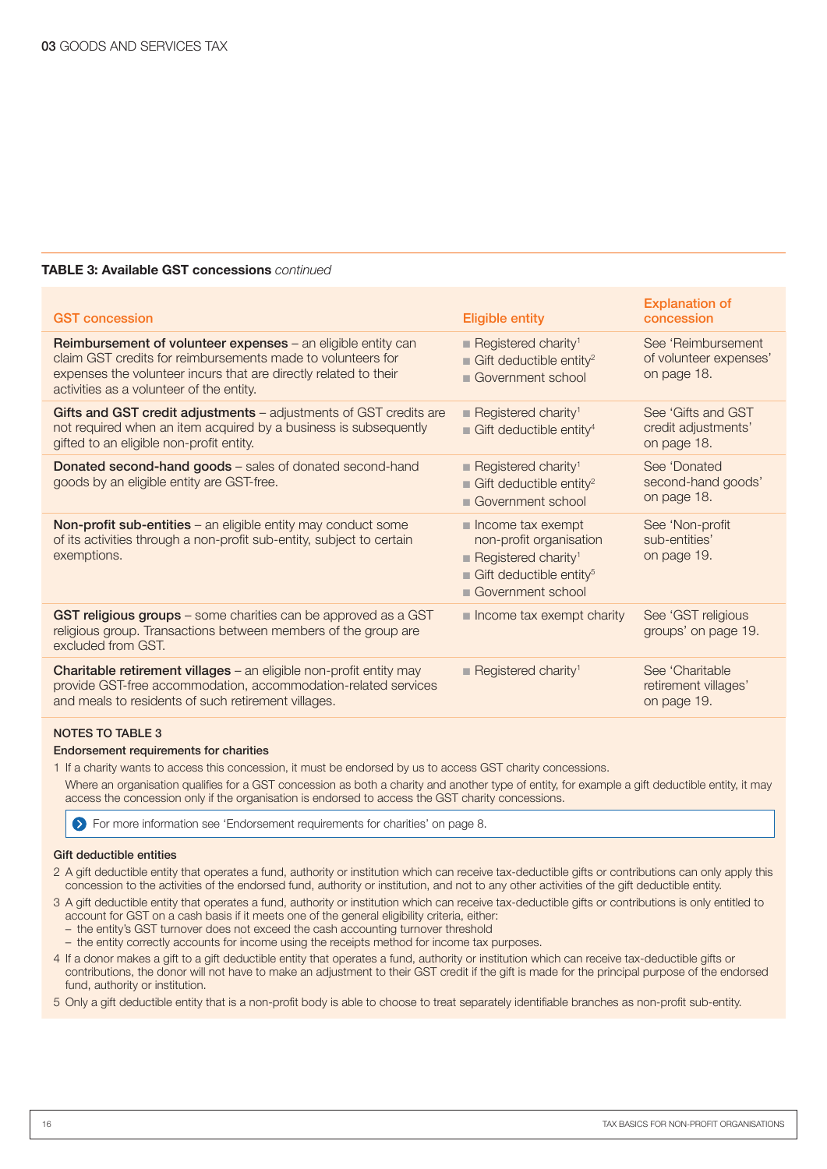#### TABLE 3: Available GST concessions *continued*

| <b>GST</b> concession                                                                                                                                                                                                                              | <b>Eligible entity</b>                                                                                                                                            | <b>Explanation of</b><br>concession                         |
|----------------------------------------------------------------------------------------------------------------------------------------------------------------------------------------------------------------------------------------------------|-------------------------------------------------------------------------------------------------------------------------------------------------------------------|-------------------------------------------------------------|
| <b>Reimbursement of volunteer expenses</b> – an eligible entity can<br>claim GST credits for reimbursements made to volunteers for<br>expenses the volunteer incurs that are directly related to their<br>activities as a volunteer of the entity. | Registered charity <sup>1</sup><br><b>Gift deductible entity<sup>2</sup></b><br>Government school                                                                 | See 'Reimbursement<br>of volunteer expenses'<br>on page 18. |
| Gifts and GST credit adjustments - adjustments of GST credits are<br>not required when an item acquired by a business is subsequently<br>gifted to an eligible non-profit entity.                                                                  | Registered charity <sup>1</sup><br><b>Gift deductible entity</b> <sup>4</sup>                                                                                     | See 'Gifts and GST<br>credit adjustments'<br>on page 18.    |
| <b>Donated second-hand goods</b> – sales of donated second-hand<br>goods by an eligible entity are GST-free.                                                                                                                                       | Registered charity <sup>1</sup><br><b>Gift deductible entity<sup>2</sup></b><br>Government school                                                                 | See 'Donated<br>second-hand goods'<br>on page 18.           |
| Non-profit sub-entities - an eligible entity may conduct some<br>of its activities through a non-profit sub-entity, subject to certain<br>exemptions.                                                                                              | $\blacksquare$ Income tax exempt<br>non-profit organisation<br>Registered charity <sup>1</sup><br><b>Gift deductible entity</b> <sup>5</sup><br>Government school | See 'Non-profit<br>sub-entities'<br>on page 19.             |
| GST religious groups - some charities can be approved as a GST<br>religious group. Transactions between members of the group are<br>excluded from GST.                                                                                             | $\blacksquare$ Income tax exempt charity                                                                                                                          | See 'GST religious<br>groups' on page 19.                   |
| Charitable retirement villages - an eligible non-profit entity may<br>provide GST-free accommodation, accommodation-related services<br>and meals to residents of such retirement villages.                                                        | Registered charity <sup>1</sup>                                                                                                                                   | See 'Charitable<br>retirement villages'<br>on page 19.      |

#### NOTES TO TABLE 3

#### Endorsement requirements for charities

1 If a charity wants to access this concession, it must be endorsed by us to access GST charity concessions.

Where an organisation qualifies for a GST concession as both a charity and another type of entity, for example a gift deductible entity, it may access the concession only if the organisation is endorsed to access the GST charity concessions.

For more information see 'Endorsement requirements for charities' on page 8.

#### Gift deductible entities

- 2 A gift deductible entity that operates a fund, authority or institution which can receive tax-deductible gifts or contributions can only apply this concession to the activities of the endorsed fund, authority or institution, and not to any other activities of the gift deductible entity.
- 3 A gift deductible entity that operates a fund, authority or institution which can receive tax-deductible gifts or contributions is only entitled to account for GST on a cash basis if it meets one of the general eligibility criteria, either:
	- the entity's GST turnover does not exceed the cash accounting turnover threshold
	- the entity correctly accounts for income using the receipts method for income tax purposes.
- 4 If a donor makes a gift to a gift deductible entity that operates a fund, authority or institution which can receive tax-deductible gifts or contributions, the donor will not have to make an adjustment to their GST credit if the gift is made for the principal purpose of the endorsed fund, authority or institution.

5 Only a gift deductible entity that is a non-profit body is able to choose to treat separately identifiable branches as non-profit sub-entity.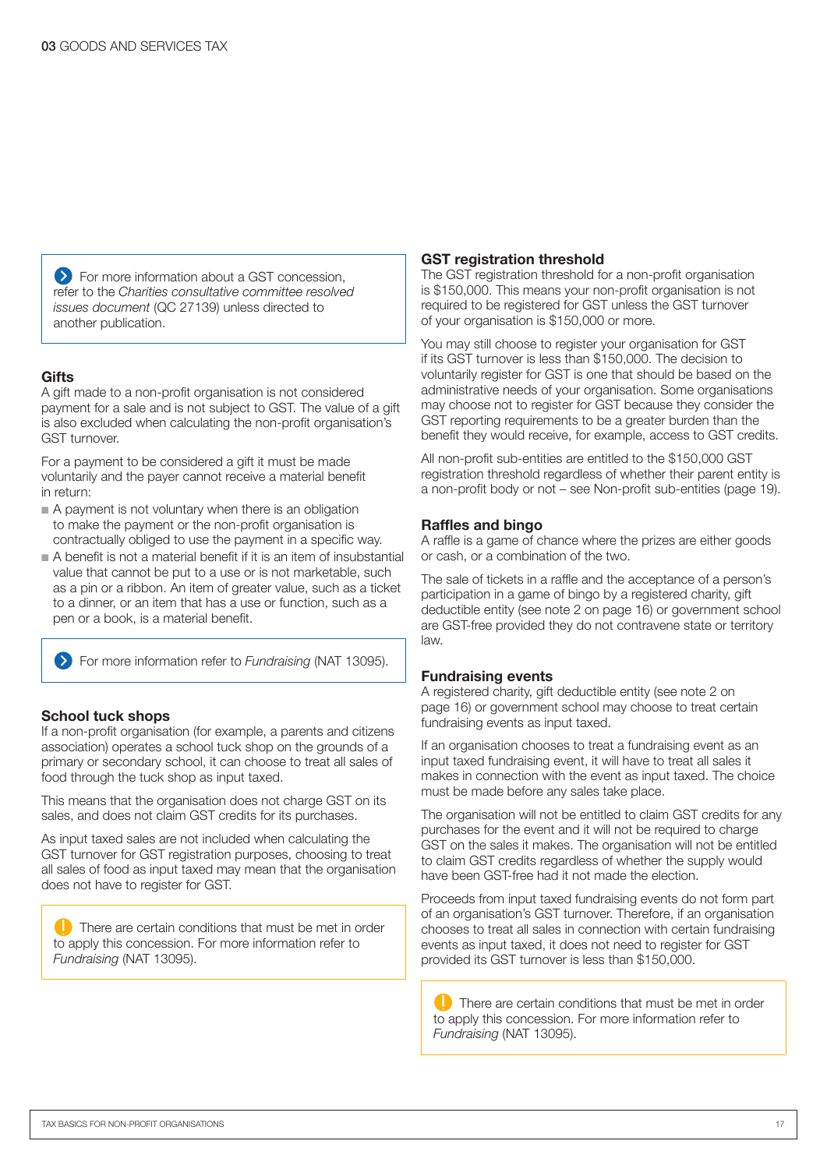**EXT** For more information about a GST concession, refer to the *Charities consultative committee resolved issues document* (QC 27139) unless directed to another publication.

#### **Gifts**

A gift made to a non-profit organisation is not considered payment for a sale and is not subject to GST. The value of a gift is also excluded when calculating the non-profit organisation's GST turnover.

For a payment to be considered a gift it must be made voluntarily and the payer cannot receive a material benefit in return:

- $\blacksquare$  A payment is not voluntary when there is an obligation to make the payment or the non-profit organisation is contractually obliged to use the payment in a specific way.
- n A benefit is not a material benefit if it is an item of insubstantial value that cannot be put to a use or is not marketable, such as a pin or a ribbon. An item of greater value, such as a ticket to a dinner, or an item that has a use or function, such as a pen or a book, is a material benefit.

For more information refer to *Fundraising* (NAT 13095).

#### School tuck shops

If a non-profit organisation (for example, a parents and citizens association) operates a school tuck shop on the grounds of a primary or secondary school, it can choose to treat all sales of food through the tuck shop as input taxed.

This means that the organisation does not charge GST on its sales, and does not claim GST credits for its purchases.

As input taxed sales are not included when calculating the GST turnover for GST registration purposes, choosing to treat all sales of food as input taxed may mean that the organisation does not have to register for GST.

**There are certain conditions that must be met in order** to apply this concession. For more information refer to *Fundraising* (NAT 13095).

#### GST registration threshold

The GST registration threshold for a non-profit organisation is \$150,000. This means your non-profit organisation is not required to be registered for GST unless the GST turnover of your organisation is \$150,000 or more.

You may still choose to register your organisation for GST if its GST turnover is less than \$150,000. The decision to voluntarily register for GST is one that should be based on the administrative needs of your organisation. Some organisations may choose not to register for GST because they consider the GST reporting requirements to be a greater burden than the benefit they would receive, for example, access to GST credits.

All non-profit sub-entities are entitled to the \$150,000 GST registration threshold regardless of whether their parent entity is a non-profit body or not – see Non-profit sub-entities (page 19).

#### Raffles and bingo

A raffle is a game of chance where the prizes are either goods or cash, or a combination of the two.

The sale of tickets in a raffle and the acceptance of a person's participation in a game of bingo by a registered charity, gift deductible entity (see note 2 on page 16) or government school are GST-free provided they do not contravene state or territory law.

#### Fundraising events

A registered charity, gift deductible entity (see note 2 on page 16) or government school may choose to treat certain fundraising events as input taxed.

If an organisation chooses to treat a fundraising event as an input taxed fundraising event, it will have to treat all sales it makes in connection with the event as input taxed. The choice must be made before any sales take place.

The organisation will not be entitled to claim GST credits for any purchases for the event and it will not be required to charge GST on the sales it makes. The organisation will not be entitled to claim GST credits regardless of whether the supply would have been GST-free had it not made the election.

Proceeds from input taxed fundraising events do not form part of an organisation's GST turnover. Therefore, if an organisation chooses to treat all sales in connection with certain fundraising events as input taxed, it does not need to register for GST provided its GST turnover is less than \$150,000.

**There are certain conditions that must be met in order** to apply this concession. For more information refer to *Fundraising* (NAT 13095).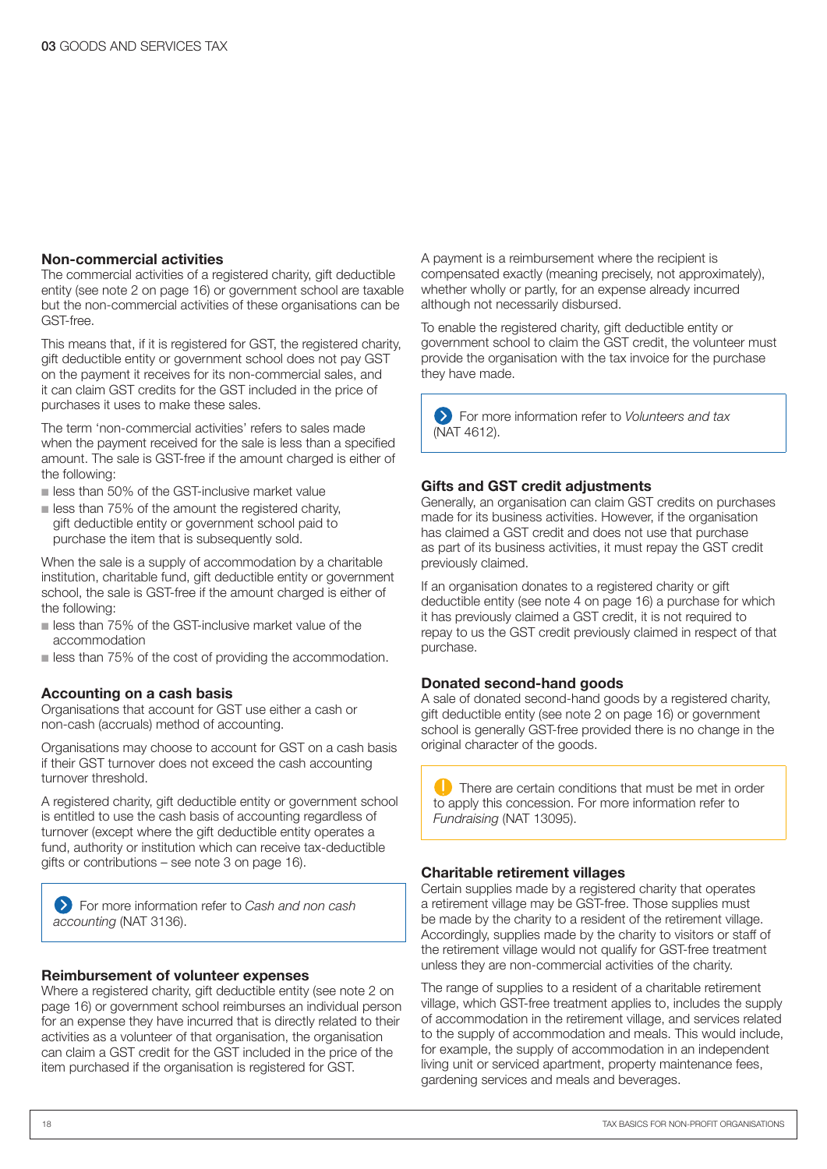#### Non-commercial activities

The commercial activities of a registered charity, gift deductible entity (see note 2 on page 16) or government school are taxable but the non-commercial activities of these organisations can be GST-free.

This means that, if it is registered for GST, the registered charity, gift deductible entity or government school does not pay GST on the payment it receives for its non-commercial sales, and it can claim GST credits for the GST included in the price of purchases it uses to make these sales.

The term 'non-commercial activities' refers to sales made when the payment received for the sale is less than a specified amount. The sale is GST-free if the amount charged is either of the following:

- **n** less than 50% of the GST-inclusive market value
- $\blacksquare$  less than 75% of the amount the registered charity, gift deductible entity or government school paid to purchase the item that is subsequently sold.

When the sale is a supply of accommodation by a charitable institution, charitable fund, gift deductible entity or government school, the sale is GST-free if the amount charged is either of the following:

- n less than 75% of the GST-inclusive market value of the accommodation
- $\blacksquare$  less than 75% of the cost of providing the accommodation.

#### Accounting on a cash basis

Organisations that account for GST use either a cash or non‑cash (accruals) method of accounting.

Organisations may choose to account for GST on a cash basis if their GST turnover does not exceed the cash accounting turnover threshold.

A registered charity, gift deductible entity or government school is entitled to use the cash basis of accounting regardless of turnover (except where the gift deductible entity operates a fund, authority or institution which can receive tax-deductible gifts or contributions – see note 3 on page 16).

For more information refer to *Cash and non cash accounting* (NAT 3136).

#### Reimbursement of volunteer expenses

Where a registered charity, gift deductible entity (see note 2 on page 16) or government school reimburses an individual person for an expense they have incurred that is directly related to their activities as a volunteer of that organisation, the organisation can claim a GST credit for the GST included in the price of the item purchased if the organisation is registered for GST.

A payment is a reimbursement where the recipient is compensated exactly (meaning precisely, not approximately), whether wholly or partly, for an expense already incurred although not necessarily disbursed.

To enable the registered charity, gift deductible entity or government school to claim the GST credit, the volunteer must provide the organisation with the tax invoice for the purchase they have made.

For more information refer to *Volunteers and tax* (NAT 4612).

#### Gifts and GST credit adjustments

Generally, an organisation can claim GST credits on purchases made for its business activities. However, if the organisation has claimed a GST credit and does not use that purchase as part of its business activities, it must repay the GST credit previously claimed.

If an organisation donates to a registered charity or gift deductible entity (see note 4 on page 16) a purchase for which it has previously claimed a GST credit, it is not required to repay to us the GST credit previously claimed in respect of that purchase.

#### Donated second-hand goods

A sale of donated second-hand goods by a registered charity, gift deductible entity (see note 2 on page 16) or government school is generally GST-free provided there is no change in the original character of the goods.

There are certain conditions that must be met in order to apply this concession. For more information refer to *Fundraising* (NAT 13095).

#### Charitable retirement villages

Certain supplies made by a registered charity that operates a retirement village may be GST-free. Those supplies must be made by the charity to a resident of the retirement village. Accordingly, supplies made by the charity to visitors or staff of the retirement village would not qualify for GST-free treatment unless they are non-commercial activities of the charity.

The range of supplies to a resident of a charitable retirement village, which GST-free treatment applies to, includes the supply of accommodation in the retirement village, and services related to the supply of accommodation and meals. This would include, for example, the supply of accommodation in an independent living unit or serviced apartment, property maintenance fees, gardening services and meals and beverages.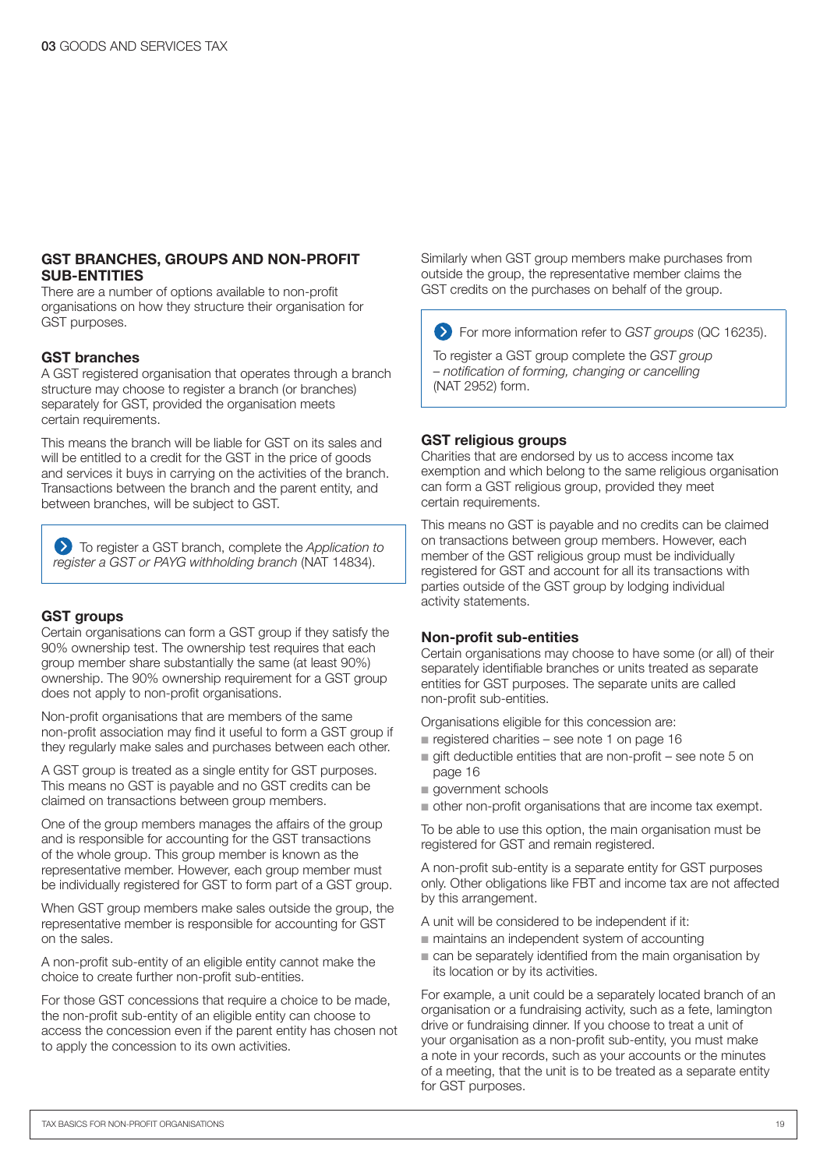#### GST BRANCHES, GROUPS AND NON-PROFIT SUB-ENTITIES

There are a number of options available to non-profit organisations on how they structure their organisation for GST purposes.

#### GST branches

A GST registered organisation that operates through a branch structure may choose to register a branch (or branches) separately for GST, provided the organisation meets certain requirements.

This means the branch will be liable for GST on its sales and will be entitled to a credit for the GST in the price of goods and services it buys in carrying on the activities of the branch. Transactions between the branch and the parent entity, and between branches, will be subject to GST.

To register a GST branch, complete the *Application to register a GST or PAYG withholding branch* (NAT 14834).

#### **GST** groups

Certain organisations can form a GST group if they satisfy the 90% ownership test. The ownership test requires that each group member share substantially the same (at least 90%) ownership. The 90% ownership requirement for a GST group does not apply to non-profit organisations.

Non-profit organisations that are members of the same non‑profit association may find it useful to form a GST group if they regularly make sales and purchases between each other.

A GST group is treated as a single entity for GST purposes. This means no GST is payable and no GST credits can be claimed on transactions between group members.

One of the group members manages the affairs of the group and is responsible for accounting for the GST transactions of the whole group. This group member is known as the representative member. However, each group member must be individually registered for GST to form part of a GST group.

When GST group members make sales outside the group, the representative member is responsible for accounting for GST on the sales.

A non-profit sub-entity of an eligible entity cannot make the choice to create further non-profit sub-entities.

For those GST concessions that require a choice to be made, the non-profit sub-entity of an eligible entity can choose to access the concession even if the parent entity has chosen not to apply the concession to its own activities.

Similarly when GST group members make purchases from outside the group, the representative member claims the GST credits on the purchases on behalf of the group.

For more information refer to *GST groups* (QC 16235).

To register a GST group complete the *GST group – notification of forming, changing or cancelling*  (NAT 2952) form.

#### GST religious groups

Charities that are endorsed by us to access income tax exemption and which belong to the same religious organisation can form a GST religious group, provided they meet certain requirements.

This means no GST is payable and no credits can be claimed on transactions between group members. However, each member of the GST religious group must be individually registered for GST and account for all its transactions with parties outside of the GST group by lodging individual activity statements.

#### Non-profit sub-entities

Certain organisations may choose to have some (or all) of their separately identifiable branches or units treated as separate entities for GST purposes. The separate units are called non-profit sub-entities.

Organisations eligible for this concession are:

- registered charities see note 1 on page  $16$
- $\blacksquare$  gift deductible entities that are non-profit see note 5 on page 16
- government schools
- $\blacksquare$  other non-profit organisations that are income tax exempt.

To be able to use this option, the main organisation must be registered for GST and remain registered.

A non-profit sub-entity is a separate entity for GST purposes only. Other obligations like FBT and income tax are not affected by this arrangement.

- A unit will be considered to be independent if it:
- $\blacksquare$  maintains an independent system of accounting
- $\blacksquare$  can be separately identified from the main organisation by its location or by its activities.

For example, a unit could be a separately located branch of an organisation or a fundraising activity, such as a fete, lamington drive or fundraising dinner. If you choose to treat a unit of your organisation as a non-profit sub-entity, you must make a note in your records, such as your accounts or the minutes of a meeting, that the unit is to be treated as a separate entity for GST purposes.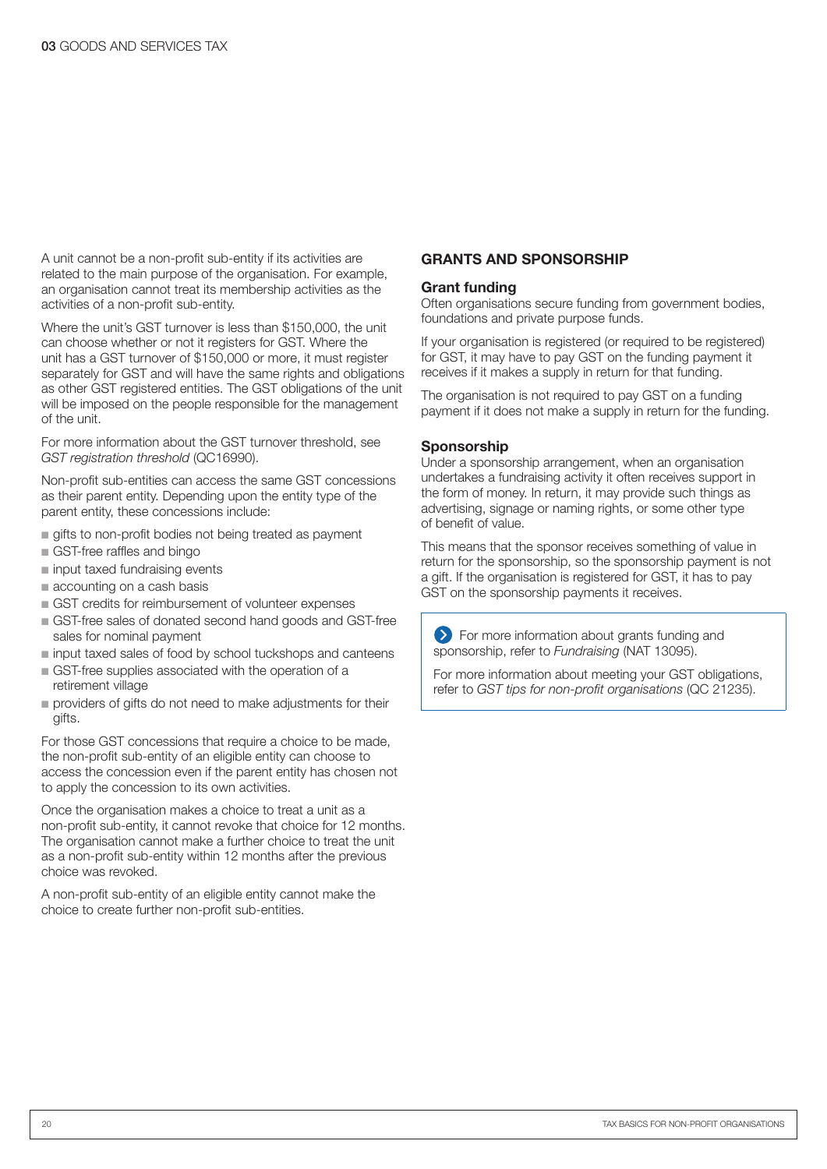A unit cannot be a non-profit sub-entity if its activities are related to the main purpose of the organisation. For example, an organisation cannot treat its membership activities as the activities of a non-profit sub-entity.

Where the unit's GST turnover is less than \$150,000, the unit can choose whether or not it registers for GST. Where the unit has a GST turnover of \$150,000 or more, it must register separately for GST and will have the same rights and obligations as other GST registered entities. The GST obligations of the unit will be imposed on the people responsible for the management of the unit.

For more information about the GST turnover threshold, see *GST registration threshold* (QC16990).

Non-profit sub-entities can access the same GST concessions as their parent entity. Depending upon the entity type of the parent entity, these concessions include:

- qifts to non-profit bodies not being treated as payment
- GST-free raffles and bingo
- n input taxed fundraising events
- $\blacksquare$  accounting on a cash basis
- GST credits for reimbursement of volunteer expenses
- n GST-free sales of donated second hand goods and GST-free sales for nominal payment
- n input taxed sales of food by school tuckshops and canteens
- GST-free supplies associated with the operation of a retirement village
- n providers of gifts do not need to make adjustments for their gifts.

For those GST concessions that require a choice to be made, the non-profit sub-entity of an eligible entity can choose to access the concession even if the parent entity has chosen not to apply the concession to its own activities.

Once the organisation makes a choice to treat a unit as a non‑profit sub-entity, it cannot revoke that choice for 12 months. The organisation cannot make a further choice to treat the unit as a non-profit sub-entity within 12 months after the previous choice was revoked.

A non-profit sub-entity of an eligible entity cannot make the choice to create further non-profit sub-entities.

#### GRANTS AND SPONSORSHIP

#### Grant funding

Often organisations secure funding from government bodies, foundations and private purpose funds.

If your organisation is registered (or required to be registered) for GST, it may have to pay GST on the funding payment it receives if it makes a supply in return for that funding.

The organisation is not required to pay GST on a funding payment if it does not make a supply in return for the funding.

#### Sponsorship

Under a sponsorship arrangement, when an organisation undertakes a fundraising activity it often receives support in the form of money. In return, it may provide such things as advertising, signage or naming rights, or some other type of benefit of value.

This means that the sponsor receives something of value in return for the sponsorship, so the sponsorship payment is not a gift. If the organisation is registered for GST, it has to pay GST on the sponsorship payments it receives.

**Example 2** For more information about grants funding and sponsorship, refer to *Fundraising* (NAT 13095).

For more information about meeting your GST obligations, refer to *GST tips for non-profit organisations* (QC 21235).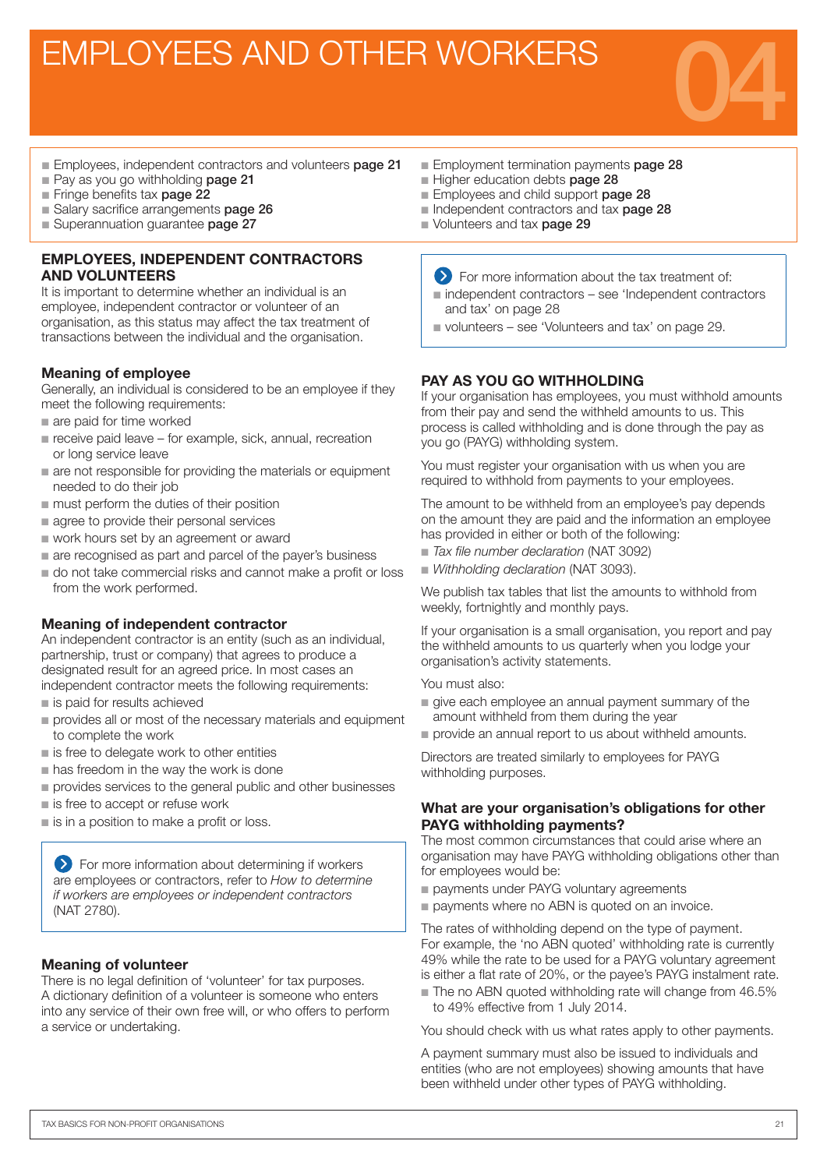### EMPLOYEES AND OTHER WORKERS



- Employees, independent contractors and volunteers page 21
- Pay as you go withholding page 21
- Fringe benefits tax page 22
- Salary sacrifice arrangements **page 26**
- Superannuation quarantee page 27

#### EMPLOYEES, INDEPENDENT CONTRACTORS AND VOLUNTEERS

It is important to determine whether an individual is an employee, independent contractor or volunteer of an organisation, as this status may affect the tax treatment of transactions between the individual and the organisation.

#### Meaning of employee

Generally, an individual is considered to be an employee if they meet the following requirements:

- n are paid for time worked
- $\blacksquare$  receive paid leave for example, sick, annual, recreation or long service leave
- $\blacksquare$  are not responsible for providing the materials or equipment needed to do their job
- $\blacksquare$  must perform the duties of their position
- $\blacksquare$  agree to provide their personal services
- work hours set by an agreement or award
- $\blacksquare$  are recognised as part and parcel of the payer's business
- $\blacksquare$  do not take commercial risks and cannot make a profit or loss from the work performed.

#### Meaning of independent contractor

An independent contractor is an entity (such as an individual, partnership, trust or company) that agrees to produce a designated result for an agreed price. In most cases an independent contractor meets the following requirements:

- $\blacksquare$  is paid for results achieved
- n provides all or most of the necessary materials and equipment to complete the work
- is free to delegate work to other entities
- $n$  has freedom in the way the work is done
- n provides services to the general public and other businesses
- $\blacksquare$  is free to accept or refuse work
- $\blacksquare$  is in a position to make a profit or loss.

**EX** For more information about determining if workers are employees or contractors, refer to *How to determine if workers are employees or independent contractors* (NAT 2780).

#### Meaning of volunteer

There is no legal definition of 'volunteer' for tax purposes. A dictionary definition of a volunteer is someone who enters into any service of their own free will, or who offers to perform a service or undertaking.

- Employment termination payments page 28
- Higher education debts page 28
- Employees and child support page 28
- Independent contractors and tax **page 28**
- Volunteers and tax page 29
	- **EXT** For more information about the tax treatment of:
	- $n$  independent contractors see 'Independent contractors' and tax' on page 28
	- volunteers see 'Volunteers and tax' on page 29.

#### PAY AS YOU GO WITHHOLDING

If your organisation has employees, you must withhold amounts from their pay and send the withheld amounts to us. This process is called withholding and is done through the pay as you go (PAYG) withholding system.

You must register your organisation with us when you are required to withhold from payments to your employees.

The amount to be withheld from an employee's pay depends on the amount they are paid and the information an employee has provided in either or both of the following:

- n *Tax file number declaration* (NAT 3092)
- **Nithholding declaration (NAT 3093).**

We publish tax tables that list the amounts to withhold from weekly, fortnightly and monthly pays.

If your organisation is a small organisation, you report and pay the withheld amounts to us quarterly when you lodge your organisation's activity statements.

You must also:

- n give each employee an annual payment summary of the amount withheld from them during the year
- provide an annual report to us about withheld amounts.

Directors are treated similarly to employees for PAYG withholding purposes.

#### What are your organisation's obligations for other PAYG withholding payments?

The most common circumstances that could arise where an organisation may have PAYG withholding obligations other than for employees would be:

- payments under PAYG voluntary agreements
- payments where no ABN is quoted on an invoice.

The rates of withholding depend on the type of payment. For example, the 'no ABN quoted' withholding rate is currently 49% while the rate to be used for a PAYG voluntary agreement is either a flat rate of 20%, or the payee's PAYG instalment rate.

 $\blacksquare$  The no ABN quoted withholding rate will change from 46.5% to 49% effective from 1 July 2014.

You should check with us what rates apply to other payments.

A payment summary must also be issued to individuals and entities (who are not employees) showing amounts that have been withheld under other types of PAYG withholding.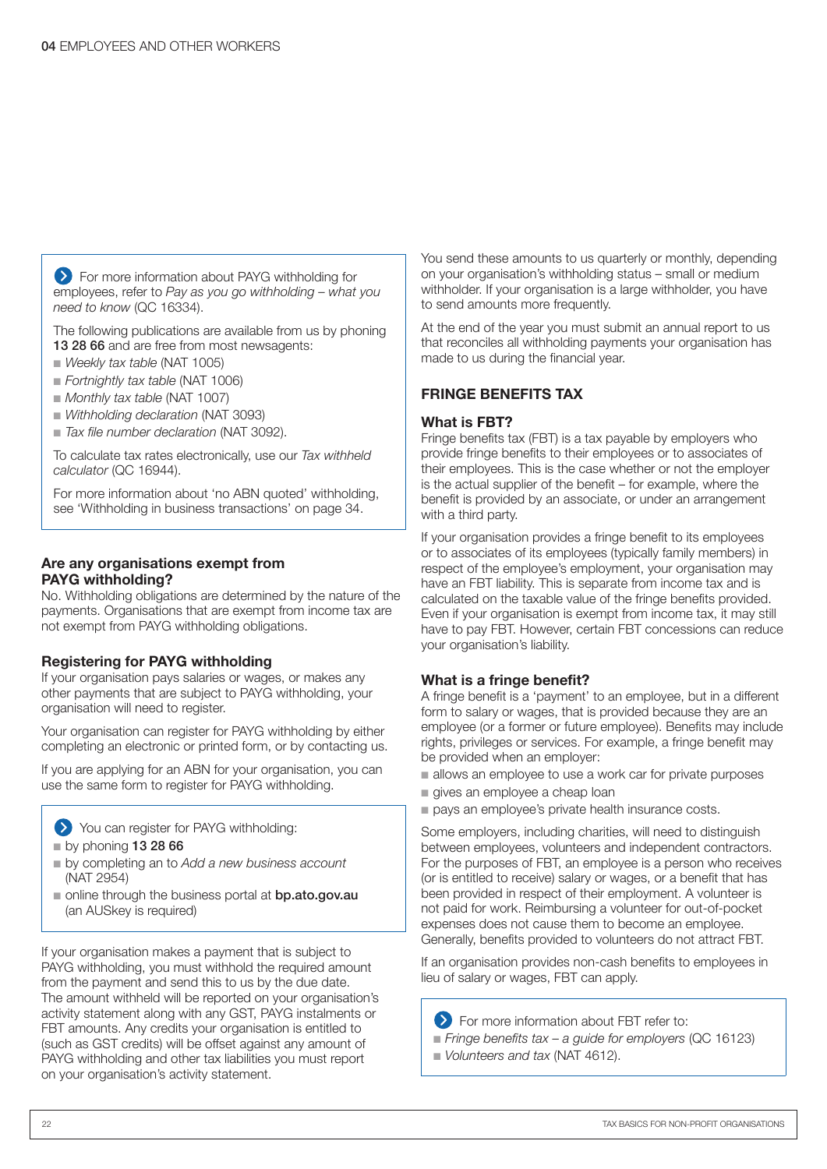**EXT** For more information about PAYG withholding for employees, refer to *Pay as you go withholding – what you need to know* (QC 16334).

The following publications are available from us by phoning 13 28 66 and are free from most newsagents:

- n *Weekly tax table* (NAT 1005)
- n *Fortnightly tax table* (NAT 1006)
- n *Monthly tax table* (NAT 1007)
- **N** *Withholding declaration* (NAT 3093)
- *Tax file number declaration* (NAT 3092).

To calculate tax rates electronically, use our *Tax withheld calculator* (QC 16944).

For more information about 'no ABN quoted' withholding, see 'Withholding in business transactions' on page 34.

#### Are any organisations exempt from PAYG withholding?

No. Withholding obligations are determined by the nature of the payments. Organisations that are exempt from income tax are not exempt from PAYG withholding obligations.

#### Registering for PAYG withholding

If your organisation pays salaries or wages, or makes any other payments that are subject to PAYG withholding, your organisation will need to register.

Your organisation can register for PAYG withholding by either completing an electronic or printed form, or by contacting us.

If you are applying for an ABN for your organisation, you can use the same form to register for PAYG withholding.

You can register for PAYG withholding:

- $p$  by phoning 13 28 66
- n by completing an to *Add a new business account* (NAT 2954)
- n online through the business portal at **bp.ato.gov.au** (an AUSkey is required)

If your organisation makes a payment that is subject to PAYG withholding, you must withhold the required amount from the payment and send this to us by the due date. The amount withheld will be reported on your organisation's activity statement along with any GST, PAYG instalments or FBT amounts. Any credits your organisation is entitled to (such as GST credits) will be offset against any amount of PAYG withholding and other tax liabilities you must report on your organisation's activity statement.

You send these amounts to us quarterly or monthly, depending on your organisation's withholding status – small or medium withholder. If your organisation is a large withholder, you have to send amounts more frequently.

At the end of the year you must submit an annual report to us that reconciles all withholding payments your organisation has made to us during the financial year.

#### FRINGE BENEFITS TAX

#### What is FBT?

Fringe benefits tax (FBT) is a tax payable by employers who provide fringe benefits to their employees or to associates of their employees. This is the case whether or not the employer is the actual supplier of the benefit – for example, where the benefit is provided by an associate, or under an arrangement with a third party.

If your organisation provides a fringe benefit to its employees or to associates of its employees (typically family members) in respect of the employee's employment, your organisation may have an FBT liability. This is separate from income tax and is calculated on the taxable value of the fringe benefits provided. Even if your organisation is exempt from income tax, it may still have to pay FBT. However, certain FBT concessions can reduce your organisation's liability.

#### What is a fringe benefit?

A fringe benefit is a 'payment' to an employee, but in a different form to salary or wages, that is provided because they are an employee (or a former or future employee). Benefits may include rights, privileges or services. For example, a fringe benefit may be provided when an employer:

- $\blacksquare$  allows an employee to use a work car for private purposes
- qives an employee a cheap loan
- pays an employee's private health insurance costs.

Some employers, including charities, will need to distinguish between employees, volunteers and independent contractors. For the purposes of FBT, an employee is a person who receives (or is entitled to receive) salary or wages, or a benefit that has been provided in respect of their employment. A volunteer is not paid for work. Reimbursing a volunteer for out-of-pocket expenses does not cause them to become an employee. Generally, benefits provided to volunteers do not attract FBT.

If an organisation provides non-cash benefits to employees in lieu of salary or wages, FBT can apply.

**EXT** For more information about FBT refer to:

- n *Fringe benefits tax a guide for employers* (QC 16123)
- n *Volunteers and tax* (NAT 4612).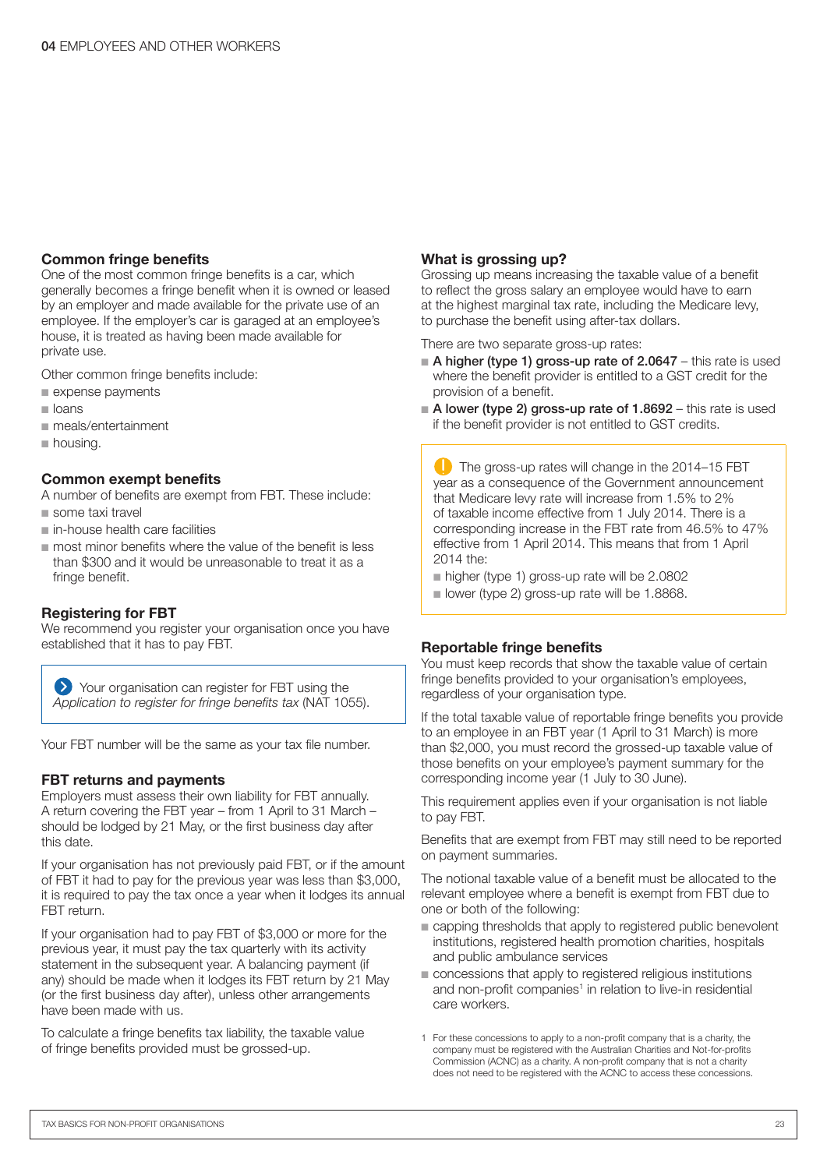#### Common fringe benefits

One of the most common fringe benefits is a car, which generally becomes a fringe benefit when it is owned or leased by an employer and made available for the private use of an employee. If the employer's car is garaged at an employee's house, it is treated as having been made available for private use.

Other common fringe benefits include:

- $\blacksquare$  expense payments
- $\blacksquare$  loans
- n meals/entertainment
- $\blacksquare$  housing.

#### Common exempt benefits

A number of benefits are exempt from FBT. These include:

- $n$  some taxi travel
- $n$  in-house health care facilities
- $\blacksquare$  most minor benefits where the value of the benefit is less than \$300 and it would be unreasonable to treat it as a fringe benefit.

#### Registering for FBT

We recommend you register your organisation once you have established that it has to pay FBT.

Your organisation can register for FBT using the *Application to register for fringe benefits tax* (NAT 1055).

Your FBT number will be the same as your tax file number.

#### FBT returns and payments

Employers must assess their own liability for FBT annually. A return covering the FBT year – from 1 April to 31 March – should be lodged by 21 May, or the first business day after this date.

If your organisation has not previously paid FBT, or if the amount of FBT it had to pay for the previous year was less than \$3,000, it is required to pay the tax once a year when it lodges its annual FBT return.

If your organisation had to pay FBT of \$3,000 or more for the previous year, it must pay the tax quarterly with its activity statement in the subsequent year. A balancing payment (if any) should be made when it lodges its FBT return by 21 May (or the first business day after), unless other arrangements have been made with us.

To calculate a fringe benefits tax liability, the taxable value of fringe benefits provided must be grossed-up.

#### What is grossing up?

Grossing up means increasing the taxable value of a benefit to reflect the gross salary an employee would have to earn at the highest marginal tax rate, including the Medicare levy, to purchase the benefit using after-tax dollars.

There are two separate gross-up rates:

- A higher (type 1) gross-up rate of 2.0647 this rate is used where the benefit provider is entitled to a GST credit for the provision of a benefit.
- $\blacksquare$  A lower (type 2) gross-up rate of 1.8692 this rate is used if the benefit provider is not entitled to GST credits.

 $\Box$  The gross-up rates will change in the 2014–15 FBT year as a consequence of the Government announcement that Medicare levy rate will increase from 1.5% to 2% of taxable income effective from 1 July 2014. There is a corresponding increase in the FBT rate from 46.5% to 47% effective from 1 April 2014. This means that from 1 April 2014 the:

■ higher (type 1) gross-up rate will be 2.0802

■ lower (type 2) gross-up rate will be 1.8868.

#### Reportable fringe benefits

You must keep records that show the taxable value of certain fringe benefits provided to your organisation's employees, regardless of your organisation type.

If the total taxable value of reportable fringe benefits you provide to an employee in an FBT year (1 April to 31 March) is more than \$2,000, you must record the grossed-up taxable value of those benefits on your employee's payment summary for the corresponding income year (1 July to 30 June).

This requirement applies even if your organisation is not liable to pay FBT.

Benefits that are exempt from FBT may still need to be reported on payment summaries.

The notional taxable value of a benefit must be allocated to the relevant employee where a benefit is exempt from FBT due to one or both of the following:

- $\blacksquare$  capping thresholds that apply to registered public benevolent institutions, registered health promotion charities, hospitals and public ambulance services
- $\blacksquare$  concessions that apply to registered religious institutions and non-profit companies<sup>1</sup> in relation to live-in residential care workers.
- 1 For these concessions to apply to a non-profit company that is a charity, the company must be registered with the Australian Charities and Not-for-profits Commission (ACNC) as a charity. A non-profit company that is not a charity does not need to be registered with the ACNC to access these concessions.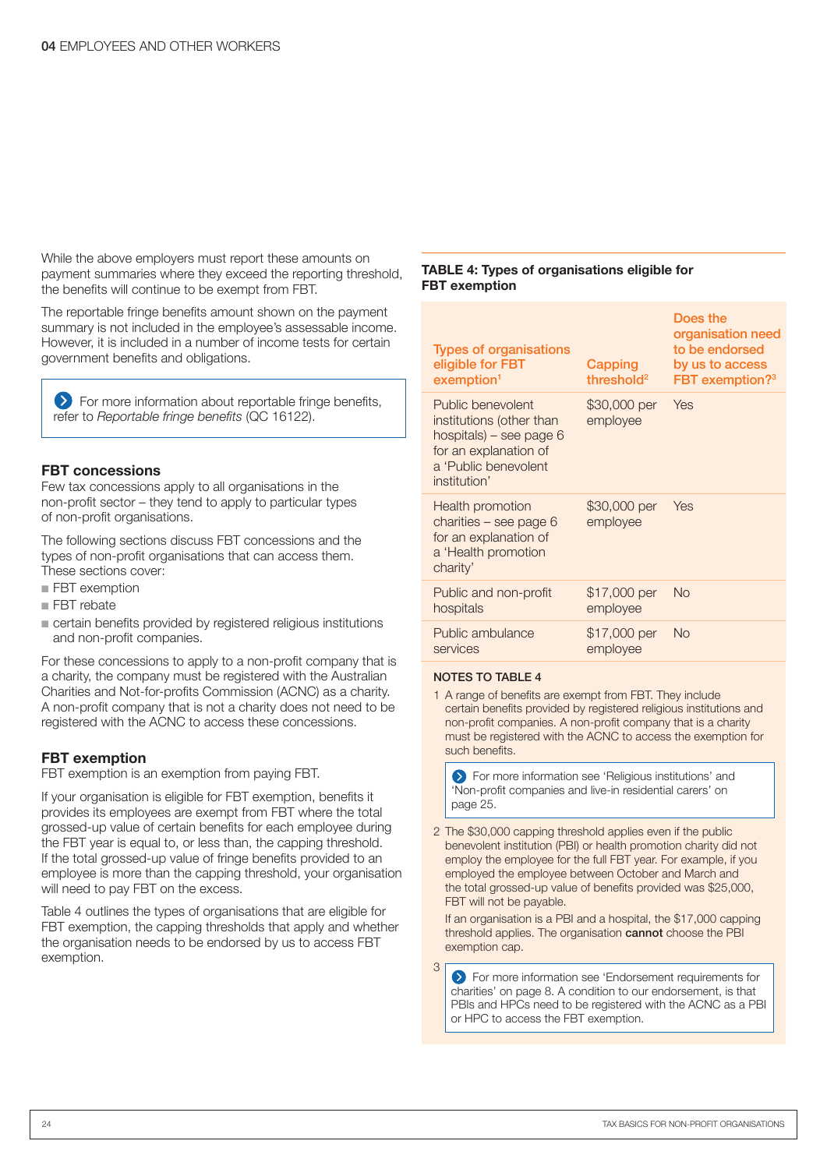While the above employers must report these amounts on payment summaries where they exceed the reporting threshold, the benefits will continue to be exempt from FBT.

The reportable fringe benefits amount shown on the payment summary is not included in the employee's assessable income. However, it is included in a number of income tests for certain government benefits and obligations.

**EX** For more information about reportable fringe benefits, refer to *Reportable fringe benefits* (QC 16122).

#### FBT concessions

Few tax concessions apply to all organisations in the non‑profit sector – they tend to apply to particular types of non‑profit organisations.

The following sections discuss FBT concessions and the types of non-profit organisations that can access them. These sections cover:

- **FBT** exemption
- FRT rebate
- $\blacksquare$  certain benefits provided by registered religious institutions and non-profit companies.

For these concessions to apply to a non-profit company that is a charity, the company must be registered with the Australian Charities and Not-for-profits Commission (ACNC) as a charity. A non-profit company that is not a charity does not need to be registered with the ACNC to access these concessions.

#### FBT exemption

FBT exemption is an exemption from paying FBT.

If your organisation is eligible for FBT exemption, benefits it provides its employees are exempt from FBT where the total grossed-up value of certain benefits for each employee during the FBT year is equal to, or less than, the capping threshold. If the total grossed-up value of fringe benefits provided to an employee is more than the capping threshold, your organisation will need to pay FBT on the excess.

Table 4 outlines the types of organisations that are eligible for FBT exemption, the capping thresholds that apply and whether the organisation needs to be endorsed by us to access FBT exemption.

#### TABLE 4: Types of organisations eligible for FBT exemption

| Capping<br>threshold <sup>2</sup> | Does the<br>organisation need<br>to be endorsed<br>by us to access<br>FBT exemption? <sup>3</sup> |
|-----------------------------------|---------------------------------------------------------------------------------------------------|
| employee                          |                                                                                                   |
| \$30,000 per<br>employee          | Yes                                                                                               |
| \$17,000 per<br>employee          | <b>No</b>                                                                                         |
| \$17,000 per<br>employee          | <b>No</b>                                                                                         |
|                                   | \$30,000 per Yes                                                                                  |

#### NOTES TO TABLE 4

3

1 A range of benefits are exempt from FBT. They include certain benefits provided by registered religious institutions and non‑profit companies. A non-profit company that is a charity must be registered with the ACNC to access the exemption for such benefits.

**S** For more information see 'Religious institutions' and 'Non-profit companies and live-in residential carers' on page 25.

2 The \$30,000 capping threshold applies even if the public benevolent institution (PBI) or health promotion charity did not employ the employee for the full FBT year. For example, if you employed the employee between October and March and the total grossed-up value of benefits provided was \$25,000, FBT will not be payable.

If an organisation is a PBI and a hospital, the \$17,000 capping threshold applies. The organisation cannot choose the PBI exemption cap.

**S** For more information see 'Endorsement requirements for charities' on page 8. A condition to our endorsement, is that PBIs and HPCs need to be registered with the ACNC as a PBI or HPC to access the FBT exemption.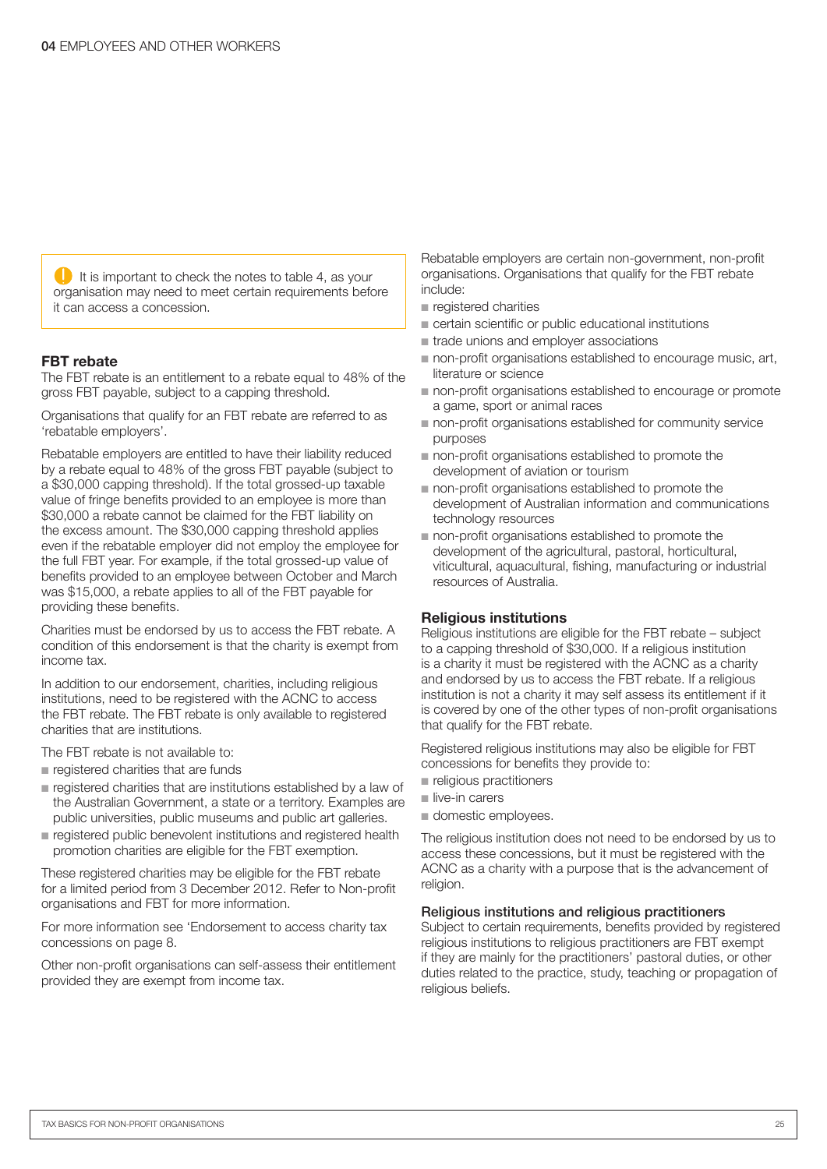$\Box$  It is important to check the notes to table 4, as your organisation may need to meet certain requirements before it can access a concession.

#### FBT rebate

The FBT rebate is an entitlement to a rebate equal to 48% of the gross FBT payable, subject to a capping threshold.

Organisations that qualify for an FBT rebate are referred to as 'rebatable employers'.

Rebatable employers are entitled to have their liability reduced by a rebate equal to 48% of the gross FBT payable (subject to a \$30,000 capping threshold). If the total grossed-up taxable value of fringe benefits provided to an employee is more than \$30,000 a rebate cannot be claimed for the FBT liability on the excess amount. The \$30,000 capping threshold applies even if the rebatable employer did not employ the employee for the full FBT year. For example, if the total grossed-up value of benefits provided to an employee between October and March was \$15,000, a rebate applies to all of the FBT payable for providing these benefits.

Charities must be endorsed by us to access the FBT rebate. A condition of this endorsement is that the charity is exempt from income tax.

In addition to our endorsement, charities, including religious institutions, need to be registered with the ACNC to access the FBT rebate. The FBT rebate is only available to registered charities that are institutions.

The FBT rebate is not available to:

- n registered charities that are funds
- $\blacksquare$  registered charities that are institutions established by a law of the Australian Government, a state or a territory. Examples are public universities, public museums and public art galleries.
- n registered public benevolent institutions and registered health promotion charities are eligible for the FBT exemption.

These registered charities may be eligible for the FBT rebate for a limited period from 3 December 2012. Refer to Non-profit organisations and FBT for more information.

For more information see 'Endorsement to access charity tax concessions on page 8.

Other non-profit organisations can self-assess their entitlement provided they are exempt from income tax.

Rebatable employers are certain non-government, non-profit organisations. Organisations that qualify for the FBT rebate include:

- $n$  registered charities
- n certain scientific or public educational institutions
- trade unions and employer associations
- non-profit organisations established to encourage music, art, literature or science
- non-profit organisations established to encourage or promote a game, sport or animal races
- non-profit organisations established for community service purposes
- non-profit organisations established to promote the development of aviation or tourism
- non-profit organisations established to promote the development of Australian information and communications technology resources
- $\blacksquare$  non-profit organisations established to promote the development of the agricultural, pastoral, horticultural, viticultural, aquacultural, fishing, manufacturing or industrial resources of Australia.

#### Religious institutions

Religious institutions are eligible for the FBT rebate – subject to a capping threshold of \$30,000. If a religious institution is a charity it must be registered with the ACNC as a charity and endorsed by us to access the FBT rebate. If a religious institution is not a charity it may self assess its entitlement if it is covered by one of the other types of non-profit organisations that qualify for the FBT rebate.

Registered religious institutions may also be eligible for FBT concessions for benefits they provide to:

- n religious practitioners
- $\blacksquare$  live-in carers
- $\blacksquare$  domestic employees.

The religious institution does not need to be endorsed by us to access these concessions, but it must be registered with the ACNC as a charity with a purpose that is the advancement of religion.

#### Religious institutions and religious practitioners

Subject to certain requirements, benefits provided by registered religious institutions to religious practitioners are FBT exempt if they are mainly for the practitioners' pastoral duties, or other duties related to the practice, study, teaching or propagation of religious beliefs.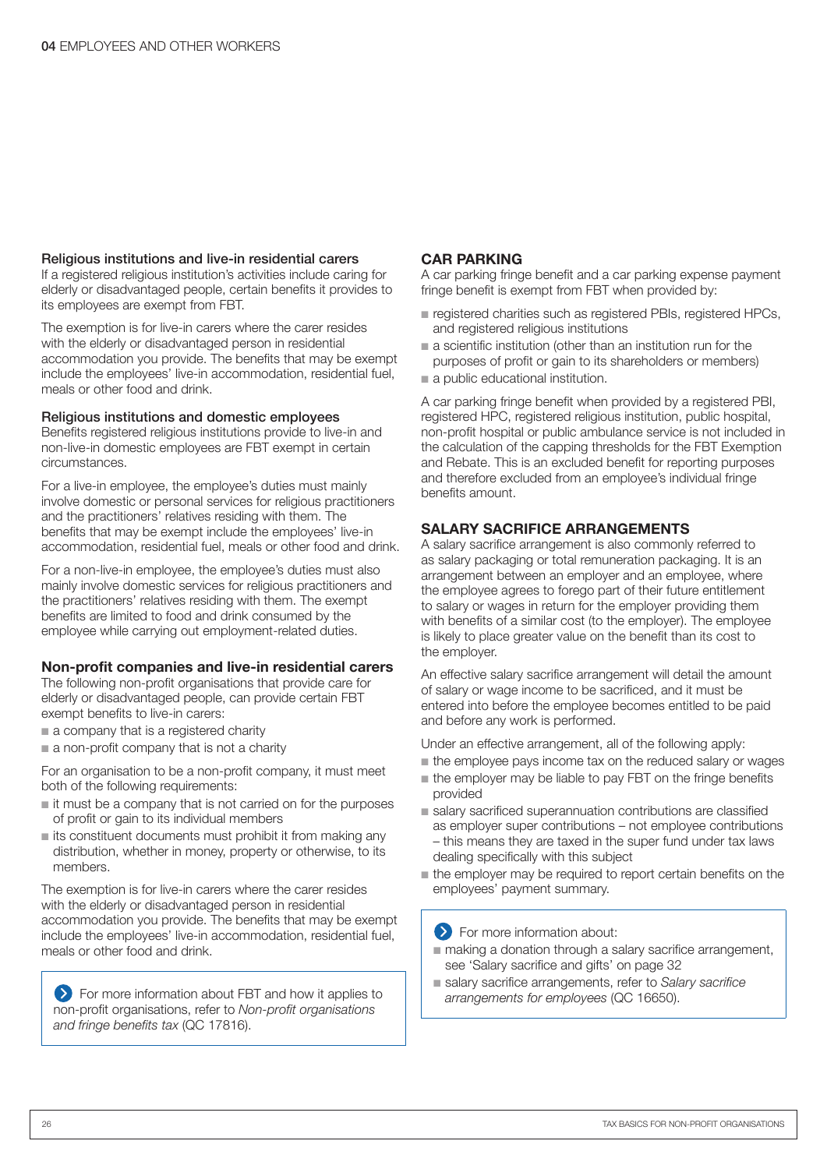#### Religious institutions and live-in residential carers

If a registered religious institution's activities include caring for elderly or disadvantaged people, certain benefits it provides to its employees are exempt from FBT.

The exemption is for live-in carers where the carer resides with the elderly or disadvantaged person in residential accommodation you provide. The benefits that may be exempt include the employees' live-in accommodation, residential fuel, meals or other food and drink.

#### Religious institutions and domestic employees

Benefits registered religious institutions provide to live-in and non-live-in domestic employees are FBT exempt in certain circumstances.

For a live-in employee, the employee's duties must mainly involve domestic or personal services for religious practitioners and the practitioners' relatives residing with them. The benefits that may be exempt include the employees' live-in accommodation, residential fuel, meals or other food and drink.

For a non-live-in employee, the employee's duties must also mainly involve domestic services for religious practitioners and the practitioners' relatives residing with them. The exempt benefits are limited to food and drink consumed by the employee while carrying out employment-related duties.

#### Non-profit companies and live-in residential carers

The following non-profit organisations that provide care for elderly or disadvantaged people, can provide certain FBT exempt benefits to live-in carers:

- a company that is a registered charity
- $\blacksquare$  a non-profit company that is not a charity

For an organisation to be a non-profit company, it must meet both of the following requirements:

- $\blacksquare$  it must be a company that is not carried on for the purposes of profit or gain to its individual members
- $\blacksquare$  its constituent documents must prohibit it from making any distribution, whether in money, property or otherwise, to its members.

The exemption is for live-in carers where the carer resides with the elderly or disadvantaged person in residential accommodation you provide. The benefits that may be exempt include the employees' live-in accommodation, residential fuel, meals or other food and drink.

**EXT** For more information about FBT and how it applies to non-profit organisations, refer to *Non-profit organisations and fringe benefits tax* (QC 17816).

#### CAR PARKING

A car parking fringe benefit and a car parking expense payment fringe benefit is exempt from FBT when provided by:

- n registered charities such as registered PBIs, registered HPCs, and registered religious institutions
- $a$  scientific institution (other than an institution run for the purposes of profit or gain to its shareholders or members)
- a public educational institution.

A car parking fringe benefit when provided by a registered PBI, registered HPC, registered religious institution, public hospital, non-profit hospital or public ambulance service is not included in the calculation of the capping thresholds for the FBT Exemption and Rebate. This is an excluded benefit for reporting purposes and therefore excluded from an employee's individual fringe benefits amount.

#### SALARY SACRIFICE ARRANGEMENTS

A salary sacrifice arrangement is also commonly referred to as salary packaging or total remuneration packaging. It is an arrangement between an employer and an employee, where the employee agrees to forego part of their future entitlement to salary or wages in return for the employer providing them with benefits of a similar cost (to the employer). The employee is likely to place greater value on the benefit than its cost to the employer.

An effective salary sacrifice arrangement will detail the amount of salary or wage income to be sacrificed, and it must be entered into before the employee becomes entitled to be paid and before any work is performed.

Under an effective arrangement, all of the following apply:

- $\blacksquare$  the employee pays income tax on the reduced salary or wages
- $\blacksquare$  the employer may be liable to pay FBT on the fringe benefits provided
- salary sacrificed superannuation contributions are classified as employer super contributions – not employee contributions – this means they are taxed in the super fund under tax laws dealing specifically with this subject
- $\blacksquare$  the employer may be required to report certain benefits on the employees' payment summary.

**S** For more information about:

- making a donation through a salary sacrifice arrangement, see 'Salary sacrifice and gifts' on page 32
- salary sacrifice arrangements, refer to *Salary sacrifice arrangements for employees* (QC 16650).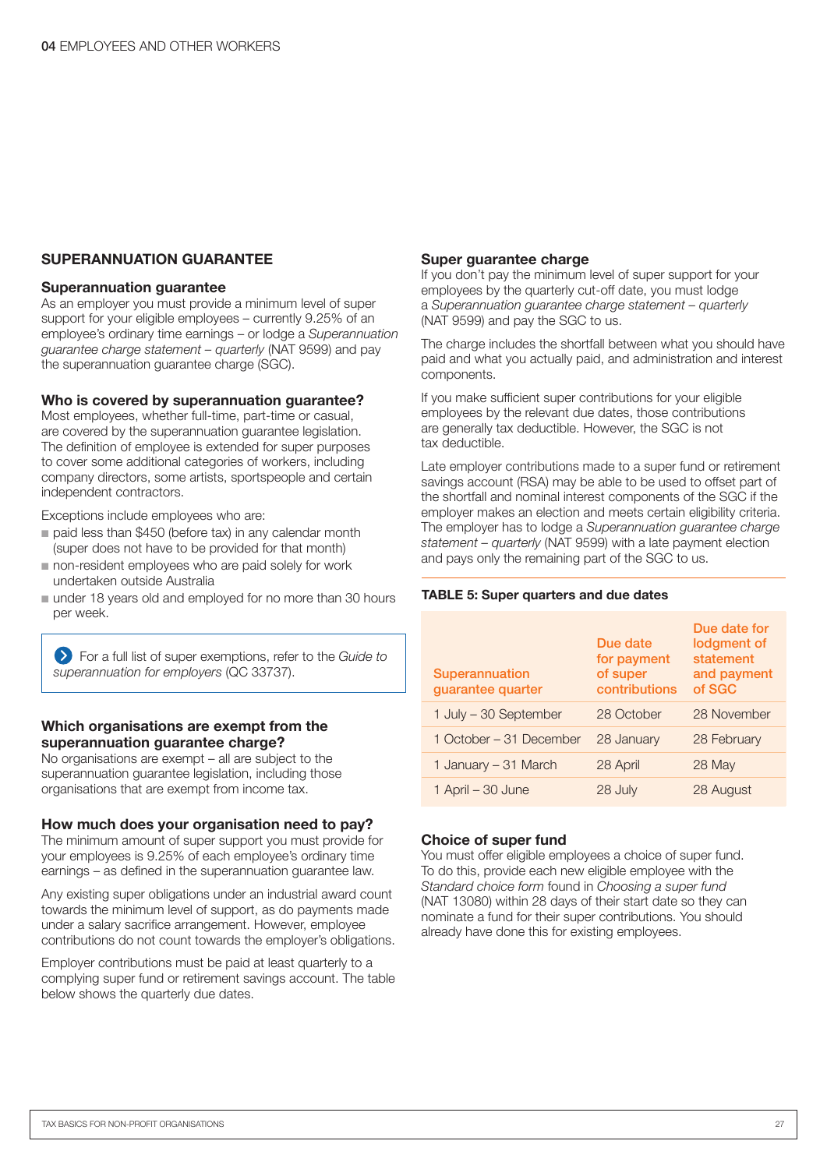#### SUPERANNUATION GUARANTEE

#### Superannuation guarantee

As an employer you must provide a minimum level of super support for your eligible employees – currently 9.25% of an employee's ordinary time earnings – or lodge a *Superannuation guarantee charge statement – quarterly* (NAT 9599) and pay the superannuation guarantee charge (SGC).

#### Who is covered by superannuation guarantee?

Most employees, whether full-time, part-time or casual, are covered by the superannuation guarantee legislation. The definition of employee is extended for super purposes to cover some additional categories of workers, including company directors, some artists, sportspeople and certain independent contractors.

Exceptions include employees who are:

- n paid less than \$450 (before tax) in any calendar month (super does not have to be provided for that month)
- non-resident employees who are paid solely for work undertaken outside Australia
- under 18 years old and employed for no more than 30 hours per week.

For a full list of super exemptions, refer to the *Guide to superannuation for employers* (QC 33737).

#### Which organisations are exempt from the superannuation quarantee charge?

No organisations are exempt – all are subject to the superannuation guarantee legislation, including those organisations that are exempt from income tax.

#### How much does your organisation need to pay?

The minimum amount of super support you must provide for your employees is 9.25% of each employee's ordinary time earnings – as defined in the superannuation guarantee law.

Any existing super obligations under an industrial award count towards the minimum level of support, as do payments made under a salary sacrifice arrangement. However, employee contributions do not count towards the employer's obligations.

Employer contributions must be paid at least quarterly to a complying super fund or retirement savings account. The table below shows the quarterly due dates.

#### Super guarantee charge

If you don't pay the minimum level of super support for your employees by the quarterly cut-off date, you must lodge a *Superannuation guarantee charge statement – quarterly* (NAT 9599) and pay the SGC to us.

The charge includes the shortfall between what you should have paid and what you actually paid, and administration and interest components.

If you make sufficient super contributions for your eligible employees by the relevant due dates, those contributions are generally tax deductible. However, the SGC is not tax deductible.

Late employer contributions made to a super fund or retirement savings account (RSA) may be able to be used to offset part of the shortfall and nominal interest components of the SGC if the employer makes an election and meets certain eligibility criteria. The employer has to lodge a *Superannuation guarantee charge statement – quarterly* (NAT 9599) with a late payment election and pays only the remaining part of the SGC to us.

#### TABLE 5: Super quarters and due dates

| Superannuation<br>guarantee quarter | Due date<br>for payment<br>of super<br>contributions | Due date for<br>lodgment of<br>statement<br>and payment<br>of SGC |
|-------------------------------------|------------------------------------------------------|-------------------------------------------------------------------|
| 1 July – 30 September               | 28 October                                           | 28 November                                                       |
| 1 October – 31 December             | 28 January                                           | 28 February                                                       |
| 1 January – 31 March                | 28 April                                             | 28 May                                                            |
| 1 April - 30 June                   | 28 July                                              | 28 August                                                         |

#### Choice of super fund

You must offer eligible employees a choice of super fund. To do this, provide each new eligible employee with the *Standard choice form* found in *Choosing a super fund* (NAT 13080) within 28 days of their start date so they can nominate a fund for their super contributions. You should already have done this for existing employees.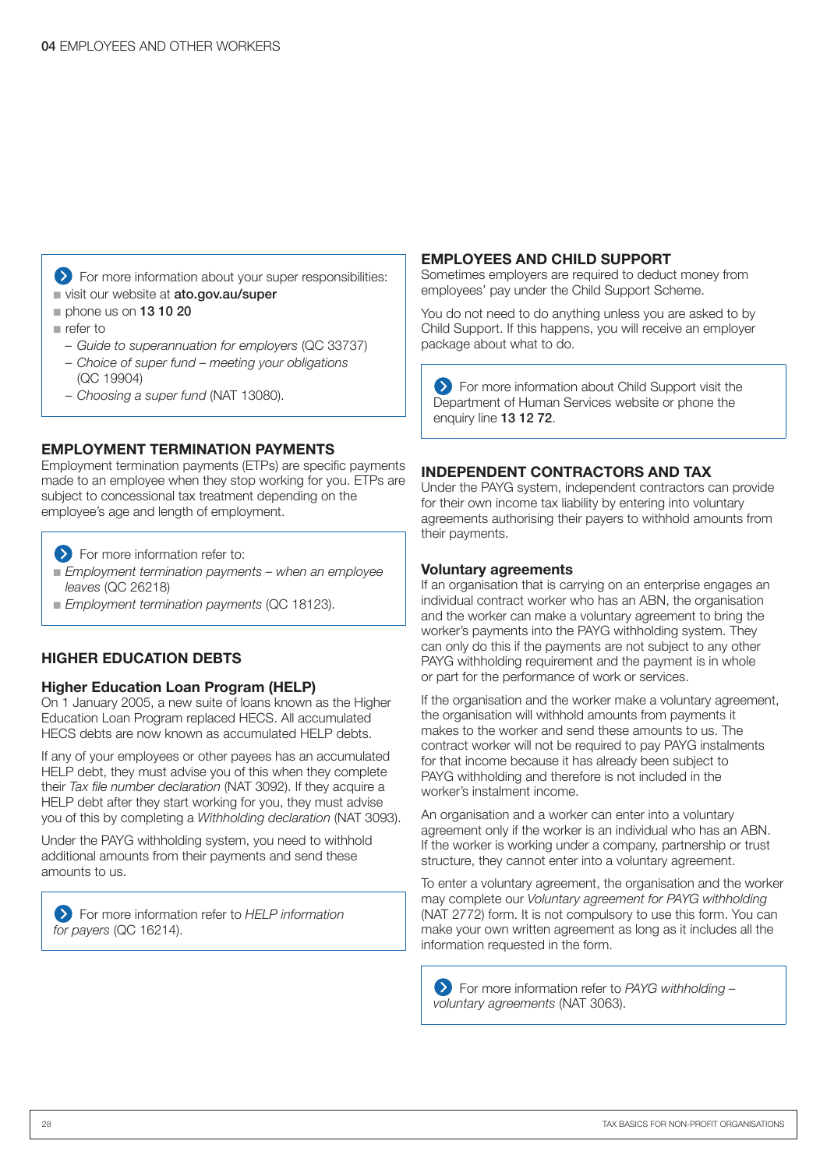**EXT** For more information about your super responsibilities: visit our website at ato.gov.au/super

- $n$  phone us on 13 10 20
- $n$  refer to
	- *– Guide to superannuation for employers* (QC 33737)
	- *Choice of super fund meeting your obligations* (QC 19904)
	- *Choosing a super fund* (NAT 13080).

#### EMPLOYMENT TERMINATION PAYMENTS

Employment termination payments (ETPs) are specific payments made to an employee when they stop working for you. ETPs are subject to concessional tax treatment depending on the employee's age and length of employment.

- **EXECUTE:** For more information refer to:
- n *Employment termination payments when an employee leaves* (QC 26218)
- n *Employment termination payments* (QC 18123).

#### HIGHER EDUCATION DEBTS

#### Higher Education Loan Program (HELP)

On 1 January 2005, a new suite of loans known as the Higher Education Loan Program replaced HECS. All accumulated HECS debts are now known as accumulated HELP debts.

If any of your employees or other payees has an accumulated HELP debt, they must advise you of this when they complete their *Tax file number declaration* (NAT 3092). If they acquire a HELP debt after they start working for you, they must advise you of this by completing a *Withholding declaration* (NAT 3093).

Under the PAYG withholding system, you need to withhold additional amounts from their payments and send these amounts to us.

For more information refer to *HELP information*  for payers (QC 16214).

#### EMPLOYEES AND CHILD SUPPORT

Sometimes employers are required to deduct money from employees' pay under the Child Support Scheme.

You do not need to do anything unless you are asked to by Child Support. If this happens, you will receive an employer package about what to do.

**EXECUTE:** For more information about Child Support visit the Department of Human Services website or phone the enquiry line 13 12 72.

#### INDEPENDENT CONTRACTORS AND TAX

Under the PAYG system, independent contractors can provide for their own income tax liability by entering into voluntary agreements authorising their payers to withhold amounts from their payments.

#### Voluntary agreements

If an organisation that is carrying on an enterprise engages an individual contract worker who has an ABN, the organisation and the worker can make a voluntary agreement to bring the worker's payments into the PAYG withholding system. They can only do this if the payments are not subject to any other PAYG withholding requirement and the payment is in whole or part for the performance of work or services.

If the organisation and the worker make a voluntary agreement, the organisation will withhold amounts from payments it makes to the worker and send these amounts to us. The contract worker will not be required to pay PAYG instalments for that income because it has already been subject to PAYG withholding and therefore is not included in the worker's instalment income.

An organisation and a worker can enter into a voluntary agreement only if the worker is an individual who has an ABN. If the worker is working under a company, partnership or trust structure, they cannot enter into a voluntary agreement.

To enter a voluntary agreement, the organisation and the worker may complete our *Voluntary agreement for PAYG withholding* (NAT 2772) form. It is not compulsory to use this form. You can make your own written agreement as long as it includes all the information requested in the form.

For more information refer to *PAYG withholding – voluntary agreements* (NAT 3063).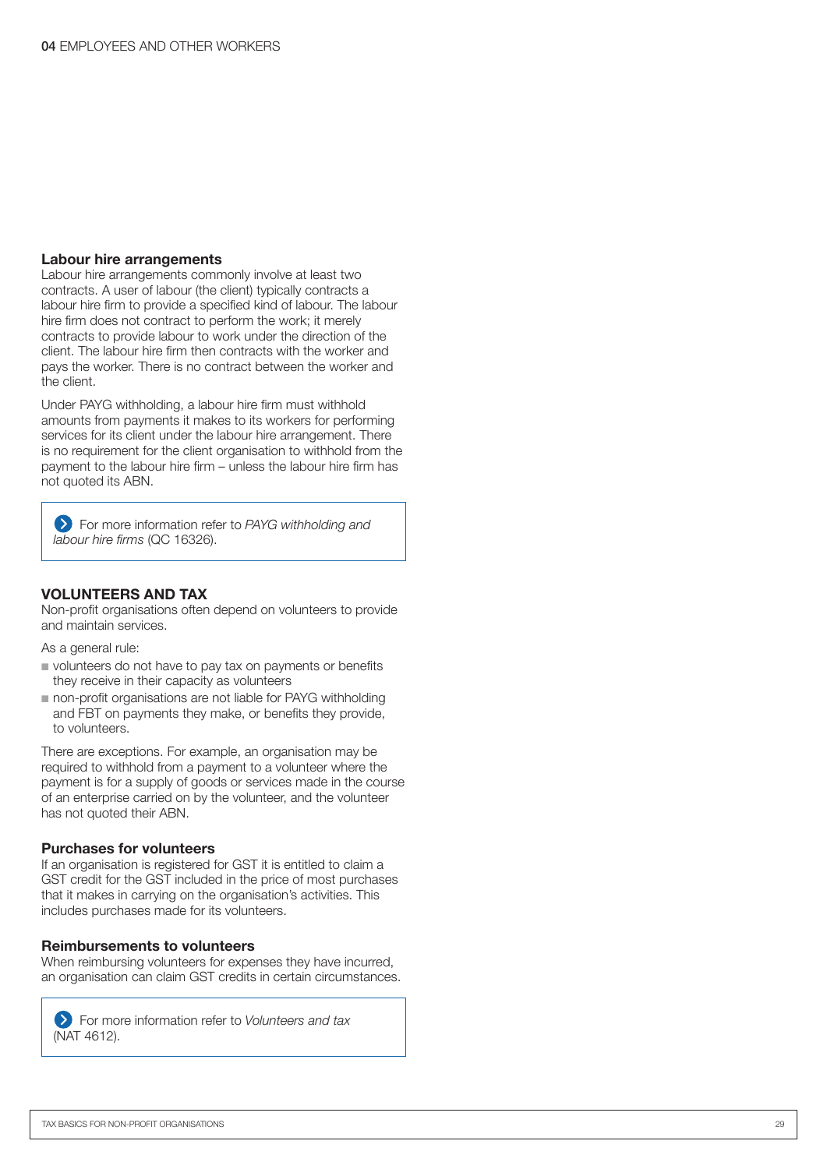#### Labour hire arrangements

Labour hire arrangements commonly involve at least two contracts. A user of labour (the client) typically contracts a labour hire firm to provide a specified kind of labour. The labour hire firm does not contract to perform the work; it merely contracts to provide labour to work under the direction of the client. The labour hire firm then contracts with the worker and pays the worker. There is no contract between the worker and the client.

Under PAYG withholding, a labour hire firm must withhold amounts from payments it makes to its workers for performing services for its client under the labour hire arrangement. There is no requirement for the client organisation to withhold from the payment to the labour hire firm – unless the labour hire firm has not quoted its ABN.

For more information refer to *PAYG withholding and labour hire firms* (QC 16326).

#### VOLUNTEERS AND TAX

Non-profit organisations often depend on volunteers to provide and maintain services.

As a general rule:

- volunteers do not have to pay tax on payments or benefits they receive in their capacity as volunteers
- non-profit organisations are not liable for PAYG withholding and FBT on payments they make, or benefits they provide, to volunteers.

There are exceptions. For example, an organisation may be required to withhold from a payment to a volunteer where the payment is for a supply of goods or services made in the course of an enterprise carried on by the volunteer, and the volunteer has not quoted their ABN.

#### Purchases for volunteers

If an organisation is registered for GST it is entitled to claim a GST credit for the GST included in the price of most purchases that it makes in carrying on the organisation's activities. This includes purchases made for its volunteers.

#### Reimbursements to volunteers

When reimbursing volunteers for expenses they have incurred, an organisation can claim GST credits in certain circumstances.

For more information refer to *Volunteers and tax* (NAT 4612).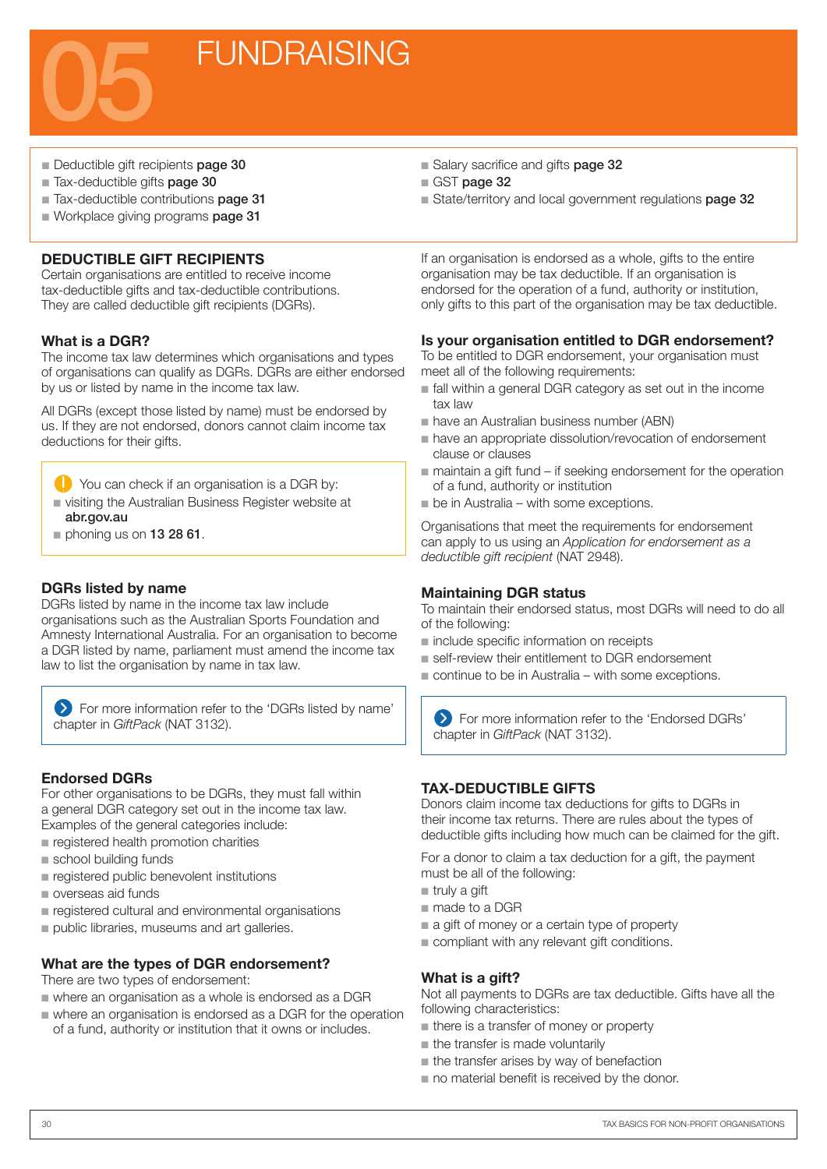

- Deductible gift recipients page 30
- Tax-deductible gifts page 30
- Tax-deductible contributions page 31
- Workplace giving programs page 31

#### DEDUCTIBLE GIFT RECIPIENTS

Certain organisations are entitled to receive income tax-deductible gifts and tax-deductible contributions. They are called deductible gift recipients (DGRs).

#### What is a DGR?

The income tax law determines which organisations and types of organisations can qualify as DGRs. DGRs are either endorsed by us or listed by name in the income tax law.

All DGRs (except those listed by name) must be endorsed by us. If they are not endorsed, donors cannot claim income tax deductions for their gifts.

- You can check if an organisation is a DGR by:
- n visiting the Australian Business Register website at abr.gov.au
- $\blacksquare$  phoning us on 13 28 61.

#### DGRs listed by name

DGRs listed by name in the income tax law include organisations such as the Australian Sports Foundation and Amnesty International Australia. For an organisation to become a DGR listed by name, parliament must amend the income tax law to list the organisation by name in tax law.

 For more information refer to the 'DGRs listed by name' chapter in *GiftPack* (NAT 3132).

#### Endorsed DGRs

For other organisations to be DGRs, they must fall within a general DGR category set out in the income tax law. Examples of the general categories include:

- $n$  registered health promotion charities
- school building funds
- n registered public benevolent institutions
- **n** overseas aid funds
- n registered cultural and environmental organisations
- public libraries, museums and art galleries.

#### What are the types of DGR endorsement?

There are two types of endorsement:

- $\blacksquare$  where an organisation as a whole is endorsed as a DGR
- n where an organisation is endorsed as a DGR for the operation of a fund, authority or institution that it owns or includes.
- Salary sacrifice and gifts page 32
- GST page 32
- State/territory and local government regulations page 32

If an organisation is endorsed as a whole, gifts to the entire organisation may be tax deductible. If an organisation is endorsed for the operation of a fund, authority or institution, only gifts to this part of the organisation may be tax deductible.

#### Is your organisation entitled to DGR endorsement?

To be entitled to DGR endorsement, your organisation must meet all of the following requirements:

- $\blacksquare$  fall within a general DGR category as set out in the income tax law
- n have an Australian business number (ABN)
- n have an appropriate dissolution/revocation of endorsement clause or clauses
- $\blacksquare$  maintain a gift fund if seeking endorsement for the operation of a fund, authority or institution
- $\blacksquare$  be in Australia with some exceptions.

Organisations that meet the requirements for endorsement can apply to us using an *Application for endorsement as a deductible gift recipient* (NAT 2948).

#### Maintaining DGR status

To maintain their endorsed status, most DGRs will need to do all of the following:

- n include specific information on receipts
- self-review their entitlement to DGR endorsement
- $\blacksquare$  continue to be in Australia with some exceptions.

 For more information refer to the 'Endorsed DGRs' chapter in *GiftPack* (NAT 3132).

#### TAX-DEDUCTIBLE GIFTS

Donors claim income tax deductions for gifts to DGRs in their income tax returns. There are rules about the types of deductible gifts including how much can be claimed for the gift.

For a donor to claim a tax deduction for a gift, the payment must be all of the following:

- $r$  truly a gift
- made to a DGR
- $a$  gift of money or a certain type of property
- $\blacksquare$  compliant with any relevant gift conditions.

#### What is a gift?

Not all payments to DGRs are tax deductible. Gifts have all the following characteristics:

- **n** there is a transfer of money or property
- $n$  the transfer is made voluntarily
- $n$  the transfer arises by way of benefaction
- $\blacksquare$  no material benefit is received by the donor.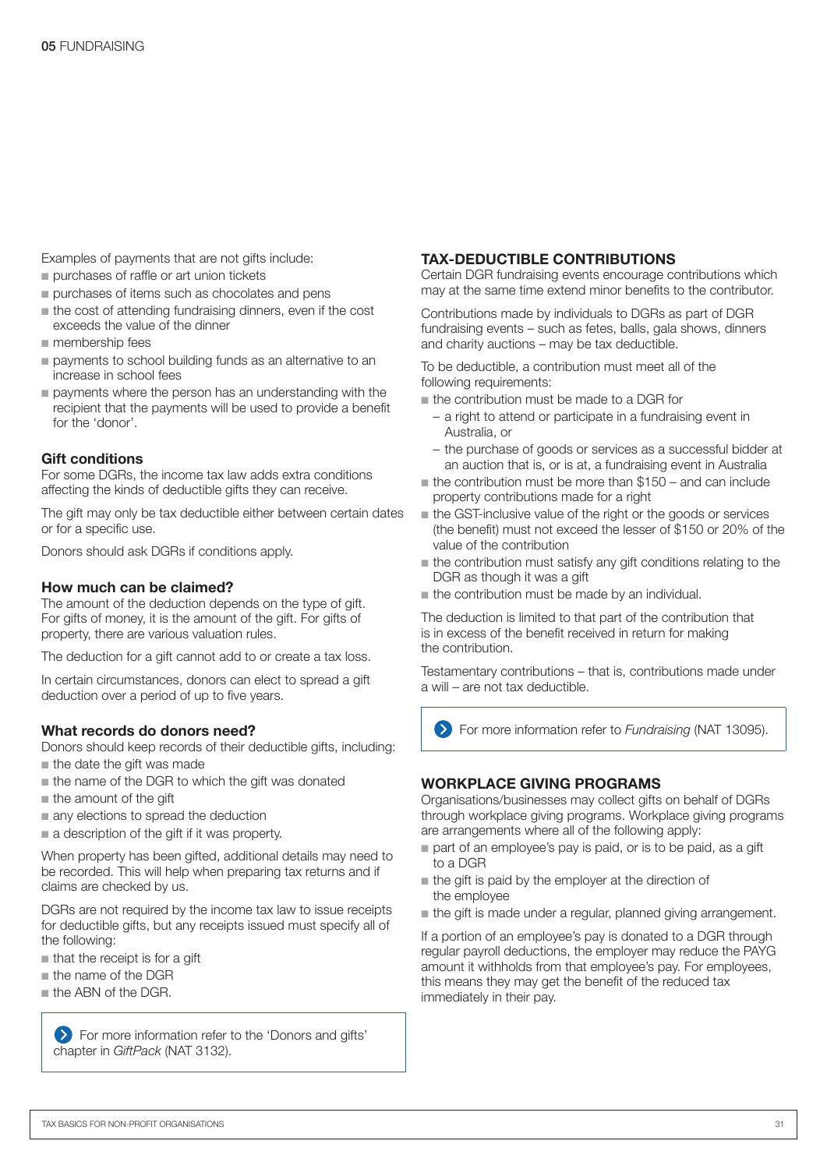Examples of payments that are not gifts include:

- **n** purchases of raffle or art union tickets
- $\blacksquare$  purchases of items such as chocolates and pens
- $n$  the cost of attending fundraising dinners, even if the cost exceeds the value of the dinner
- membership fees
- n payments to school building funds as an alternative to an increase in school fees
- $\blacksquare$  payments where the person has an understanding with the recipient that the payments will be used to provide a benefit for the 'donor'.

#### Gift conditions

For some DGRs, the income tax law adds extra conditions affecting the kinds of deductible gifts they can receive.

The gift may only be tax deductible either between certain dates or for a specific use.

Donors should ask DGRs if conditions apply.

#### How much can be claimed?

The amount of the deduction depends on the type of gift. For gifts of money, it is the amount of the gift. For gifts of property, there are various valuation rules.

The deduction for a gift cannot add to or create a tax loss.

In certain circumstances, donors can elect to spread a gift deduction over a period of up to five years.

#### What records do donors need?

Donors should keep records of their deductible gifts, including:

- $\blacksquare$  the date the gift was made
- the name of the DGR to which the gift was donated
- $n$  the amount of the gift
- n any elections to spread the deduction
- $\blacksquare$  a description of the gift if it was property.

When property has been gifted, additional details may need to be recorded. This will help when preparing tax returns and if claims are checked by us.

DGRs are not required by the income tax law to issue receipts for deductible gifts, but any receipts issued must specify all of the following:

- $\blacksquare$  that the receipt is for a gift
- $n$  the name of the DGR
- **n** the ABN of the DGR.

For more information refer to the 'Donors and gifts' chapter in *GiftPack* (NAT 3132).

#### TAX-DEDUCTIBLE CONTRIBUTIONS

Certain DGR fundraising events encourage contributions which may at the same time extend minor benefits to the contributor.

Contributions made by individuals to DGRs as part of DGR fundraising events – such as fetes, balls, gala shows, dinners and charity auctions – may be tax deductible.

To be deductible, a contribution must meet all of the following requirements:

- $\blacksquare$  the contribution must be made to a DGR for
	- a right to attend or participate in a fundraising event in Australia, or
	- the purchase of goods or services as a successful bidder at an auction that is, or is at, a fundraising event in Australia
- $\blacksquare$  the contribution must be more than \$150 and can include property contributions made for a right
- n the GST-inclusive value of the right or the goods or services (the benefit) must not exceed the lesser of \$150 or 20% of the value of the contribution
- $\blacksquare$  the contribution must satisfy any gift conditions relating to the DGR as though it was a gift
- $\blacksquare$  the contribution must be made by an individual.

The deduction is limited to that part of the contribution that is in excess of the benefit received in return for making the contribution.

Testamentary contributions – that is, contributions made under a will – are not tax deductible.

For more information refer to *Fundraising* (NAT 13095).

#### WORKPLACE GIVING PROGRAMS

Organisations/businesses may collect gifts on behalf of DGRs through workplace giving programs. Workplace giving programs are arrangements where all of the following apply:

- part of an employee's pay is paid, or is to be paid, as a gift to a DGR
- $n$  the gift is paid by the employer at the direction of the employee
- the gift is made under a regular, planned giving arrangement.

If a portion of an employee's pay is donated to a DGR through regular payroll deductions, the employer may reduce the PAYG amount it withholds from that employee's pay. For employees, this means they may get the benefit of the reduced tax immediately in their pay.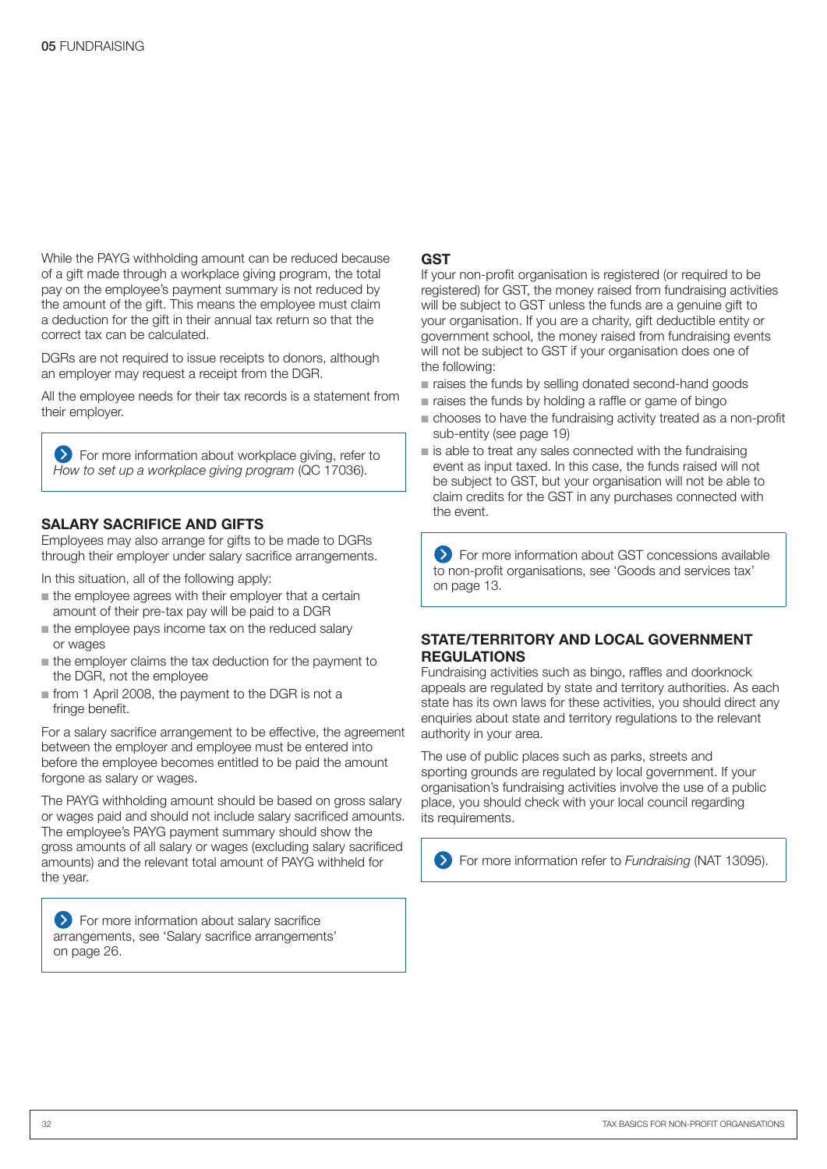While the PAYG withholding amount can be reduced because of a gift made through a workplace giving program, the total pay on the employee's payment summary is not reduced by the amount of the gift. This means the employee must claim a deduction for the gift in their annual tax return so that the correct tax can be calculated.

DGRs are not required to issue receipts to donors, although an employer may request a receipt from the DGR.

All the employee needs for their tax records is a statement from their employer.

**EX** For more information about workplace giving, refer to *How to set up a workplace giving program* (QC 17036).

#### SALARY SACRIFICE AND GIFTS

Employees may also arrange for gifts to be made to DGRs through their employer under salary sacrifice arrangements.

In this situation, all of the following apply:

- $\blacksquare$  the employee agrees with their employer that a certain amount of their pre-tax pay will be paid to a DGR
- the employee pays income tax on the reduced salary or wages
- $\blacksquare$  the employer claims the tax deduction for the payment to the DGR, not the employee
- n from 1 April 2008, the payment to the DGR is not a fringe benefit.

For a salary sacrifice arrangement to be effective, the agreement between the employer and employee must be entered into before the employee becomes entitled to be paid the amount forgone as salary or wages.

The PAYG withholding amount should be based on gross salary or wages paid and should not include salary sacrificed amounts. The employee's PAYG payment summary should show the gross amounts of all salary or wages (excluding salary sacrificed amounts) and the relevant total amount of PAYG withheld for the year.

**S** For more information about salary sacrifice arrangements, see 'Salary sacrifice arrangements' on page 26.

#### **GST**

If your non-profit organisation is registered (or required to be registered) for GST, the money raised from fundraising activities will be subject to GST unless the funds are a genuine gift to your organisation. If you are a charity, gift deductible entity or government school, the money raised from fundraising events will not be subject to GST if your organisation does one of the following:

- n raises the funds by selling donated second-hand goods
- $\blacksquare$  raises the funds by holding a raffle or game of bingo
- n chooses to have the fundraising activity treated as a non-profit sub-entity (see page 19)
- is able to treat any sales connected with the fundraising event as input taxed. In this case, the funds raised will not be subject to GST, but your organisation will not be able to claim credits for the GST in any purchases connected with the event.

 For more information about GST concessions available to non-profit organisations, see 'Goods and services tax' on page 13.

#### STATE/TERRITORY AND LOCAL GOVERNMENT REGULATIONS

Fundraising activities such as bingo, raffles and doorknock appeals are regulated by state and territory authorities. As each state has its own laws for these activities, you should direct any enquiries about state and territory regulations to the relevant authority in your area.

The use of public places such as parks, streets and sporting grounds are regulated by local government. If your organisation's fundraising activities involve the use of a public place, you should check with your local council regarding its requirements.

For more information refer to *Fundraising* (NAT 13095).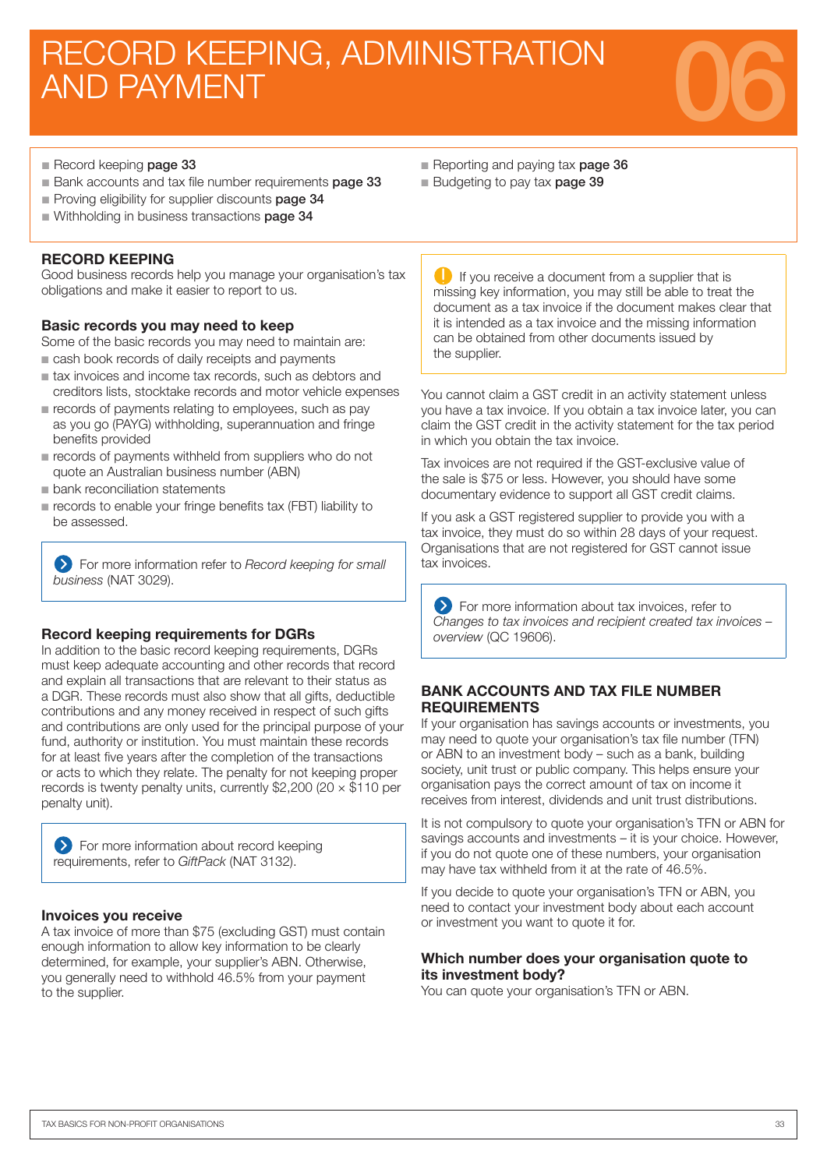# RECORD KEEPING, ADMINISTRATION<br>AND PAYMENT



- Record keeping page 33
- Bank accounts and tax file number requirements **page 33**
- Proving eligibility for supplier discounts page 34
- Withholding in business transactions page 34

#### RECORD KEEPING

Good business records help you manage your organisation's tax obligations and make it easier to report to us.

#### Basic records you may need to keep

Some of the basic records you may need to maintain are: cash book records of daily receipts and payments

- n tax invoices and income tax records, such as debtors and creditors lists, stocktake records and motor vehicle expenses
- $\blacksquare$  records of payments relating to employees, such as pay as you go (PAYG) withholding, superannuation and fringe benefits provided
- $\blacksquare$  records of payments withheld from suppliers who do not quote an Australian business number (ABN)
- **n** bank reconciliation statements
- n records to enable your fringe benefits tax (FBT) liability to be assessed.

For more information refer to *Record keeping for small business* (NAT 3029).

#### Record keeping requirements for DGRs

In addition to the basic record keeping requirements, DGRs must keep adequate accounting and other records that record and explain all transactions that are relevant to their status as a DGR. These records must also show that all gifts, deductible contributions and any money received in respect of such gifts and contributions are only used for the principal purpose of your fund, authority or institution. You must maintain these records for at least five years after the completion of the transactions or acts to which they relate. The penalty for not keeping proper records is twenty penalty units, currently \$2,200 (20  $\times$  \$110 per penalty unit).

| > For more information about record keeping |  |  |
|---------------------------------------------|--|--|
| requirements, refer to GiftPack (NAT 3132). |  |  |

#### Invoices you receive

A tax invoice of more than \$75 (excluding GST) must contain enough information to allow key information to be clearly determined, for example, your supplier's ABN. Otherwise, you generally need to withhold 46.5% from your payment to the supplier.

- Reporting and paying tax page 36
- Budgeting to pay tax **page 39**

**If** you receive a document from a supplier that is missing key information, you may still be able to treat the document as a tax invoice if the document makes clear that it is intended as a tax invoice and the missing information can be obtained from other documents issued by the supplier.

You cannot claim a GST credit in an activity statement unless you have a tax invoice. If you obtain a tax invoice later, you can claim the GST credit in the activity statement for the tax period in which you obtain the tax invoice.

Tax invoices are not required if the GST-exclusive value of the sale is \$75 or less. However, you should have some documentary evidence to support all GST credit claims.

If you ask a GST registered supplier to provide you with a tax invoice, they must do so within 28 days of your request. Organisations that are not registered for GST cannot issue tax invoices.

**EX** For more information about tax invoices, refer to *Changes to tax invoices and recipient created tax invoices – overview* (QC 19606).

#### BANK ACCOUNTS AND TAX FILE NUMBER REQUIREMENTS

If your organisation has savings accounts or investments, you may need to quote your organisation's tax file number (TFN) or ABN to an investment body – such as a bank, building society, unit trust or public company. This helps ensure your organisation pays the correct amount of tax on income it receives from interest, dividends and unit trust distributions.

It is not compulsory to quote your organisation's TFN or ABN for savings accounts and investments – it is your choice. However, if you do not quote one of these numbers, your organisation may have tax withheld from it at the rate of 46.5%.

If you decide to quote your organisation's TFN or ABN, you need to contact your investment body about each account or investment you want to quote it for.

#### Which number does your organisation quote to its investment body?

You can quote your organisation's TFN or ABN.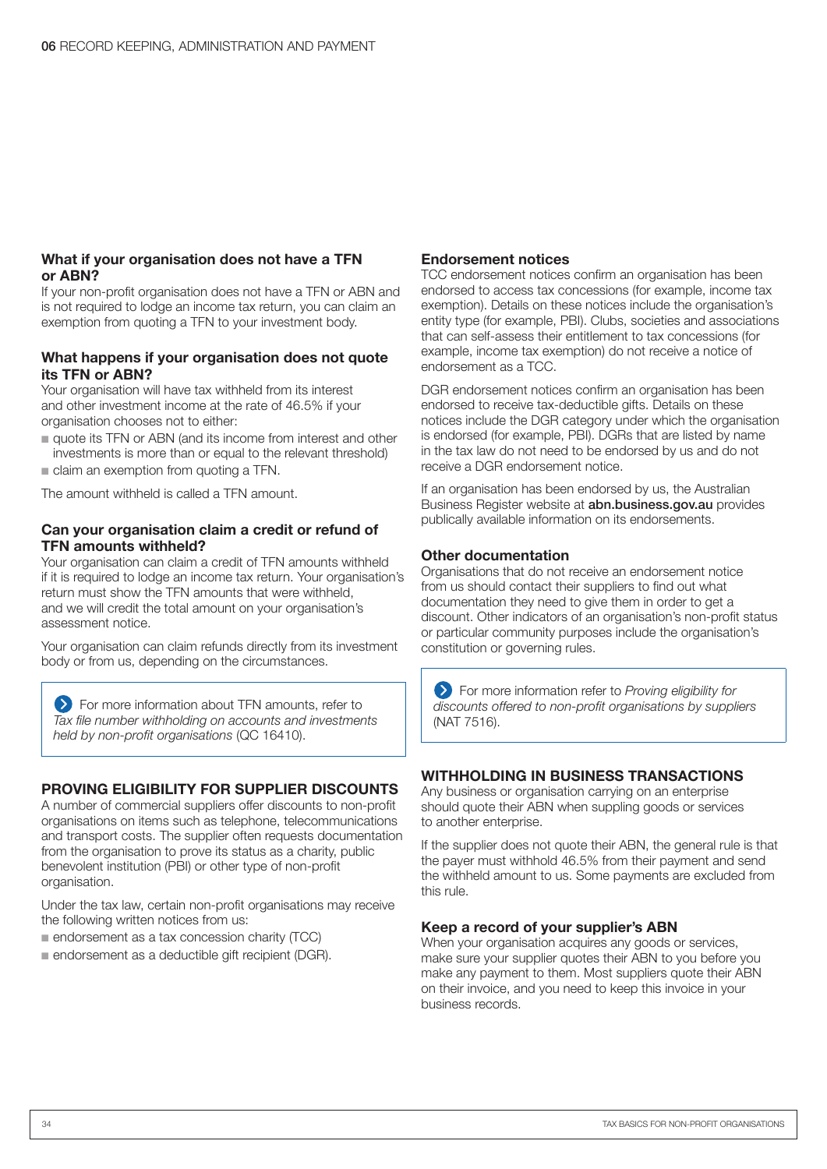#### What if your organisation does not have a TFN or ABN?

If your non-profit organisation does not have a TFN or ABN and is not required to lodge an income tax return, you can claim an exemption from quoting a TFN to your investment body.

#### What happens if your organisation does not quote its TFN or ABN?

Your organisation will have tax withheld from its interest and other investment income at the rate of 46.5% if your organisation chooses not to either:

- n quote its TFN or ABN (and its income from interest and other investments is more than or equal to the relevant threshold)
- $\blacksquare$  claim an exemption from quoting a TFN.

The amount withheld is called a TFN amount.

#### Can your organisation claim a credit or refund of TFN amounts withheld?

Your organisation can claim a credit of TFN amounts withheld if it is required to lodge an income tax return. Your organisation's return must show the TFN amounts that were withheld, and we will credit the total amount on your organisation's assessment notice.

Your organisation can claim refunds directly from its investment body or from us, depending on the circumstances.

**EXT** For more information about TFN amounts, refer to Tax file number withholding on accounts and investments *held by non-profit organisations* (QC 16410).

#### PROVING ELIGIBILITY FOR SUPPLIER DISCOUNTS

A number of commercial suppliers offer discounts to non-profit organisations on items such as telephone, telecommunications and transport costs. The supplier often requests documentation from the organisation to prove its status as a charity, public benevolent institution (PBI) or other type of non-profit organisation.

Under the tax law, certain non-profit organisations may receive the following written notices from us:

- $\blacksquare$  endorsement as a tax concession charity (TCC)
- n endorsement as a deductible gift recipient (DGR).

#### Endorsement notices

TCC endorsement notices confirm an organisation has been endorsed to access tax concessions (for example, income tax exemption). Details on these notices include the organisation's entity type (for example, PBI). Clubs, societies and associations that can self-assess their entitlement to tax concessions (for example, income tax exemption) do not receive a notice of endorsement as a TCC.

DGR endorsement notices confirm an organisation has been endorsed to receive tax-deductible gifts. Details on these notices include the DGR category under which the organisation is endorsed (for example, PBI). DGRs that are listed by name in the tax law do not need to be endorsed by us and do not receive a DGR endorsement notice.

If an organisation has been endorsed by us, the Australian Business Register website at abn.business.gov.au provides publically available information on its endorsements.

#### Other documentation

Organisations that do not receive an endorsement notice from us should contact their suppliers to find out what documentation they need to give them in order to get a discount. Other indicators of an organisation's non-profit status or particular community purposes include the organisation's constitution or governing rules.

For more information refer to *Proving eligibility for discounts offered to non-profit organisations by suppliers* (NAT 7516).

#### WITHHOLDING IN BUSINESS TRANSACTIONS

Any business or organisation carrying on an enterprise should quote their ABN when suppling goods or services to another enterprise.

If the supplier does not quote their ABN, the general rule is that the payer must withhold 46.5% from their payment and send the withheld amount to us. Some payments are excluded from this rule.

#### Keep a record of your supplier's ABN

When your organisation acquires any goods or services, make sure your supplier quotes their ABN to you before you make any payment to them. Most suppliers quote their ABN on their invoice, and you need to keep this invoice in your business records.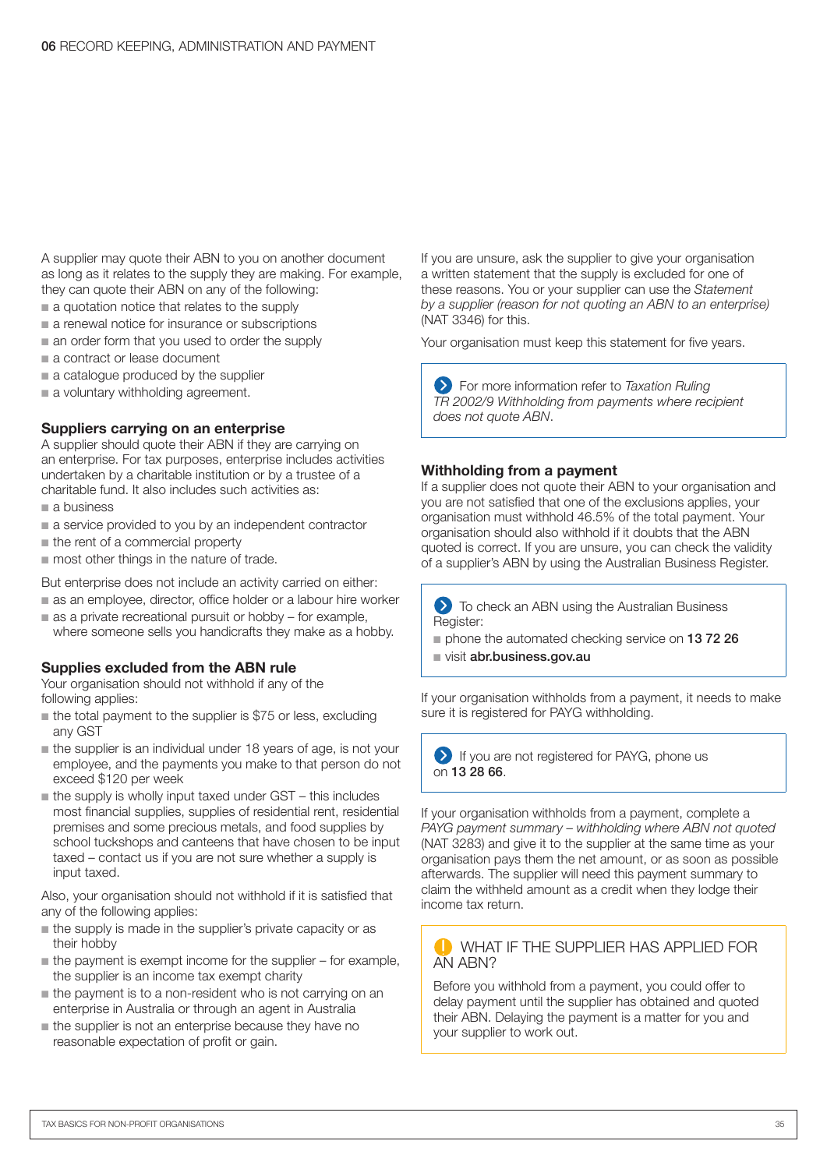A supplier may quote their ABN to you on another document as long as it relates to the supply they are making. For example, they can quote their ABN on any of the following:

- $\blacksquare$  a quotation notice that relates to the supply
- $\blacksquare$  a renewal notice for insurance or subscriptions
- $\blacksquare$  an order form that you used to order the supply
- a contract or lease document
- $a$  catalogue produced by the supplier
- $\blacksquare$  a voluntary withholding agreement.

#### Suppliers carrying on an enterprise

A supplier should quote their ABN if they are carrying on an enterprise. For tax purposes, enterprise includes activities undertaken by a charitable institution or by a trustee of a charitable fund. It also includes such activities as:

- $a$  business
- a service provided to you by an independent contractor
- $n$  the rent of a commercial property
- $\blacksquare$  most other things in the nature of trade.

But enterprise does not include an activity carried on either:

- as an employee, director, office holder or a labour hire worker
- $\blacksquare$  as a private recreational pursuit or hobby for example, where someone sells you handicrafts they make as a hobby.

#### Supplies excluded from the ABN rule

Your organisation should not withhold if any of the following applies:

- $\blacksquare$  the total payment to the supplier is \$75 or less, excluding any GST
- $\blacksquare$  the supplier is an individual under 18 years of age, is not your employee, and the payments you make to that person do not exceed \$120 per week
- $\blacksquare$  the supply is wholly input taxed under GST this includes most financial supplies, supplies of residential rent, residential premises and some precious metals, and food supplies by school tuckshops and canteens that have chosen to be input taxed – contact us if you are not sure whether a supply is input taxed.

Also, your organisation should not withhold if it is satisfied that any of the following applies:

- $\blacksquare$  the supply is made in the supplier's private capacity or as their hobby
- $\blacksquare$  the payment is exempt income for the supplier for example, the supplier is an income tax exempt charity
- $\blacksquare$  the payment is to a non-resident who is not carrying on an enterprise in Australia or through an agent in Australia
- $\blacksquare$  the supplier is not an enterprise because they have no reasonable expectation of profit or gain.

If you are unsure, ask the supplier to give your organisation a written statement that the supply is excluded for one of these reasons. You or your supplier can use the *Statement by a supplier (reason for not quoting an ABN to an enterprise)* (NAT 3346) for this.

Your organisation must keep this statement for five years.

For more information refer to *Taxation Ruling*  TR 2002/9 Withholding from payments where recipient *does not quote ABN*.

#### Withholding from a payment

If a supplier does not quote their ABN to your organisation and you are not satisfied that one of the exclusions applies, your organisation must withhold 46.5% of the total payment. Your organisation should also withhold if it doubts that the ABN quoted is correct. If you are unsure, you can check the validity of a supplier's ABN by using the Australian Business Register.

**To check an ABN using the Australian Business** Register:

- n phone the automated checking service on 13 72 26
- visit abr.business.gov.au

If your organisation withholds from a payment, it needs to make sure it is registered for PAYG withholding.

If you are not registered for PAYG, phone us on 13 28 66.

If your organisation withholds from a payment, complete a *PAYG payment summary – withholding where ABN not quoted* (NAT 3283) and give it to the supplier at the same time as your organisation pays them the net amount, or as soon as possible afterwards. The supplier will need this payment summary to claim the withheld amount as a credit when they lodge their income tax return.

#### WHAT IF THE SUPPLIER HAS APPLIED FOR AN ABN?

Before you withhold from a payment, you could offer to delay payment until the supplier has obtained and quoted their ABN. Delaying the payment is a matter for you and your supplier to work out.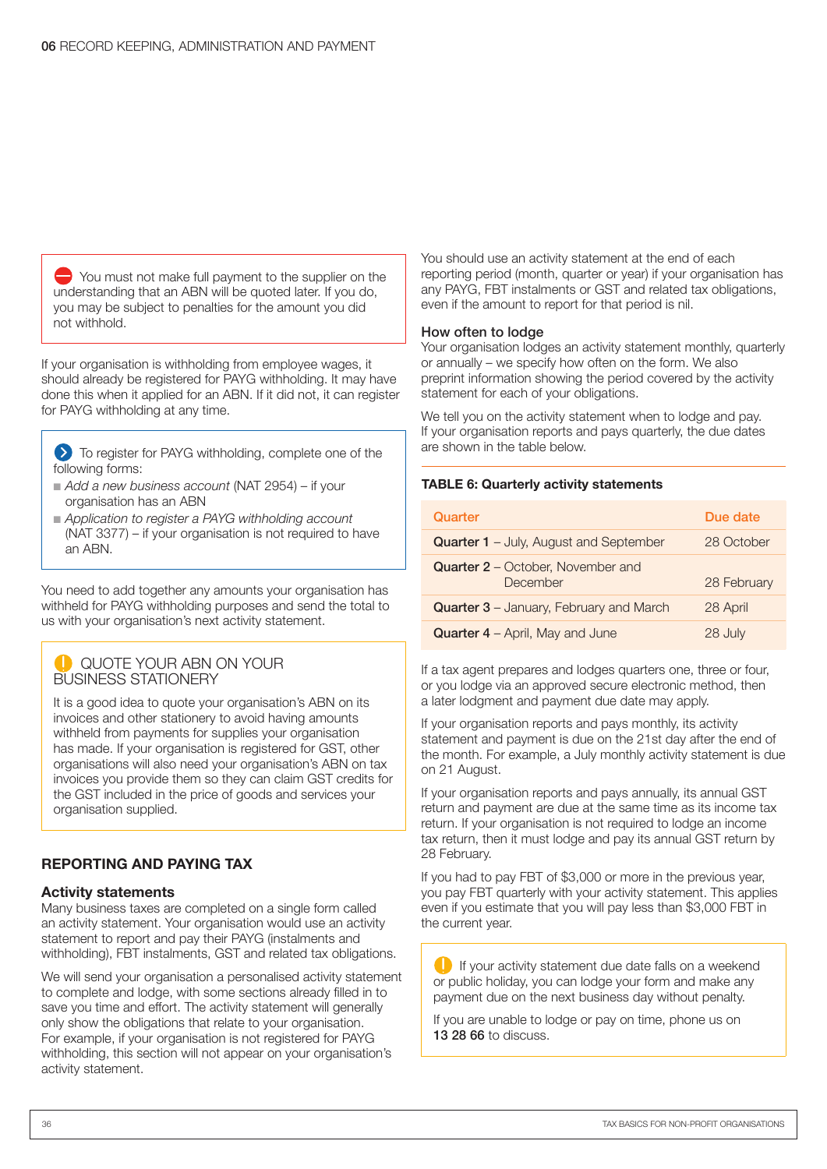$\rightarrow$  You must not make full payment to the supplier on the understanding that an ABN will be quoted later. If you do, you may be subject to penalties for the amount you did not withhold.

If your organisation is withholding from employee wages, it should already be registered for PAYG withholding. It may have done this when it applied for an ABN. If it did not, it can register for PAYG withholding at any time.

To register for PAYG withholding, complete one of the following forms:

- Add a new business account (NAT 2954) if your organisation has an ABN
- n *Application to register a PAYG withholding account* (NAT 3377) – if your organisation is not required to have an ABN.

You need to add together any amounts your organisation has withheld for PAYG withholding purposes and send the total to us with your organisation's next activity statement.

#### QUOTE YOUR ABN ON YOUR BUSINESS STATIONERY

It is a good idea to quote your organisation's ABN on its invoices and other stationery to avoid having amounts withheld from payments for supplies your organisation has made. If your organisation is registered for GST, other organisations will also need your organisation's ABN on tax invoices you provide them so they can claim GST credits for the GST included in the price of goods and services your organisation supplied.

#### REPORTING AND PAYING TAX

#### Activity statements

Many business taxes are completed on a single form called an activity statement. Your organisation would use an activity statement to report and pay their PAYG (instalments and withholding), FBT instalments, GST and related tax obligations.

We will send your organisation a personalised activity statement to complete and lodge, with some sections already filled in to save you time and effort. The activity statement will generally only show the obligations that relate to your organisation. For example, if your organisation is not registered for PAYG withholding, this section will not appear on your organisation's activity statement.

You should use an activity statement at the end of each reporting period (month, quarter or year) if your organisation has any PAYG, FBT instalments or GST and related tax obligations, even if the amount to report for that period is nil.

#### How often to lodge

Your organisation lodges an activity statement monthly, quarterly or annually – we specify how often on the form. We also preprint information showing the period covered by the activity statement for each of your obligations.

We tell you on the activity statement when to lodge and pay. If your organisation reports and pays quarterly, the due dates are shown in the table below.

#### TABLE 6: Quarterly activity statements

| Quarter                                        | Due date    |
|------------------------------------------------|-------------|
| <b>Quarter 1</b> - July, August and September  | 28 October  |
| Quarter 2 - October, November and<br>December  | 28 February |
| <b>Quarter 3</b> – January, February and March | 28 April    |
| <b>Quarter 4</b> – April, May and June         | 28 July     |

If a tax agent prepares and lodges quarters one, three or four, or you lodge via an approved secure electronic method, then a later lodgment and payment due date may apply.

If your organisation reports and pays monthly, its activity statement and payment is due on the 21st day after the end of the month. For example, a July monthly activity statement is due on 21 August.

If your organisation reports and pays annually, its annual GST return and payment are due at the same time as its income tax return. If your organisation is not required to lodge an income tax return, then it must lodge and pay its annual GST return by 28 February.

If you had to pay FBT of \$3,000 or more in the previous year, you pay FBT quarterly with your activity statement. This applies even if you estimate that you will pay less than \$3,000 FBT in the current year.

 $\Box$  If your activity statement due date falls on a weekend or public holiday, you can lodge your form and make any payment due on the next business day without penalty.

If you are unable to lodge or pay on time, phone us on 13 28 66 to discuss.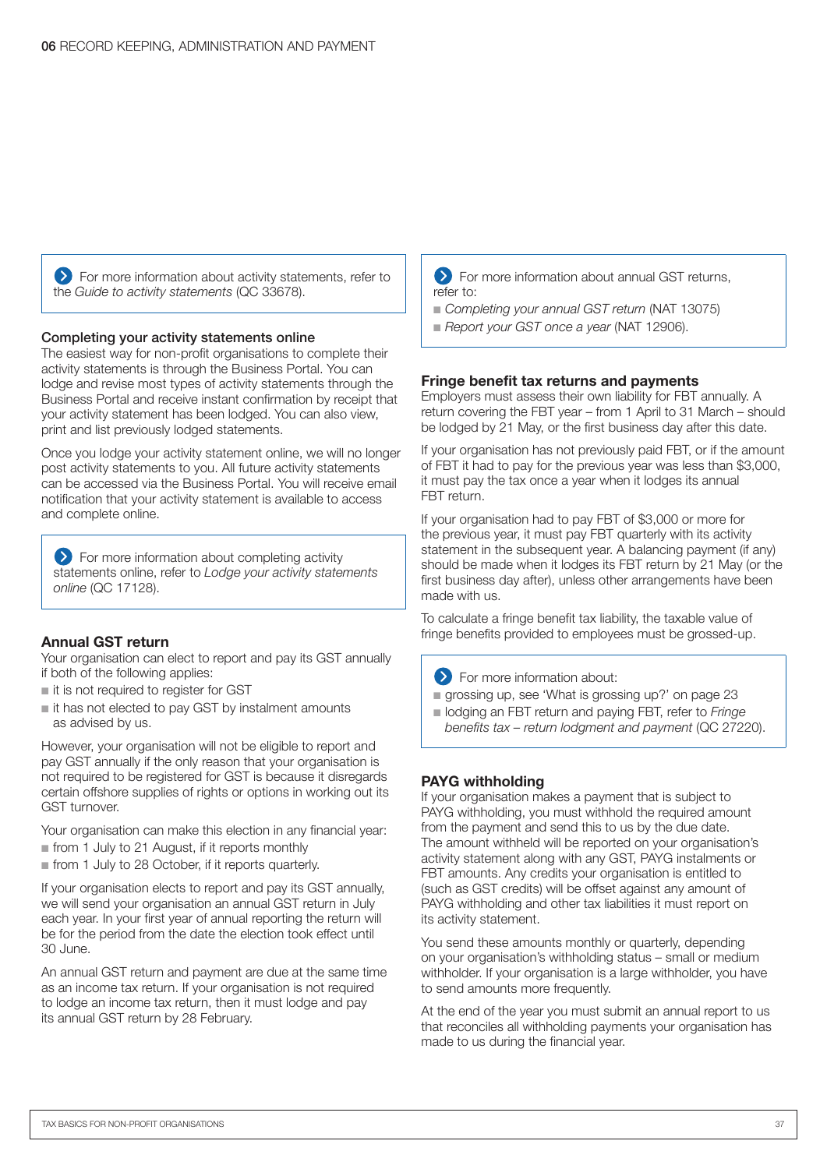**EXT** For more information about activity statements, refer to the *Guide to activity statements* (QC 33678).

#### Completing your activity statements online

The easiest way for non-profit organisations to complete their activity statements is through the Business Portal. You can lodge and revise most types of activity statements through the Business Portal and receive instant confirmation by receipt that your activity statement has been lodged. You can also view, print and list previously lodged statements.

Once you lodge your activity statement online, we will no longer post activity statements to you. All future activity statements can be accessed via the Business Portal. You will receive email notification that your activity statement is available to access and complete online.

**Example 15** For more information about completing activity statements online, refer to *Lodge your activity statements online* (QC 17128).

#### Annual GST return

Your organisation can elect to report and pay its GST annually if both of the following applies:

- $i$  it is not required to register for GST
- $\blacksquare$  it has not elected to pay GST by instalment amounts as advised by us.

However, your organisation will not be eligible to report and pay GST annually if the only reason that your organisation is not required to be registered for GST is because it disregards certain offshore supplies of rights or options in working out its GST turnover.

Your organisation can make this election in any financial year:

 $\blacksquare$  from 1 July to 21 August, if it reports monthly

n from 1 July to 28 October, if it reports quarterly.

If your organisation elects to report and pay its GST annually, we will send your organisation an annual GST return in July each year. In your first year of annual reporting the return will be for the period from the date the election took effect until 30 June.

An annual GST return and payment are due at the same time as an income tax return. If your organisation is not required to lodge an income tax return, then it must lodge and pay its annual GST return by 28 February.

#### **EXT** For more information about annual GST returns, refer to:

- *Completing your annual GST return* (NAT 13075)
- **Report your GST once a year (NAT 12906).**

#### Fringe benefit tax returns and payments

Employers must assess their own liability for FBT annually. A return covering the FBT year – from 1 April to 31 March – should be lodged by 21 May, or the first business day after this date.

If your organisation has not previously paid FBT, or if the amount of FBT it had to pay for the previous year was less than \$3,000, it must pay the tax once a year when it lodges its annual FBT return.

If your organisation had to pay FBT of \$3,000 or more for the previous year, it must pay FBT quarterly with its activity statement in the subsequent year. A balancing payment (if any) should be made when it lodges its FBT return by 21 May (or the first business day after), unless other arrangements have been made with us.

To calculate a fringe benefit tax liability, the taxable value of fringe benefits provided to employees must be grossed-up.

For more information about:

- $\blacksquare$  grossing up, see 'What is grossing up?' on page 23
- n lodging an FBT return and paying FBT, refer to *Fringe benefits tax – return lodgment and payment* (QC 27220).

#### PAYG withholding

If your organisation makes a payment that is subject to PAYG withholding, you must withhold the required amount from the payment and send this to us by the due date. The amount withheld will be reported on your organisation's activity statement along with any GST, PAYG instalments or FBT amounts. Any credits your organisation is entitled to (such as GST credits) will be offset against any amount of PAYG withholding and other tax liabilities it must report on its activity statement.

You send these amounts monthly or quarterly, depending on your organisation's withholding status – small or medium withholder. If your organisation is a large withholder, you have to send amounts more frequently.

At the end of the year you must submit an annual report to us that reconciles all withholding payments your organisation has made to us during the financial year.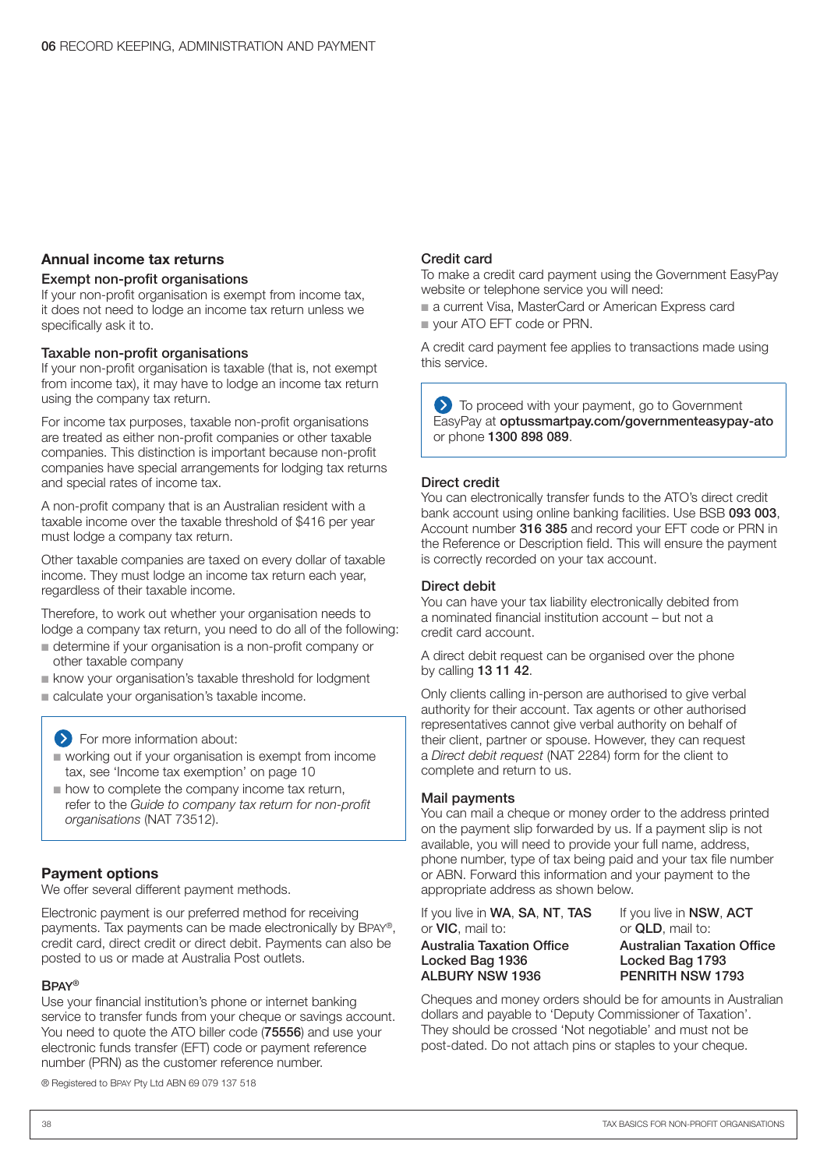#### Annual income tax returns

#### Exempt non-profit organisations

If your non-profit organisation is exempt from income tax, it does not need to lodge an income tax return unless we specifically ask it to.

#### Taxable non-profit organisations

If your non-profit organisation is taxable (that is, not exempt from income tax), it may have to lodge an income tax return using the company tax return.

For income tax purposes, taxable non-profit organisations are treated as either non-profit companies or other taxable companies. This distinction is important because non-profit companies have special arrangements for lodging tax returns and special rates of income tax.

A non-profit company that is an Australian resident with a taxable income over the taxable threshold of \$416 per year must lodge a company tax return.

Other taxable companies are taxed on every dollar of taxable income. They must lodge an income tax return each year, regardless of their taxable income.

Therefore, to work out whether your organisation needs to lodge a company tax return, you need to do all of the following:

- n determine if your organisation is a non-profit company or other taxable company
- **n** know your organisation's taxable threshold for lodgment
- calculate your organisation's taxable income.

For more information about:

- n working out if your organisation is exempt from income tax, see 'Income tax exemption' on page 10
- $\blacksquare$  how to complete the company income tax return, refer to the *Guide to company tax return for non-profit organisations* (NAT 73512).

#### Payment options

We offer several different payment methods.

Electronic payment is our preferred method for receiving payments. Tax payments can be made electronically by BPAY®, credit card, direct credit or direct debit. Payments can also be posted to us or made at Australia Post outlets.

#### BPAY®

Use your financial institution's phone or internet banking service to transfer funds from your cheque or savings account. You need to quote the ATO biller code (75556) and use your electronic funds transfer (EFT) code or payment reference number (PRN) as the customer reference number.

#### ® Registered to BPAY Pty Ltd ABN 69 079 137 518

#### Credit card

To make a credit card payment using the Government EasyPay website or telephone service you will need:

■ a current Visa, MasterCard or American Express card

vour ATO EFT code or PRN.

A credit card payment fee applies to transactions made using this service.

 $\sum$  To proceed with your payment, go to Government EasyPay at optussmartpay.com/governmenteasypay-ato or phone 1300 898 089.

#### Direct credit

You can electronically transfer funds to the ATO's direct credit bank account using online banking facilities. Use BSB 093 003, Account number 316 385 and record your EFT code or PRN in the Reference or Description field. This will ensure the payment is correctly recorded on your tax account.

#### Direct debit

You can have your tax liability electronically debited from a nominated financial institution account – but not a credit card account.

A direct debit request can be organised over the phone by calling 13 11 42.

Only clients calling in-person are authorised to give verbal authority for their account. Tax agents or other authorised representatives cannot give verbal authority on behalf of their client, partner or spouse. However, they can request a Direct debit request (NAT 2284) form for the client to complete and return to us.

#### Mail payments

You can mail a cheque or money order to the address printed on the payment slip forwarded by us. If a payment slip is not available, you will need to provide your full name, address, phone number, type of tax being paid and your tax file number or ABN. Forward this information and your payment to the appropriate address as shown below.

If you live in WA, SA, NT, TAS or VIC, mail to:

Australia Taxation Office Locked Bag 1936 ALBURY NSW 1936

If you live in NSW, ACT or QLD, mail to: Australian Taxation Office Locked Bag 1793 PENRITH NSW 1793

Cheques and money orders should be for amounts in Australian dollars and payable to 'Deputy Commissioner of Taxation'. They should be crossed 'Not negotiable' and must not be post-dated. Do not attach pins or staples to your cheque.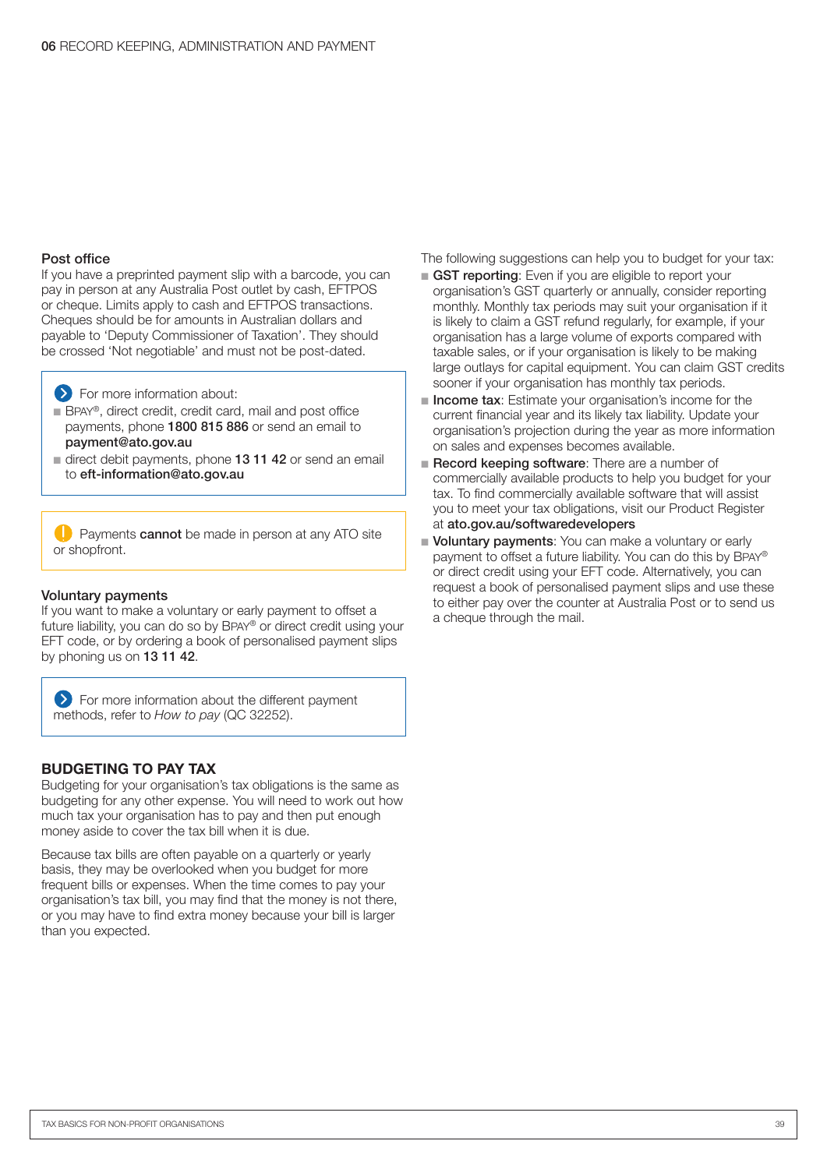#### Post office

If you have a preprinted payment slip with a barcode, you can pay in person at any Australia Post outlet by cash, EFTPOS or cheque. Limits apply to cash and EFTPOS transactions. Cheques should be for amounts in Australian dollars and payable to 'Deputy Commissioner of Taxation'. They should be crossed 'Not negotiable' and must not be post-dated.

 $\sum$  For more information about:

- BPAY®, direct credit, credit card, mail and post office payments, phone 1800 815 886 or send an email to payment@ato.gov.au
- direct debit payments, phone 13 11 42 or send an email to eft-information@ato.gov.au

**Payments cannot** be made in person at any ATO site or shopfront.

#### Voluntary payments

If you want to make a voluntary or early payment to offset a future liability, you can do so by BPAY® or direct credit using your EFT code, or by ordering a book of personalised payment slips by phoning us on 13 11 42.

For more information about the different payment methods, refer to *How to pay* (QC 32252).

#### BUDGETING TO PAY TAX

Budgeting for your organisation's tax obligations is the same as budgeting for any other expense. You will need to work out how much tax your organisation has to pay and then put enough money aside to cover the tax bill when it is due.

Because tax bills are often payable on a quarterly or yearly basis, they may be overlooked when you budget for more frequent bills or expenses. When the time comes to pay your organisation's tax bill, you may find that the money is not there, or you may have to find extra money because your bill is larger than you expected.

The following suggestions can help you to budget for your tax:

- GST reporting: Even if you are eligible to report your organisation's GST quarterly or annually, consider reporting monthly. Monthly tax periods may suit your organisation if it is likely to claim a GST refund regularly, for example, if your organisation has a large volume of exports compared with taxable sales, or if your organisation is likely to be making large outlays for capital equipment. You can claim GST credits sooner if your organisation has monthly tax periods.
- n Income tax: Estimate your organisation's income for the current financial year and its likely tax liability. Update your organisation's projection during the year as more information on sales and expenses becomes available.
- Record keeping software: There are a number of commercially available products to help you budget for your tax. To find commercially available software that will assist you to meet your tax obligations, visit our Product Register at ato.gov.au/softwaredevelopers
- Voluntary payments: You can make a voluntary or early payment to offset a future liability. You can do this by BPAY® or direct credit using your EFT code. Alternatively, you can request a book of personalised payment slips and use these to either pay over the counter at Australia Post or to send us a cheque through the mail.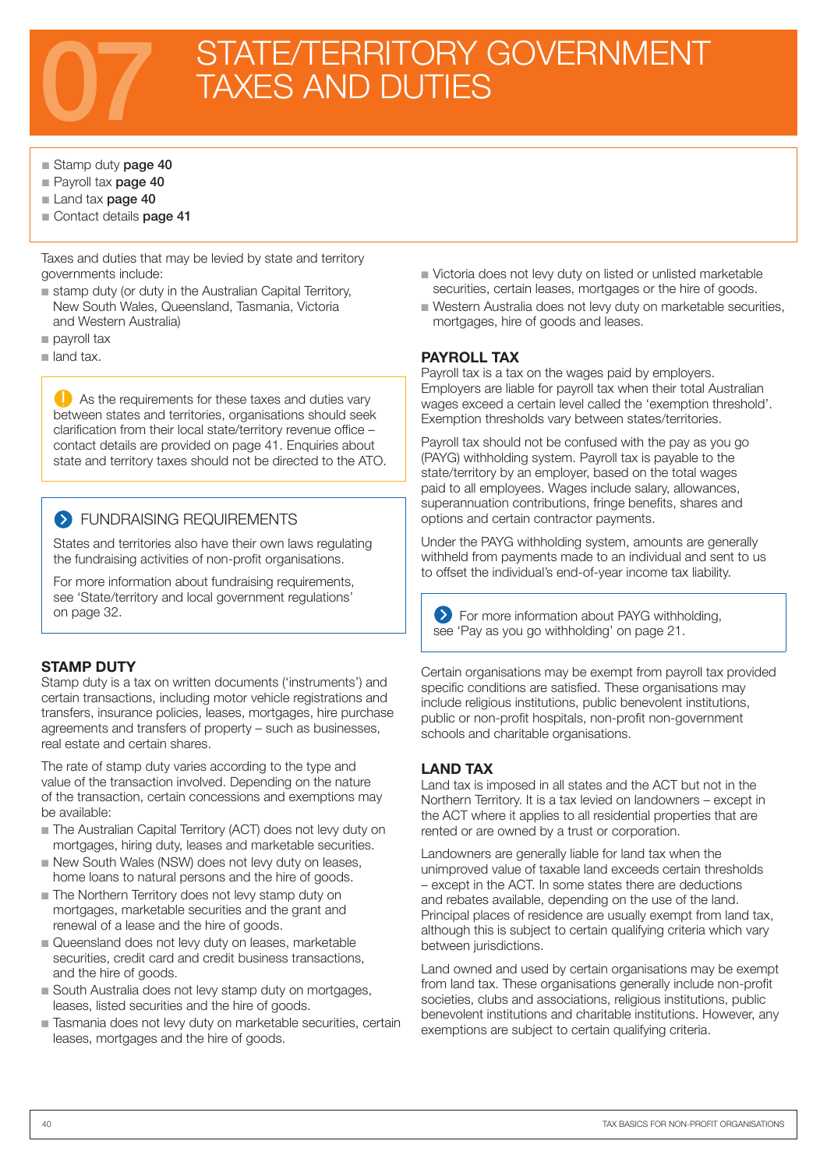# STATE/TERRITORY GOVERNMENT<br>TAXES AND DUTIES

#### ■ Stamp duty page 40

- Pavroll tax **page 40**
- Land tax page 40
- Contact details page 41

Taxes and duties that may be levied by state and territory governments include:

- stamp duty (or duty in the Australian Capital Territory, New South Wales, Queensland, Tasmania, Victoria and Western Australia)
- $\blacksquare$  payroll tax
- $\blacksquare$  land tax.

As the requirements for these taxes and duties vary between states and territories, organisations should seek clarification from their local state/territory revenue office – contact details are provided on page 41. Enquiries about state and territory taxes should not be directed to the ATO.

#### **S** FUNDRAISING REQUIREMENTS

States and territories also have their own laws regulating the fundraising activities of non-profit organisations.

For more information about fundraising requirements, see 'State/territory and local government regulations' on page 32.

#### STAMP DUTY

Stamp duty is a tax on written documents ('instruments') and certain transactions, including motor vehicle registrations and transfers, insurance policies, leases, mortgages, hire purchase agreements and transfers of property – such as businesses, real estate and certain shares.

The rate of stamp duty varies according to the type and value of the transaction involved. Depending on the nature of the transaction, certain concessions and exemptions may be available:

- n The Australian Capital Territory (ACT) does not levy duty on mortgages, hiring duty, leases and marketable securities.
- New South Wales (NSW) does not levy duty on leases, home loans to natural persons and the hire of goods.
- The Northern Territory does not levy stamp duty on mortgages, marketable securities and the grant and renewal of a lease and the hire of goods.
- Queensland does not levy duty on leases, marketable securities, credit card and credit business transactions, and the hire of goods.
- South Australia does not levy stamp duty on mortgages, leases, listed securities and the hire of goods.
- n Tasmania does not levy duty on marketable securities, certain leases, mortgages and the hire of goods.
- $\blacksquare$  Victoria does not levy duty on listed or unlisted marketable securities, certain leases, mortgages or the hire of goods.
- $\blacksquare$  Western Australia does not levy duty on marketable securities, mortgages, hire of goods and leases.

#### PAYROLL TAX

Payroll tax is a tax on the wages paid by employers. Employers are liable for payroll tax when their total Australian wages exceed a certain level called the 'exemption threshold'. Exemption thresholds vary between states/territories.

Payroll tax should not be confused with the pay as you go (PAYG) withholding system. Payroll tax is payable to the state/territory by an employer, based on the total wages paid to all employees. Wages include salary, allowances, superannuation contributions, fringe benefits, shares and options and certain contractor payments.

Under the PAYG withholding system, amounts are generally withheld from payments made to an individual and sent to us to offset the individual's end-of-year income tax liability.

**EXECUTE:** For more information about PAYG withholding, see 'Pay as you go withholding' on page 21.

Certain organisations may be exempt from payroll tax provided specific conditions are satisfied. These organisations may include religious institutions, public benevolent institutions, public or non-profit hospitals, non-profit non-government schools and charitable organisations.

#### LAND TAX

Land tax is imposed in all states and the ACT but not in the Northern Territory. It is a tax levied on landowners – except in the ACT where it applies to all residential properties that are rented or are owned by a trust or corporation.

Landowners are generally liable for land tax when the unimproved value of taxable land exceeds certain thresholds – except in the ACT. In some states there are deductions and rebates available, depending on the use of the land. Principal places of residence are usually exempt from land tax, although this is subject to certain qualifying criteria which vary between jurisdictions.

Land owned and used by certain organisations may be exempt from land tax. These organisations generally include non-profit societies, clubs and associations, religious institutions, public benevolent institutions and charitable institutions. However, any exemptions are subject to certain qualifying criteria.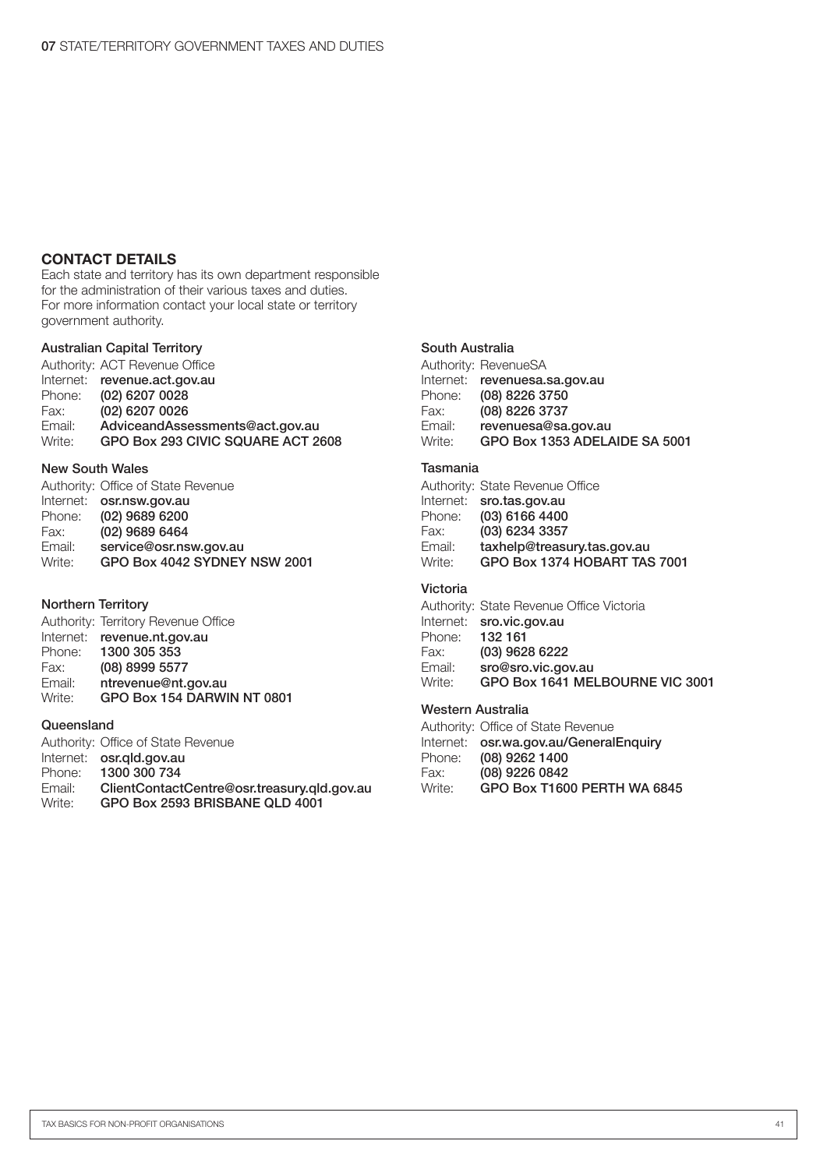#### CONTACT DETAILS

Each state and territory has its own department responsible for the administration of their various taxes and duties. For more information contact your local state or territory government authority.

#### Australian Capital Territory

Authority: ACT Revenue Office Internet: revenue.act.gov.au<br>Phone: (02) 6207 0028 Phone: (02) 6207 0028 Fax: (02) 6207 0026<br>Email: AdviceandAsse Email: AdviceandAssessments@act.gov.au<br>Write: GPO Box 293 CIVIC SQUARE ACT 2 GPO Box 293 CIVIC SQUARE ACT 2608

#### New South Wales

| Authority: Office of State Revenue |
|------------------------------------|
| Internet: osr.nsw.gov.au           |
| (02) 9689 6200                     |
| (02) 9689 6464                     |
| service@osr.nsw.gov.au             |
| GPO Box 4042 SYDNEY NSW 2001       |
|                                    |

#### Northern Territory

|        | Authority: Territory Revenue Office |
|--------|-------------------------------------|
|        | Internet: revenue.nt.gov.au         |
| Phone: | 1300 305 353                        |
| Fax:   | (08) 8999 5577                      |
| Email: | ntrevenue@nt.gov.au                 |
| Write: | GPO Box 154 DARWIN NT 0801          |

#### **Queensland**

|        | Authority: Office of State Revenue          |
|--------|---------------------------------------------|
|        | Internet: osr.gld.gov.au                    |
| Phone: | 1300 300 734                                |
| Email: | ClientContactCentre@osr.treasury.gld.gov.au |
| Write: | GPO Box 2593 BRISBANE QLD 4001              |

#### South Australia

|        | Authority: RevenueSA          |
|--------|-------------------------------|
|        | Internet: revenuesa.sa.gov.au |
| Phone: | (08) 8226 3750                |
| Fax:   | (08) 8226 3737                |
| Email: | revenuesa@sa.gov.au           |
| Write: | GPO Box 1353 ADELAIDE SA 5001 |

#### Tasmania

|        | Authority: State Revenue Office |
|--------|---------------------------------|
|        | Internet: sro.tas.gov.au        |
| Phone: | $(03)$ 6166 4400                |
| Fax:   | (03) 6234 3357                  |
| Email: | taxhelp@treasury.tas.gov.au     |
| Write: | GPO Box 1374 HOBART TAS 7001    |

#### Victoria

|        | Authority: State Revenue Office Victoria |
|--------|------------------------------------------|
|        | Internet: sro.vic.gov.au                 |
| Phone: | 132 161                                  |
| Fax:   | (03) 9628 6222                           |
| Email: | sro@sro.vic.gov.au                       |
| Write: | GPO Box 1641 MELBOURNE VIC 3001          |

#### Western Australia

|        | Authority: Office of State Revenue     |
|--------|----------------------------------------|
|        | Internet: osr.wa.gov.au/GeneralEnquiry |
| Phone: | (08) 9262 1400                         |
| Fax:   | (08) 9226 0842                         |
| Write: | GPO Box T1600 PERTH WA 6845            |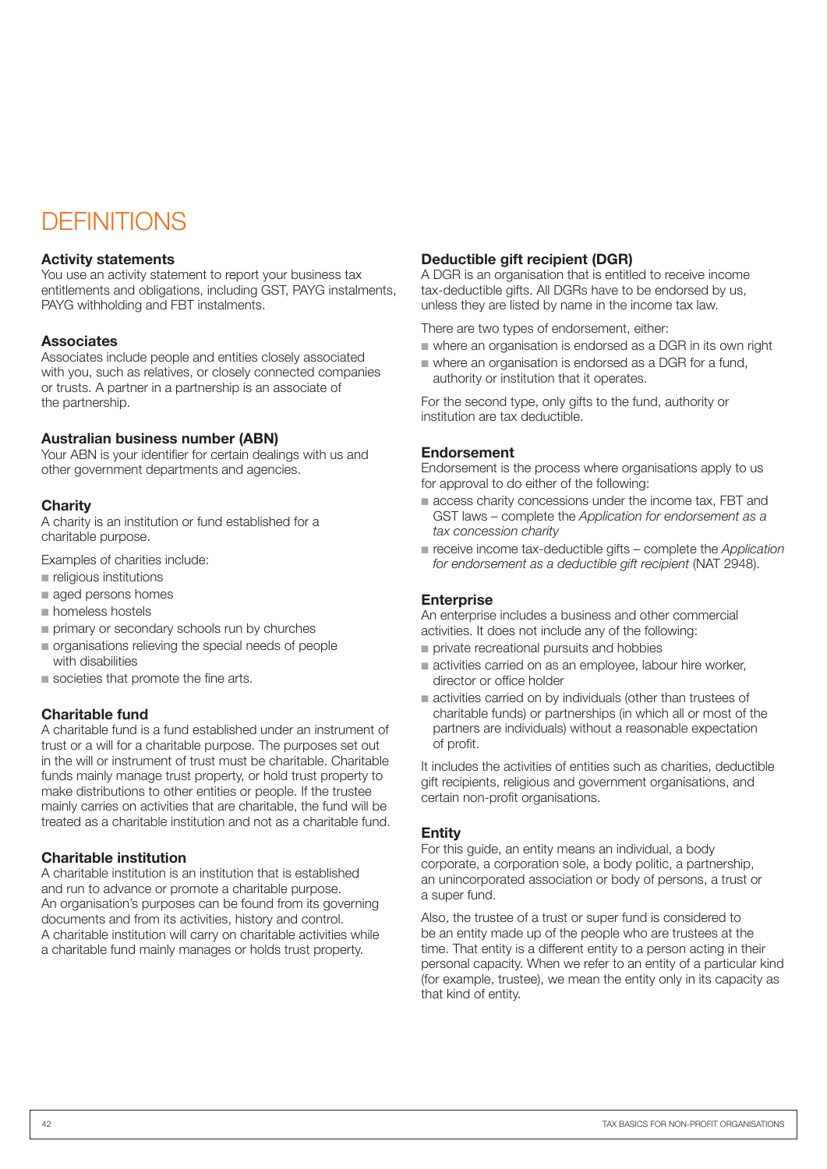### **DEFINITIONS**

#### Activity statements

You use an activity statement to report your business tax entitlements and obligations, including GST, PAYG instalments, PAYG withholding and FBT instalments.

#### **Associates**

Associates include people and entities closely associated with you, such as relatives, or closely connected companies or trusts. A partner in a partnership is an associate of the partnership.

#### Australian business number (ABN)

Your ABN is your identifier for certain dealings with us and other government departments and agencies.

#### **Charity**

A charity is an institution or fund established for a charitable purpose.

Examples of charities include:

- n religious institutions
- aged persons homes
- $\blacksquare$  homeless hostels
- n primary or secondary schools run by churches
- n organisations relieving the special needs of people with disabilities
- societies that promote the fine arts.

#### Charitable fund

A charitable fund is a fund established under an instrument of trust or a will for a charitable purpose. The purposes set out in the will or instrument of trust must be charitable. Charitable funds mainly manage trust property, or hold trust property to make distributions to other entities or people. If the trustee mainly carries on activities that are charitable, the fund will be treated as a charitable institution and not as a charitable fund.

#### Charitable institution

A charitable institution is an institution that is established and run to advance or promote a charitable purpose. An organisation's purposes can be found from its governing documents and from its activities, history and control. A charitable institution will carry on charitable activities while a charitable fund mainly manages or holds trust property.

#### Deductible gift recipient (DGR)

A DGR is an organisation that is entitled to receive income tax‑deductible gifts. All DGRs have to be endorsed by us, unless they are listed by name in the income tax law.

There are two types of endorsement, either:

- $\blacksquare$  where an organisation is endorsed as a DGR in its own right
- $\blacksquare$  where an organisation is endorsed as a DGR for a fund. authority or institution that it operates.

For the second type, only gifts to the fund, authority or institution are tax deductible.

#### Endorsement

Endorsement is the process where organisations apply to us for approval to do either of the following:

- $\blacksquare$  access charity concessions under the income tax, FBT and GST laws – complete the *Application for endorsement as a tax concession charity*
- receive income tax-deductible gifts complete the *Application for endorsement as a deductible gift recipient* (NAT 2948).

#### **Enterprise**

An enterprise includes a business and other commercial activities. It does not include any of the following:

- $\blacksquare$  private recreational pursuits and hobbies
- n activities carried on as an employee, labour hire worker, director or office holder
- n activities carried on by individuals (other than trustees of charitable funds) or partnerships (in which all or most of the partners are individuals) without a reasonable expectation of profit.

It includes the activities of entities such as charities, deductible gift recipients, religious and government organisations, and certain non-profit organisations.

#### Entity

For this guide, an entity means an individual, a body corporate, a corporation sole, a body politic, a partnership, an unincorporated association or body of persons, a trust or a super fund.

Also, the trustee of a trust or super fund is considered to be an entity made up of the people who are trustees at the time. That entity is a different entity to a person acting in their personal capacity. When we refer to an entity of a particular kind (for example, trustee), we mean the entity only in its capacity as that kind of entity.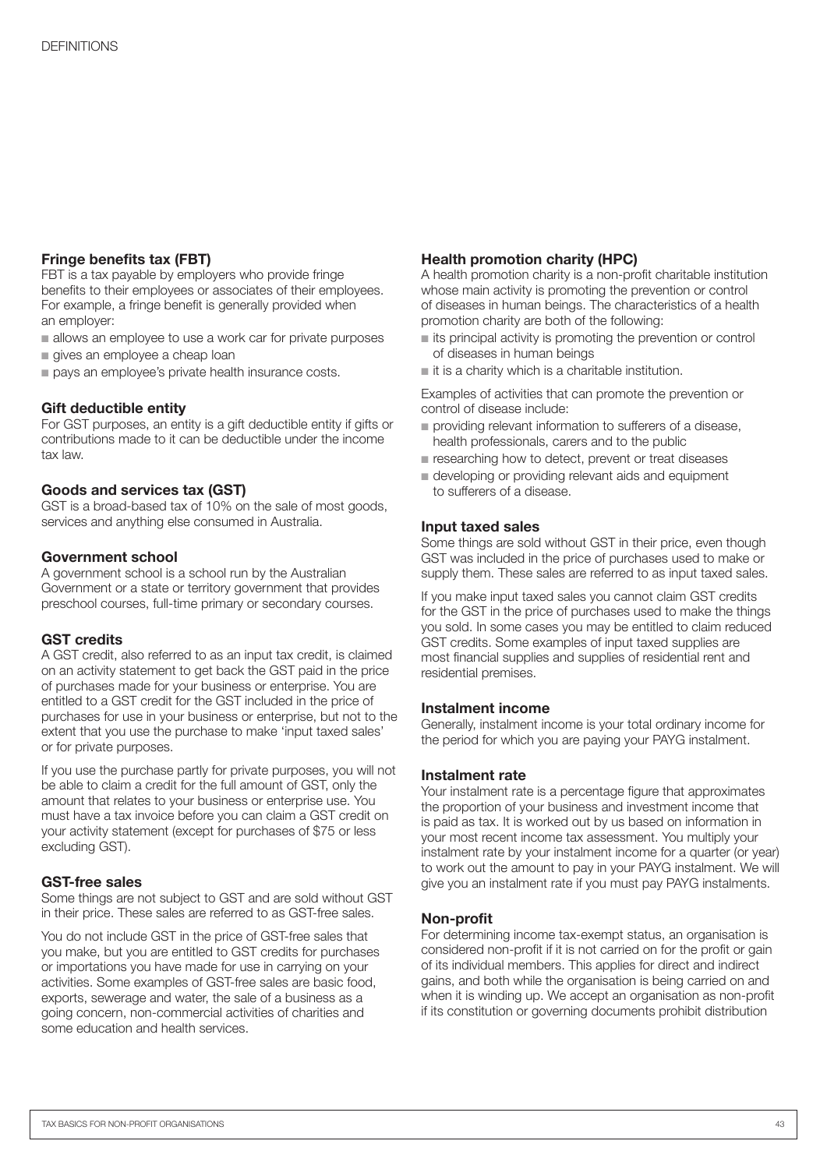#### Fringe benefits tax (FBT)

FBT is a tax payable by employers who provide fringe benefits to their employees or associates of their employees. For example, a fringe benefit is generally provided when an employer:

- allows an employee to use a work car for private purposes
- gives an employee a cheap loan
- pays an employee's private health insurance costs.

#### Gift deductible entity

For GST purposes, an entity is a gift deductible entity if gifts or contributions made to it can be deductible under the income tax law.

#### Goods and services tax (GST)

GST is a broad-based tax of 10% on the sale of most goods, services and anything else consumed in Australia.

#### Government school

A government school is a school run by the Australian Government or a state or territory government that provides preschool courses, full-time primary or secondary courses.

#### GST credits

A GST credit, also referred to as an input tax credit, is claimed on an activity statement to get back the GST paid in the price of purchases made for your business or enterprise. You are entitled to a GST credit for the GST included in the price of purchases for use in your business or enterprise, but not to the extent that you use the purchase to make 'input taxed sales' or for private purposes.

If you use the purchase partly for private purposes, you will not be able to claim a credit for the full amount of GST, only the amount that relates to your business or enterprise use. You must have a tax invoice before you can claim a GST credit on your activity statement (except for purchases of \$75 or less excluding GST).

#### GST-free sales

Some things are not subject to GST and are sold without GST in their price. These sales are referred to as GST-free sales.

You do not include GST in the price of GST-free sales that you make, but you are entitled to GST credits for purchases or importations you have made for use in carrying on your activities. Some examples of GST-free sales are basic food, exports, sewerage and water, the sale of a business as a going concern, non-commercial activities of charities and some education and health services.

#### Health promotion charity (HPC)

A health promotion charity is a non-profit charitable institution whose main activity is promoting the prevention or control of diseases in human beings. The characteristics of a health promotion charity are both of the following:

- $\blacksquare$  its principal activity is promoting the prevention or control of diseases in human beings
- $\blacksquare$  it is a charity which is a charitable institution.

Examples of activities that can promote the prevention or control of disease include:

- providing relevant information to sufferers of a disease, health professionals, carers and to the public
- researching how to detect, prevent or treat diseases
- $\blacksquare$  developing or providing relevant aids and equipment to sufferers of a disease.

#### Input taxed sales

Some things are sold without GST in their price, even though GST was included in the price of purchases used to make or supply them. These sales are referred to as input taxed sales.

If you make input taxed sales you cannot claim GST credits for the GST in the price of purchases used to make the things you sold. In some cases you may be entitled to claim reduced GST credits. Some examples of input taxed supplies are most financial supplies and supplies of residential rent and residential premises.

#### Instalment income

Generally, instalment income is your total ordinary income for the period for which you are paying your PAYG instalment.

#### Instalment rate

Your instalment rate is a percentage figure that approximates the proportion of your business and investment income that is paid as tax. It is worked out by us based on information in your most recent income tax assessment. You multiply your instalment rate by your instalment income for a quarter (or year) to work out the amount to pay in your PAYG instalment. We will give you an instalment rate if you must pay PAYG instalments.

#### Non-profit

For determining income tax-exempt status, an organisation is considered non-profit if it is not carried on for the profit or gain of its individual members. This applies for direct and indirect gains, and both while the organisation is being carried on and when it is winding up. We accept an organisation as non-profit if its constitution or governing documents prohibit distribution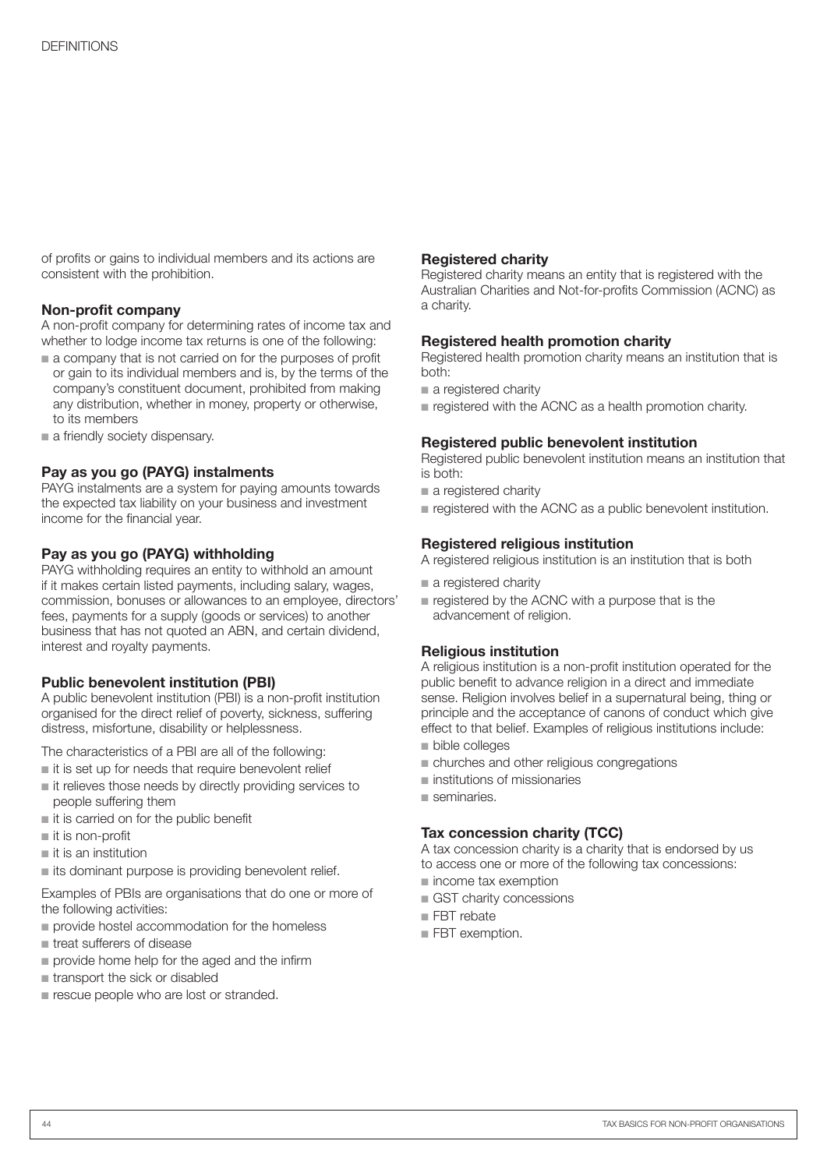of profits or gains to individual members and its actions are consistent with the prohibition.

#### Non-profit company

A non-profit company for determining rates of income tax and whether to lodge income tax returns is one of the following:

- $\blacksquare$  a company that is not carried on for the purposes of profit or gain to its individual members and is, by the terms of the company's constituent document, prohibited from making any distribution, whether in money, property or otherwise, to its members
- a friendly society dispensary.

#### Pay as you go (PAYG) instalments

PAYG instalments are a system for paying amounts towards the expected tax liability on your business and investment income for the financial year.

#### Pay as you go (PAYG) withholding

PAYG withholding requires an entity to withhold an amount if it makes certain listed payments, including salary, wages, commission, bonuses or allowances to an employee, directors' fees, payments for a supply (goods or services) to another business that has not quoted an ABN, and certain dividend, interest and royalty payments.

#### Public benevolent institution (PBI)

A public benevolent institution (PBI) is a non-profit institution organised for the direct relief of poverty, sickness, suffering distress, misfortune, disability or helplessness.

The characteristics of a PBI are all of the following:

- n it is set up for needs that require benevolent relief
- $\blacksquare$  it relieves those needs by directly providing services to people suffering them
- $\blacksquare$  it is carried on for the public benefit
- $\blacksquare$  it is non-profit
- $\blacksquare$  it is an institution
- $\blacksquare$  its dominant purpose is providing benevolent relief.

Examples of PBIs are organisations that do one or more of the following activities:

- n provide hostel accommodation for the homeless
- **n** treat sufferers of disease
- $\blacksquare$  provide home help for the aged and the infirm
- $n$  transport the sick or disabled
- $\blacksquare$  rescue people who are lost or stranded.

#### Registered charity

Registered charity means an entity that is registered with the Australian Charities and Not-for-profits Commission (ACNC) as a charity.

#### Registered health promotion charity

Registered health promotion charity means an institution that is both:

- a registered charity
- n registered with the ACNC as a health promotion charity.

#### Registered public benevolent institution

Registered public benevolent institution means an institution that is both:

- $\blacksquare$  a registered charity
- registered with the ACNC as a public benevolent institution.

#### Registered religious institution

A registered religious institution is an institution that is both

- $\blacksquare$  a registered charity
- $\blacksquare$  registered by the ACNC with a purpose that is the advancement of religion.

#### Religious institution

A religious institution is a non-profit institution operated for the public benefit to advance religion in a direct and immediate sense. Religion involves belief in a supernatural being, thing or principle and the acceptance of canons of conduct which give effect to that belief. Examples of religious institutions include:

- **n** bible colleges
- n churches and other religious congregations
- $\blacksquare$  institutions of missionaries
- $n$  seminaries.

#### Tax concession charity (TCC)

A tax concession charity is a charity that is endorsed by us to access one or more of the following tax concessions:

- n income tax exemption
- GST charity concessions
- $\blacksquare$  FBT rebate
- **FBT** exemption.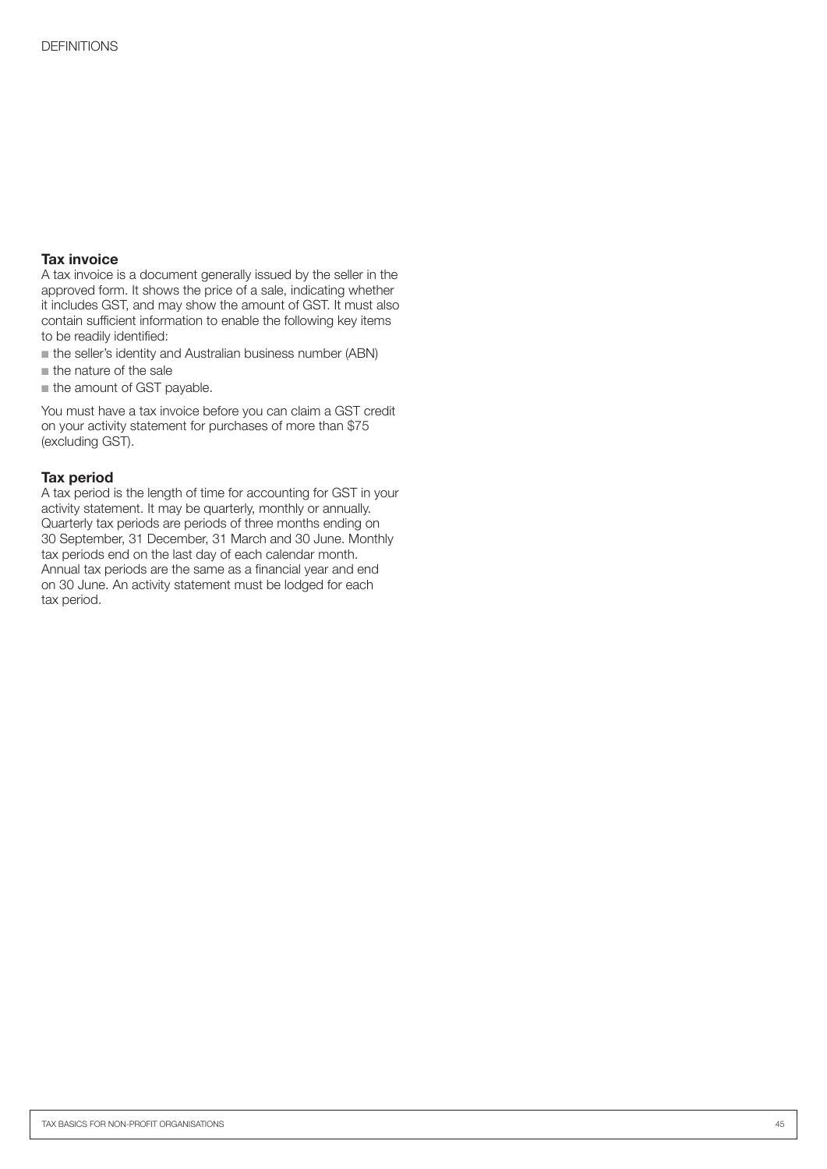#### Tax invoice

A tax invoice is a document generally issued by the seller in the approved form. It shows the price of a sale, indicating whether it includes GST, and may show the amount of GST. It must also contain sufficient information to enable the following key items to be readily identified:

 $\blacksquare$  the seller's identity and Australian business number (ABN)

 $n$  the nature of the sale

 $n$  the amount of GST payable.

You must have a tax invoice before you can claim a GST credit on your activity statement for purchases of more than \$75 (excluding GST).

#### Tax period

A tax period is the length of time for accounting for GST in your activity statement. It may be quarterly, monthly or annually. Quarterly tax periods are periods of three months ending on 30 September, 31 December, 31 March and 30 June. Monthly tax periods end on the last day of each calendar month. Annual tax periods are the same as a financial year and end on 30 June. An activity statement must be lodged for each tax period.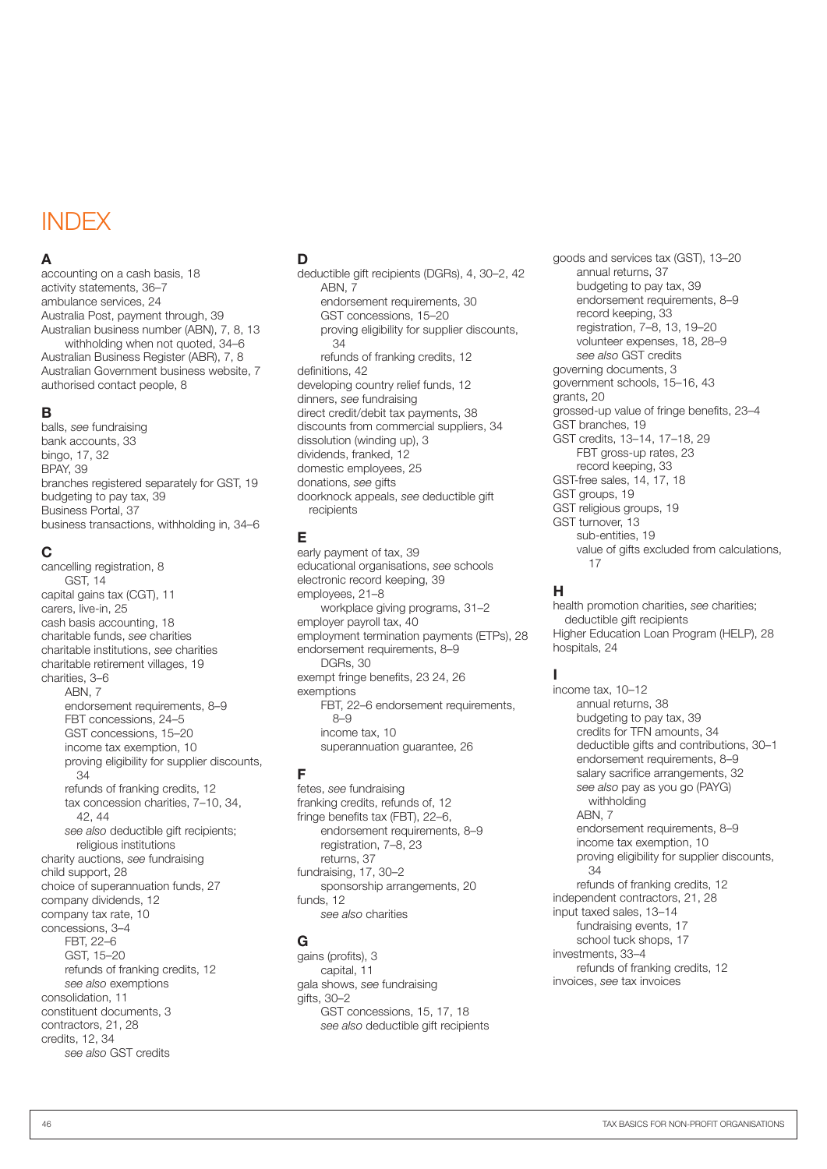### INDEX

#### A

accounting on a cash basis, 18 activity statements, 36–7 ambulance services, 24 Australia Post, payment through, 39 Australian business number (ABN), 7, 8, 13 withholding when not quoted, 34–6 Australian Business Register (ABR), 7, 8 Australian Government business website, 7 authorised contact people, 8

#### B

balls, *see* fundraising bank accounts, 33 bingo, 17, 32 BPAY, 39 branches registered separately for GST, 19 budgeting to pay tax, 39 Business Portal, 37 business transactions, withholding in, 34–6

#### C

cancelling registration, 8 GST, 14 capital gains tax (CGT), 11 carers, live-in, 25 cash basis accounting, 18 charitable funds, *see* charities charitable institutions, *see* charities charitable retirement villages, 19 charities, 3–6 ABN, 7 endorsement requirements, 8–9 FBT concessions, 24–5 GST concessions, 15–20 income tax exemption, 10 proving eligibility for supplier discounts, 34 refunds of franking credits, 12 tax concession charities, 7–10, 34, 42, 44 *see also* deductible gift recipients; religious institutions charity auctions, *see* fundraising child support, 28 choice of superannuation funds, 27 company dividends, 12 company tax rate, 10 concessions, 3–4 FBT, 22–6 GST, 15–20 refunds of franking credits, 12 *see also* exemptions consolidation, 11 constituent documents, 3 contractors, 21, 28 credits, 12, 34 *see also* GST credits

#### D

deductible gift recipients (DGRs), 4, 30–2, 42 ABN, 7 endorsement requirements, 30 GST concessions, 15–20 proving eligibility for supplier discounts, 34 refunds of franking credits, 12 definitions, 42 developing country relief funds, 12 dinners, *see* fundraising direct credit/debit tax payments, 38 discounts from commercial suppliers, 34 dissolution (winding up), 3 dividends, franked, 12 domestic employees, 25 donations, *see* gifts doorknock appeals, *see* deductible gift recipients

#### E

early payment of tax, 39 educational organisations, *see* schools electronic record keeping, 39 employees, 21–8 workplace giving programs, 31–2 employer payroll tax, 40 employment termination payments (ETPs), 28 endorsement requirements, 8–9 DGRs, 30 exempt fringe benefits, 23 24, 26 exemptions FBT, 22–6 endorsement requirements, 8–9 income tax, 10 superannuation guarantee, 26

#### F

fetes, *see* fundraising franking credits, refunds of, 12 fringe benefits tax (FBT), 22–6, endorsement requirements, 8–9 registration, 7–8, 23 returns, 37 fundraising, 17, 30–2 sponsorship arrangements, 20 funds, 12 *see also* charities

#### G

gains (profits), 3 capital, 11 gala shows, *see* fundraising gifts, 30–2 GST concessions, 15, 17, 18 *see also* deductible gift recipients goods and services tax (GST), 13–20 annual returns, 37 budgeting to pay tax, 39 endorsement requirements, 8–9 record keeping, 33 registration, 7–8, 13, 19–20 volunteer expenses, 18, 28–9 *see also* GST credits governing documents, 3 government schools, 15–16, 43 grants, 20 grossed-up value of fringe benefits, 23–4 GST branches, 19 GST credits, 13–14, 17–18, 29 FBT gross-up rates, 23 record keeping, 33 GST-free sales, 14, 17, 18 GST groups, 19 GST religious groups, 19 GST turnover, 13 sub-entities, 19 value of gifts excluded from calculations, 17

#### H

health promotion charities, *see* charities; deductible gift recipients Higher Education Loan Program (HELP), 28 hospitals, 24

#### I

income tax, 10–12 annual returns, 38 budgeting to pay tax, 39 credits for TFN amounts, 34 deductible gifts and contributions, 30–1 endorsement requirements, 8–9 salary sacrifice arrangements, 32 *see also* pay as you go (PAYG) withholding ABN, 7 endorsement requirements, 8–9 income tax exemption, 10 proving eligibility for supplier discounts, 34 refunds of franking credits, 12 independent contractors, 21, 28 input taxed sales, 13–14 fundraising events, 17 school tuck shops, 17 investments, 33–4 refunds of franking credits, 12 invoices, *see* tax invoices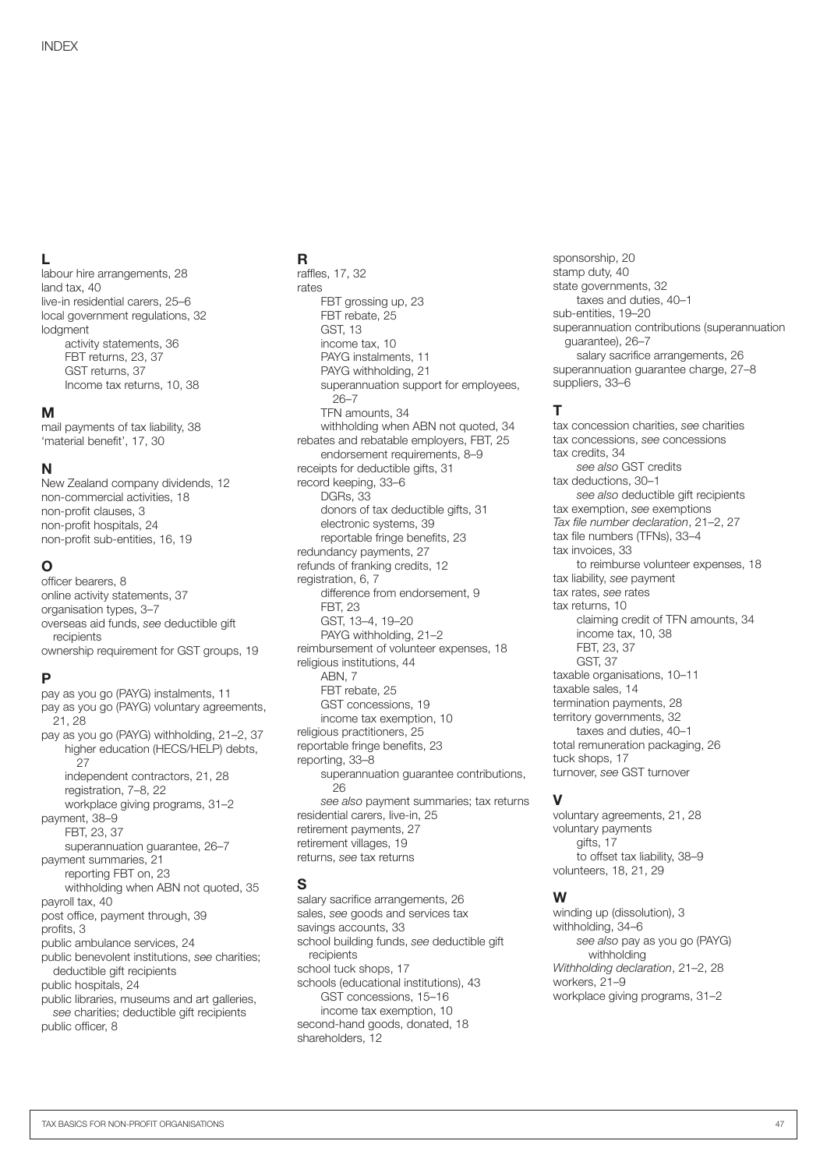#### L

labour hire arrangements, 28 land tax, 40 live-in residential carers, 25–6 local government regulations, 32 lodgment activity statements, 36 FBT returns, 23, 37 GST returns, 37 Income tax returns, 10, 38

#### M

mail payments of tax liability, 38 'material benefit', 17, 30

#### N

New Zealand company dividends, 12 non-commercial activities, 18 non-profit clauses, 3 non-profit hospitals, 24 non-profit sub-entities, 16, 19

#### O

officer bearers, 8 online activity statements, 37 organisation types, 3–7 overseas aid funds, *see* deductible gift recipients ownership requirement for GST groups, 19

#### P

pay as you go (PAYG) instalments, 11 pay as you go (PAYG) voluntary agreements, 21, 28 pay as you go (PAYG) withholding, 21–2, 37 higher education (HECS/HELP) debts, 27 independent contractors, 21, 28 registration, 7–8, 22 workplace giving programs, 31–2 payment, 38–9 FBT, 23, 37 superannuation guarantee, 26–7 payment summaries, 21 reporting FBT on, 23 withholding when ABN not quoted, 35 payroll tax, 40 post office, payment through, 39 profits, 3 public ambulance services, 24 public benevolent institutions, *see* charities; deductible gift recipients public hospitals, 24 public libraries, museums and art galleries, *see* charities; deductible gift recipients public officer, 8

#### R

raffles, 17, 32 rates FBT grossing up, 23 FBT rebate, 25 GST, 13 income tax, 10 PAYG instalments, 11 PAYG withholding, 21 superannuation support for employees, 26–7 TFN amounts, 34 withholding when ABN not quoted, 34 rebates and rebatable employers, FBT, 25 endorsement requirements, 8–9 receipts for deductible gifts, 31 record keeping, 33–6 DGRs, 33 donors of tax deductible gifts, 31 electronic systems, 39 reportable fringe benefits, 23 redundancy payments, 27 refunds of franking credits, 12 registration, 6, 7 difference from endorsement, 9 FBT, 23 GST, 13–4, 19–20 PAYG withholding, 21–2 reimbursement of volunteer expenses, 18 religious institutions, 44 ARN<sub>7</sub> FBT rebate, 25 GST concessions, 19 income tax exemption, 10 religious practitioners, 25 reportable fringe benefits, 23 reporting, 33–8 superannuation quarantee contributions,  $26$ *see also* payment summaries; tax returns residential carers, live-in, 25 retirement payments, 27 retirement villages, 19 returns, *see* tax returns

#### S

salary sacrifice arrangements, 26 sales, *see* goods and services tax savings accounts, 33 school building funds, *see* deductible gift recipients school tuck shops, 17 schools (educational institutions), 43 GST concessions, 15–16 income tax exemption, 10 second-hand goods, donated, 18 shareholders, 12

sponsorship, 20 stamp duty, 40 state governments, 32 taxes and duties, 40–1 sub-entities, 19–20 superannuation contributions (superannuation guarantee), 26–7 salary sacrifice arrangements, 26 superannuation guarantee charge, 27–8 suppliers, 33–6

#### T

tax concession charities, *see* charities tax concessions, *see* concessions tax credits, 34 *see also* GST credits tax deductions, 30–1 *see also* deductible gift recipients tax exemption, *see* exemptions *Tax file number declaration*, 21–2, 27 tax file numbers (TFNs), 33–4 tax invoices, 33 to reimburse volunteer expenses, 18 tax liability, *see* payment tax rates, *see* rates tax returns, 10 claiming credit of TFN amounts, 34 income tax, 10, 38 FBT, 23, 37 GST, 37 taxable organisations, 10–11 taxable sales, 14 termination payments, 28 territory governments, 32 taxes and duties, 40–1 total remuneration packaging, 26 tuck shops, 17 turnover, *see* GST turnover

#### V

voluntary agreements, 21, 28 voluntary payments gifts, 17 to offset tax liability, 38–9 volunteers, 18, 21, 29

#### W

winding up (dissolution), 3 withholding, 34–6 *see also* pay as you go (PAYG) withholding *Withholding declaration*, 21–2, 28 workers, 21–9 workplace giving programs, 31–2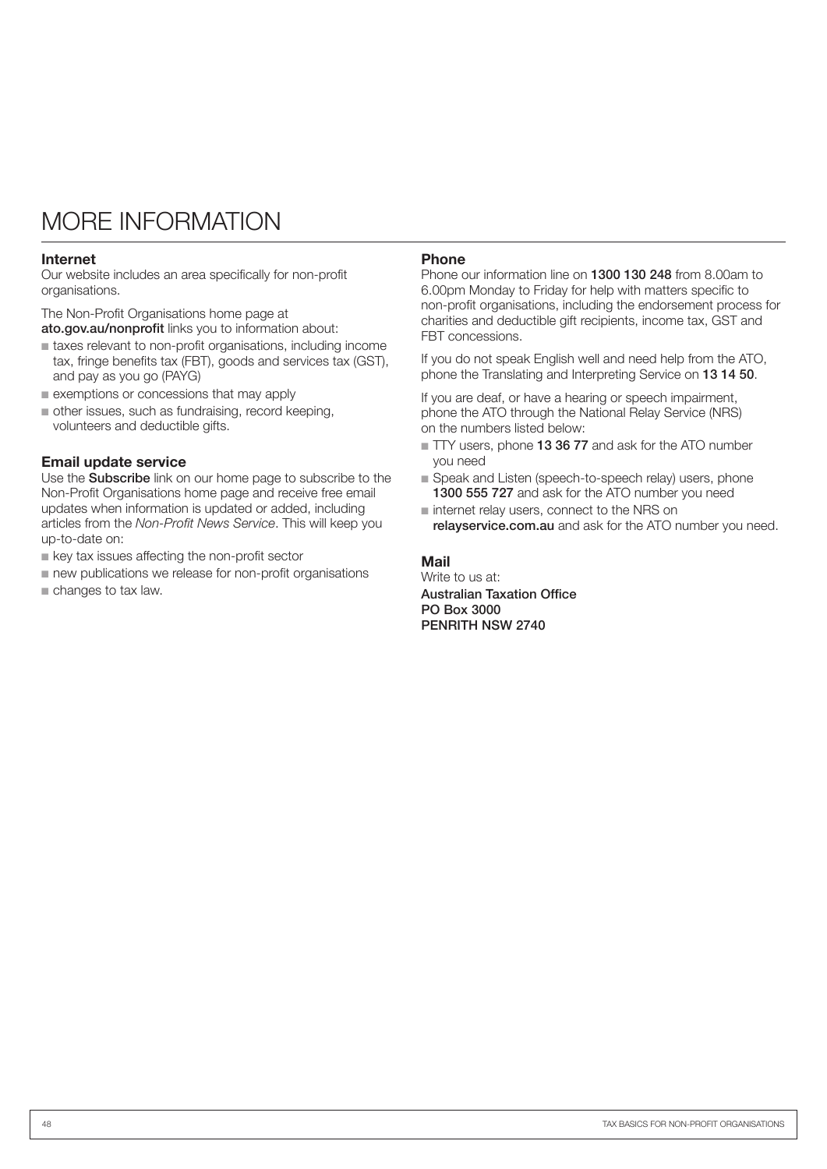### MORE INFORMATION

#### Internet

Our website includes an area specifically for non-profit organisations.

The Non-Profit Organisations home page at ato.gov.au/nonprofit links you to information about:

- n taxes relevant to non-profit organisations, including income tax, fringe benefits tax (FBT), goods and services tax (GST), and pay as you go (PAYG)
- $\blacksquare$  exemptions or concessions that may apply
- $\blacksquare$  other issues, such as fundraising, record keeping, volunteers and deductible gifts.

#### Email update service

Use the **Subscribe** link on our home page to subscribe to the Non-Profit Organisations home page and receive free email updates when information is updated or added, including articles from the *Non-Profit News Service*. This will keep you up-to-date on:

- $\blacksquare$  key tax issues affecting the non-profit sector
- new publications we release for non-profit organisations
- $\blacksquare$  changes to tax law.

#### Phone

Phone our information line on 1300 130 248 from 8.00am to 6.00pm Monday to Friday for help with matters specific to non-profit organisations, including the endorsement process for charities and deductible gift recipients, income tax, GST and FBT concessions.

If you do not speak English well and need help from the ATO, phone the Translating and Interpreting Service on 13 14 50.

If you are deaf, or have a hearing or speech impairment, phone the ATO through the National Relay Service (NRS) on the numbers listed below:

- TTY users, phone 13 36 77 and ask for the ATO number you need
- Speak and Listen (speech-to-speech relay) users, phone 1300 555 727 and ask for the ATO number you need
- n internet relay users, connect to the NRS on relayservice.com.au and ask for the ATO number you need.

#### Mail

Write to us at: Australian Taxation Office PO Box 3000 PENRITH NSW 2740